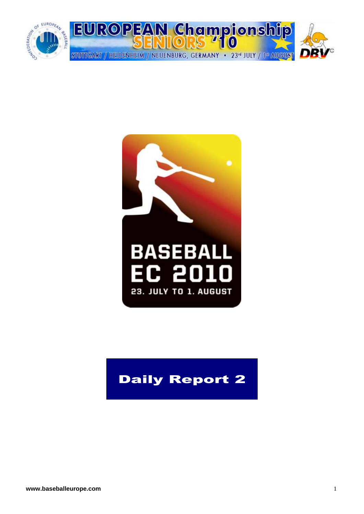



## Daily Report 2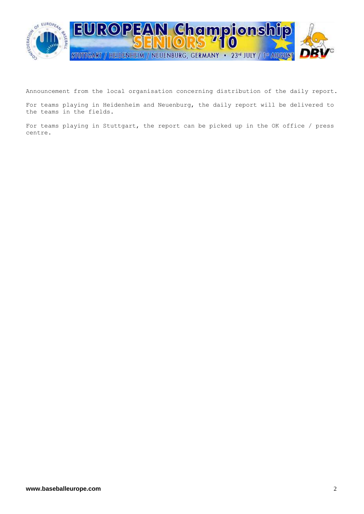

Announcement from the local organisation concerning distribution of the daily report.

For teams playing in Heidenheim and Neuenburg, the daily report will be delivered to the teams in the fields.

For teams playing in Stuttgart, the report can be picked up in the OK office / press centre.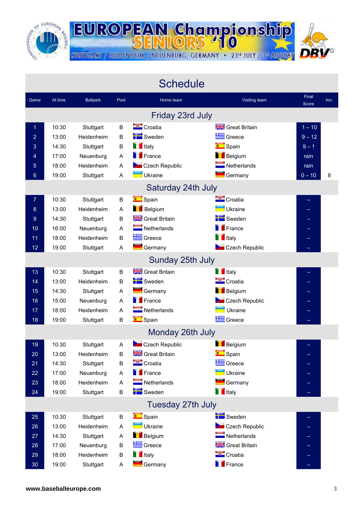

г

**EUROPEAN Championship** STUTTGART / HEIDENHEIM / NEUENBURG, GERMANY · 23<sup>rd</sup> JULY / 1st AUGUST

|                  |         |                 |      | <b>Schedule</b>            |                            |                |      |
|------------------|---------|-----------------|------|----------------------------|----------------------------|----------------|------|
| Game             | At time | <b>Ballpark</b> | Pool | Home team                  | Visiting team              | Final<br>Score | Inn. |
|                  |         |                 |      | Friday 23rd July           |                            |                |      |
| 1                | 10:30   | Stuttgart       | B    | Croatia                    | <b>Streat Britain</b>      | $1 - 10$       |      |
| $\overline{2}$   | 13:00   | Heidenheim      | B    | Sweden                     | Greece                     | $9 - 12$       |      |
| 3                | 14:30   | Stuttgart       | B    | <b>T</b> Italy             | <b>Company</b> Spain       | $9 - 1$        |      |
| 4                | 17:00   | Neuenburg       | Α    | <b>France</b>              | Belgium                    | rain           |      |
| 5                | 18:00   | Heidenheim      | A    | Czech Republic             | $\blacksquare$ Netherlands | rain           |      |
| $6\phantom{1}$   | 19:00   | Stuttgart       | Α    | Ukraine                    | Germany                    | $0 - 10$       | 8    |
|                  |         |                 |      | Saturday 24th July         |                            |                |      |
| $\overline{7}$   | 10:30   | Stuttgart       | B    | <b>Company</b> Spain       | Croatia                    |                |      |
| $\boldsymbol{8}$ | 13:00   | Heidenheim      | Α    | <b>Belgium</b>             | Ukraine                    |                |      |
| 9                | 14:30   | Stuttgart       | B    | Great Britain              | Sweden                     |                |      |
| 10               | 16:00   | Neuenburg       | Α    | $\blacksquare$ Netherlands | France                     |                |      |
| 11               | 18:00   | Heidenheim      | B    | Greece                     | <b>T</b> Italy             |                |      |
| 12               | 19:00   | Stuttgart       | Α    | $\blacksquare$ Germany     | Czech Republic             |                |      |
|                  |         |                 |      | Sunday 25th July           |                            |                |      |
| 13               | 10:30   | Stuttgart       | B    | Great Britain              | <b>T</b> Italy             |                |      |
| 14               | 13:00   | Heidenheim      | B    | Sweden                     | Croatia                    |                |      |
| 15               | 14:30   | Stuttgart       | Α    | Germany                    | <b>Belgium</b>             |                |      |
| 16               | 15:00   | Neuenburg       | A    | <b>France</b>              | Czech Republic             |                |      |
| 17               | 18:00   | Heidenheim      | A    | Netherlands                | Ukraine                    |                |      |
| 18               | 19:00   | Stuttgart       | B    | <b>Compact Spain</b>       | Greece                     |                |      |
|                  |         |                 |      | Monday 26th July           |                            |                |      |
| 19               | 10:30   | Stuttgart       | Α    | Czech Republic             | Belgium                    |                |      |
| 20               | 13:00   | Heidenheim      | B    | <b>State</b> Great Britain | <b>CONTEC</b><br>Spain     |                |      |
| 21               | 14:30   | Stuttgart       | B    | Croatia                    | Greece                     |                |      |
| 22               | 17:00   | Neuenburg       | Α    | <b>France</b>              | Ukraine                    |                |      |
| 23               | 18:00   | Heidenheim      | Α    | $\blacksquare$ Netherlands | Germany                    |                |      |
| 24               | 19:00   | Stuttgart       | B    | Sweden                     | <b>T</b> Italy             |                |      |
|                  |         |                 |      | Tuesday 27th July          |                            |                |      |
| 25               | 10:30   | Stuttgart       | B    | <b>Company</b> Spain       | Sweden                     |                |      |
| 26               | 13:00   | Heidenheim      | A    | Ukraine                    | Czech Republic             |                |      |
| 27               | 14:30   | Stuttgart       | A    | <b>Belgium</b>             | $\blacksquare$ Netherlands |                |      |
| 28               | 17:00   | Neuenburg       | B    | Greece                     | <b>STE</b> Great Britain   |                |      |
| 29               | 18:00   | Heidenheim      | B    | <b>T</b> Italy             | Croatia                    |                |      |
| 30               | 19:00   | Stuttgart       | A    | Germany                    | <b>France</b>              |                |      |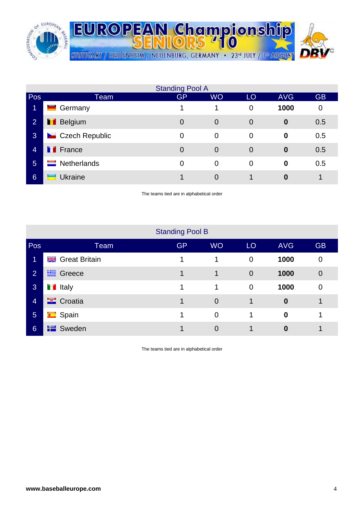

|                |                         | <b>Standing Pool A</b> |                |                |                  |           |
|----------------|-------------------------|------------------------|----------------|----------------|------------------|-----------|
| Pos            | Team                    | <b>GP</b>              | <b>WO</b>      | LO             | <b>AVG</b>       | <b>GB</b> |
| 1              | Germany                 |                        |                | 0              | 1000             | 0         |
| $\overline{2}$ | <b>Belgium</b>          | $\overline{0}$         | $\overline{0}$ | $\overline{0}$ | $\boldsymbol{0}$ | 0.5       |
| <b>3</b>       | <b>Czech Republic</b>   | 0                      | $\overline{0}$ | $\mathbf 0$    | $\bf{0}$         | 0.5       |
| $\overline{4}$ | <b>T</b> France         | $\overline{0}$         | $\overline{0}$ | $\Omega$       | $\bf{0}$         | 0.5       |
| $5\phantom{1}$ | Netherlands<br>$\equiv$ | 0                      | $\overline{0}$ | $\overline{0}$ | $\bf{0}$         | 0.5       |
| 6              | <b>Ukraine</b>          |                        | 0              |                | 0                | 1         |

The teams tied are in alphabetical order

|                |                        | <b>Standing Pool B</b> |                |                 |                  |                |
|----------------|------------------------|------------------------|----------------|-----------------|------------------|----------------|
| Pos            | Team                   | <b>GP</b>              | <b>WO</b>      | LO <sub>1</sub> | <b>AVG</b>       | <b>GB</b>      |
| 1              | <b>Great Britain</b>   |                        |                | $\overline{0}$  | 1000             | 0              |
| $\overline{2}$ | <b>上</b> Greece        | 1                      |                | $\overline{0}$  | 1000             | $\overline{0}$ |
| 3              | <b>T</b> Italy         | 1                      | 1              | $\overline{0}$  | 1000             | $\overline{0}$ |
| $\overline{4}$ | $\blacksquare$ Croatia | 1                      | $\overline{0}$ | 1               | $\boldsymbol{0}$ | 1              |
| $\overline{5}$ | <b>C</b> Spain         | 1                      | $\overline{0}$ | 1               | $\boldsymbol{0}$ | 1              |
| 6              | <b>E</b> Sweden        |                        | 0              | 4               | $\bf{0}$         | ◢              |

The teams tied are in alphabetical order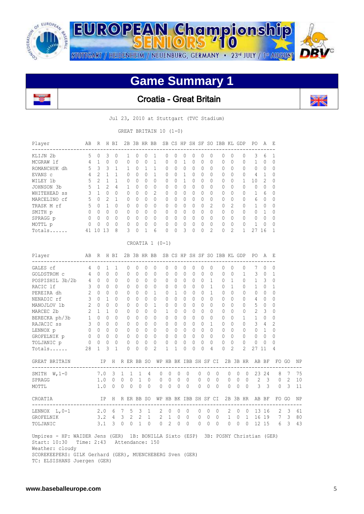

STUTTGART / HEIDENHEIM / NEUENBURG, GERMANY · 23<sup>rd</sup> JULY / 1st AUGUST

## **Game Summary 1**

**EUROPEAN Championship** 



Croatia - Great Britain

Jul 23, 2010 at Stuttgart (TVC Stadium)

GREAT BRITAIN 10 (1-0)

| Player       | AB       | R            | Н      | BI       |   | 2B 3B HR BB |              |   |          |          |          |          |   |          | SB CS HP SH SF SO IBB KL |   | GDP      | P0 | A             | E            |
|--------------|----------|--------------|--------|----------|---|-------------|--------------|---|----------|----------|----------|----------|---|----------|--------------------------|---|----------|----|---------------|--------------|
| KLIJN 2b     | 5        |              | 3      | 0        |   | $\Omega$    |              |   | 0        | 0        | $\cup$   | 0        |   | 0        | 0                        | 0 | 0        | 3  | 6             |              |
| MCGRAW 1f    | 4        |              | 0      | $\Omega$ | 0 | $\Omega$    | U            |   | 0        | $\Omega$ |          | $\Omega$ | 0 | $\Omega$ | $\bigcap$                | 0 | 0        |    | 0             | <sup>0</sup> |
| ROMANCHUK dh | 5.       | 3            | 3      |          |   | $\Omega$    |              |   | $\Omega$ | $\Omega$ | $\Omega$ | 0        | 0 | 0        | $\Omega$                 | 0 | 0        | 0  | $\Omega$      | $\Omega$     |
| EVANS c      | 4        | 2            |        |          | 0 | $\Omega$    | ∩            |   | 0        | 0        |          | $\Omega$ | 0 | $\Omega$ | $\bigcap$                | U | 0        | 4  |               | $\Omega$     |
| WILEY 1b     | 5.       | 2            |        |          | 0 | $\Omega$    | $\Omega$     | 0 | 0        | 0        |          | 0        | 0 | $\Omega$ | $\bigcap$                | 0 |          | 10 | $\mathcal{L}$ | $\Omega$     |
| JOHNSON 3b   | 5        |              | 2      | 4        |   | $\Omega$    | $\Omega$     | 0 | $\Omega$ | $\Omega$ | 0        | 0        | 0 | $\Omega$ | $\bigcap$                | U | 0        | 0  | $\Omega$      | $\Omega$     |
| WHITEHEAD SS | 3        |              | 0      | $\Omega$ | 0 | $\Omega$    | $\Omega$     | 2 | 0        | $\Omega$ | $\Omega$ | $\Omega$ | 0 | $\Omega$ | $\bigcap$                | 0 | 0        |    | 6             | $\Omega$     |
| MARCELINO cf | 5.       | <sup>∩</sup> | 2      | 1        | O | $\bigcap$   | U            | 0 | 0        | $\Omega$ | $\cap$   | $\Omega$ | 0 | $\Omega$ | $\bigcap$                | U | 0        | 6  | $\Omega$      | $\Omega$     |
| TRASK M rf   | 5.       | ∩            |        | $\Omega$ | 0 | $\Omega$    | $\Omega$     | 0 | $\Omega$ | $\Omega$ | $\Omega$ | $\Omega$ | 0 | 2        | $\Omega$                 | 2 | 0        |    | $\Omega$      | $\Omega$     |
| SMITH p      | $\Omega$ | U            | 0      | $\Omega$ | O | $\bigcap$   | <sup>n</sup> | 0 | 0        | $\Omega$ | $\cap$   | $\Omega$ | 0 | $\Omega$ | $\bigcap$                | Λ | $\Omega$ | 0  |               | $\cap$       |
| SPRAGG p     | $\Omega$ | $\Omega$     | 0      | $\Omega$ | 0 | $\Omega$    | $\Omega$     | 0 | 0        | $\Omega$ | $\Omega$ | $\Omega$ | 0 | $\Omega$ | $\bigcap$                | Λ | $\Omega$ | 0  | $\Omega$      | $\Omega$     |
| MOTTL p      | $\Omega$ | ∩            | $\cap$ | $\Omega$ |   | $\bigcap$   | Λ            | 0 | $\Omega$ | $\Omega$ | $\Omega$ | $\Omega$ | 0 | $\Omega$ | $\bigcap$                | Λ | $\Omega$ |    | $\Omega$      | $\Omega$     |
| $Totals$     | 41       |              | 13     | 8        | 3 | $\Omega$    |              | 6 | 0        | 0        | 3        | 0        | 0 | 2        | $\Omega$                 | 2 |          | 27 | 16            |              |

| Player<br>--------------------------------                                                                                                                                         | AB R                                                 |                                             |              | H BI                                                                 |                |           |           |                                     |                                       |              |                                |              |              |                            |              |              |                |              |                | 2B 3B HR BB SB CS HP SH SF SO IBB KL GDP PO A |                | – E                                         |                         |    |
|------------------------------------------------------------------------------------------------------------------------------------------------------------------------------------|------------------------------------------------------|---------------------------------------------|--------------|----------------------------------------------------------------------|----------------|-----------|-----------|-------------------------------------|---------------------------------------|--------------|--------------------------------|--------------|--------------|----------------------------|--------------|--------------|----------------|--------------|----------------|-----------------------------------------------|----------------|---------------------------------------------|-------------------------|----|
| GALES cf                                                                                                                                                                           | $\overline{4}$                                       | $\Omega$                                    | $\mathbf{1}$ | $\mathbf{1}$                                                         | $\Omega$       | $\Omega$  | $\Omega$  | $\mathbf{0}$                        | $\Omega$                              | $\Omega$     | $\Omega$                       | $\mathbf{0}$ | 0            | $\Omega$                   |              | $\Omega$     | $\Omega$       |              | $\mathbf{0}$   | 7                                             | $\Omega$       | $\Omega$                                    |                         |    |
| GOLDSTROM c 4 0 0                                                                                                                                                                  |                                                      |                                             |              | $\Omega$                                                             | $\mathbf{0}$   | $\Omega$  | $\Omega$  | $\Omega$                            | 0                                     | $\Omega$     | $\mathbf{0}$                   | $\Omega$     |              | $\overline{0}$<br>$\Omega$ |              | $\mathbf{0}$ | $\bigcirc$     |              | $\mathbf{1}$   | $3 \quad 0$                                   |                | 1                                           |                         |    |
| POSPISHIL 3b/2b 4 0 0                                                                                                                                                              |                                                      |                                             |              | $\Omega$                                                             | $\Omega$       | $\bigcap$ |           | $0 \quad 0$                         | $\bigcap$                             | $\Omega$     | $\Omega$                       | $\bigcap$    | $\bigcirc$   | $\mathbf{1}$               |              | $0 \quad 1$  |                | $\bigcap$    |                | $1 \quad 3$                                   |                | $\Omega$                                    |                         |    |
| RACIC 1f                                                                                                                                                                           | $\mathcal{S}$                                        |                                             | $0 \quad 0$  | $\Omega$                                                             | $\Omega$       | $\Omega$  | $\Omega$  | $\Omega$                            | $\Omega$                              | $\Omega$     | $\Omega$                       | $\Omega$     | $\Omega$     | $\mathbf{1}$               |              | $\bigcap$    | $\overline{1}$ |              | $\Omega$       | $1 \quad 0$                                   |                | $\mathbf{1}$                                |                         |    |
| PEREIRA dh                                                                                                                                                                         | 2                                                    | $0 \quad 0$                                 |              | $\bigcap$                                                            | $\Omega$       | $\Omega$  | $\Omega$  | $\overline{1}$                      | $\Omega$                              |              | $1 \quad 0$                    | $\bigcap$    | $\bigcirc$   | $\overline{1}$             |              | $\bigcap$    | $\Omega$       |              | $\Omega$       | $\Omega$                                      | $\bigcirc$     | $\Omega$                                    |                         |    |
| $3 \t 0 \t 1$<br>NENADIC rf                                                                                                                                                        |                                                      |                                             |              | $\Omega$                                                             | $\Omega$       | $\bigcap$ |           | $0 \quad 0$                         | $\Omega$                              | $\Omega$     | $\Omega$                       | $\bigcap$    | $\Omega$     | $\bigcap$                  |              | $\Omega$     | $\bigcap$      |              | $\Omega$       | $4\quad 0$                                    |                | $\Omega$                                    |                         |    |
| MANOJLOV 1b 2                                                                                                                                                                      |                                                      |                                             | $0 \quad 0$  | $\bigcap$                                                            | $\Omega$       | $\Omega$  | $\Omega$  | $\mathbf{1}$                        | $\Omega$                              | $\Omega$     | $\Omega$                       | $\Omega$     | $\Omega$     | $\Omega$                   |              | $\Omega$     | $\bigcap$      |              | $\Omega$       | 5                                             | $\overline{0}$ | 0                                           |                         |    |
|                                                                                                                                                                                    |                                                      |                                             |              | $\Omega$                                                             | $\Omega$       | $\bigcap$ | $\bigcap$ | $\bigcap$                           | $\mathbf{1}$                          |              | $0 \quad 0$                    | $\Omega$     | $\Omega$     | $\bigcap$                  |              | $\bigcap$    | $\bigcap$      |              | $\Omega$       | $2 \quad 3$                                   |                | $\Omega$                                    |                         |    |
| MARCEC 2b<br>BERECKA ph/3b<br>1 0 0<br>RAJACIC ss<br>3 0 0<br>LENNOX p<br>0 0 0<br>0<br>0 0 0                                                                                      |                                                      |                                             |              | $\Omega$                                                             | $\Omega$       | $\bigcap$ |           | $0 \quad 0$                         | $\bigcap$                             | $\Omega$     | $\bigcirc$                     | $\bigcap$    | $\Omega$     | $\bigcap$                  |              | $\Omega$     | $\bigcap$      |              | $\mathbf{1}$   | $1 \quad 0$                                   |                | $\Omega$                                    |                         |    |
|                                                                                                                                                                                    |                                                      |                                             |              | $\Omega$                                                             | $\overline{0}$ | $\Omega$  |           | $0 \quad 0$                         | $\Omega$                              | $\bigcap$    | $\bigcirc$                     | $\bigcap$    | $\Omega$     | $\mathbf{1}$               |              | $\Omega$     | $\Omega$       |              | $\bigcap$      | $3 \quad 4$                                   |                | $\overline{c}$                              |                         |    |
|                                                                                                                                                                                    |                                                      |                                             |              | $\begin{matrix} 0 \end{matrix} \qquad \begin{matrix} 0 \end{matrix}$ |                | $\Omega$  |           | $\begin{matrix} 0 & 0 \end{matrix}$ | $\mathbf{0}$                          | $\Omega$     | $\overline{0}$                 | $\Omega$     | $\bigcirc$   | $\Omega$                   |              | $\Omega$     | $\bigcirc$     |              | $\Omega$       |                                               | $0\quad 1$     | $\Omega$                                    |                         |    |
| GROFELNIK p 0 0 0                                                                                                                                                                  |                                                      |                                             |              | $\begin{matrix} 0 \end{matrix} \qquad \begin{matrix} 0 \end{matrix}$ |                |           |           | $0\quad 0\quad 0$                   | $\Omega$                              |              | $0 \quad 0$                    | $\Omega$     | $\Omega$     | $\Omega$                   |              | $0 \quad 0$  |                |              | $\Omega$       | $0 \quad 0$                                   |                | $\Omega$                                    |                         |    |
| TOLJANIC p                                                                                                                                                                         |                                                      | $\begin{matrix} 0 & 0 & 0 & 0 \end{matrix}$ |              |                                                                      | $\overline{0}$ |           |           | $0\quad 0\quad 0$                   | $\Omega$                              | $\Omega$     | $\Omega$                       | $\Omega$     | $\Omega$     | $\Omega$                   |              | $\bigcap$    | $\Omega$       |              | $\Omega$       | 0                                             | $\overline{0}$ | $\Omega$                                    |                         |    |
| Totals                                                                                                                                                                             | 28                                                   | 1                                           | 3            | $\mathbf{1}$                                                         | $\Omega$       | $\Omega$  | $\Omega$  | $\overline{2}$                      | $\mathbf{1}$                          | 1            | $\Omega$                       | $\Omega$     | $\Omega$     | 4                          |              | $\Omega$     | $\overline{2}$ |              | $\overline{2}$ | 27 11                                         |                | 4                                           |                         |    |
| GREAT BRITAIN                                                                                                                                                                      | IP H R ER BB SO WP HB BK IBB SH SF CI 2B 3B HR AB BF |                                             |              |                                                                      |                |           |           |                                     |                                       |              |                                |              |              |                            |              |              |                |              |                |                                               |                |                                             | FO GO                   | NP |
| SMITH $W, 1-0$                                                                                                                                                                     |                                                      | 7.0 3 1 1 1 4                               |              |                                                                      |                |           |           |                                     | $\Omega$                              | $\Omega$     | $\Omega$<br>$\overline{0}$     |              | $\Omega$     | $\Omega$                   | $\bigcirc$   |              | $\overline{0}$ | $\Omega$     |                |                                               |                | 0 23 24 8 7                                 |                         | 75 |
| SPRAGG                                                                                                                                                                             |                                                      |                                             |              | 1.0 0 0 0 1                                                          |                |           |           | $\Omega$                            | $0\quad 0$                            |              | $\Omega$<br>$\overline{0}$     |              | $\circ$      | $\Omega$                   | $\bigcirc$   |              |                |              |                |                                               |                | 0 0 0 2 3 0 2                               |                         | 10 |
| MOTTL                                                                                                                                                                              |                                                      |                                             |              | 1.0 0 0 0 0                                                          |                |           | $\Omega$  |                                     | $0 \quad 0$                           |              | $\Omega$<br>$\bigcirc$         |              | $\Omega$     | $\Omega$                   | $\bigcirc$   | $\bigcirc$   |                |              |                |                                               |                | $0 \t 0 \t 3 \t 3 \t 0$                     | $\overline{\mathbf{3}}$ | 11 |
| CROATIA                                                                                                                                                                            |                                                      |                                             |              |                                                                      |                |           |           |                                     | IP H R ER BB SO WP HB BK IBB SH SF CI |              |                                |              |              |                            |              |              |                |              |                | 2B 3B HR AB BF                                |                |                                             | FO GO                   | NP |
| LENNOX L, 0-1 2.0 6 7 5 3 1                                                                                                                                                        |                                                      |                                             |              |                                                                      |                |           |           |                                     | $\mathbf{2}$                          | $\mathbf{0}$ | $\overline{0}$<br>$\mathbf{0}$ |              | $\mathbf{0}$ | $\mathbf{0}$               | $\mathbf{0}$ |              | $\overline{2}$ | $\mathbf{0}$ |                |                                               |                | -----------------------------<br>0 13 16 2  | $\overline{3}$          | 61 |
| GROFELNIK                                                                                                                                                                          |                                                      |                                             |              |                                                                      |                |           |           |                                     |                                       |              |                                |              |              |                            |              |              |                |              |                |                                               |                | 3.2 4 3 2 2 1 2 1 0 0 0 0 0 1 0 1 16 19 7 3 |                         | 80 |
| TOLJANIC                                                                                                                                                                           |                                                      |                                             |              | 3.1 3 0 0 1                                                          |                |           | $\Omega$  |                                     | $\overline{0}$                        | 2            | $\Omega$<br>$\bigcirc$         |              | $\Omega$     | $\Omega$                   | $\bigcirc$   |              | $\bigcirc$     |              |                |                                               |                | $0 \t0 \t12 \t15 \t6 \t3$                   |                         | 43 |
| Umpires - HP: WAIDER Jens (GER) 1B: BONILLA Sixto (ESP) 3B: POSNY Christian (GER)<br>Start: $10:30$<br>Weather: cloudy<br>SCOREKEEPERS: GILK Gerhard (GER), MUENCHEBERG Sven (GER) | Time: 2:43 Attendance: 150                           |                                             |              |                                                                      |                |           |           |                                     |                                       |              |                                |              |              |                            |              |              |                |              |                |                                               |                |                                             |                         |    |
| TC: ELSISHANS Juergen (GER)                                                                                                                                                        |                                                      |                                             |              |                                                                      |                |           |           |                                     |                                       |              |                                |              |              |                            |              |              |                |              |                |                                               |                |                                             |                         |    |

#### CROATIA 1 (0-1)

ļ.

ن بن<br>موالي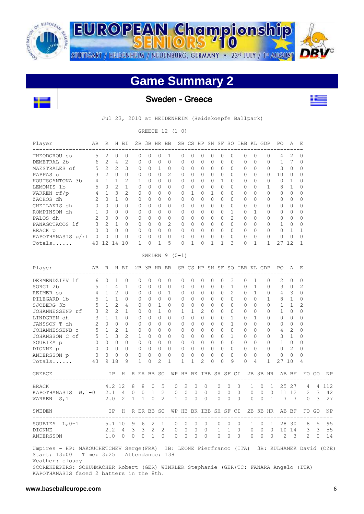

**EUROPEAN Championship** STUTTGART / HEIDENHEIM / NEUENBURG, GERMANY · 23<sup>rd</sup> JULY / 1st AUGUST

# **Game Summary 2**



Sweden - Greece



Jul 23, 2010 at HEIDENHEIM (Heidekoepfe Ballpark)

GREECE 12 (1-0)

| Player                                                                                                                                                                                                                                                                                          | AВ             | R              |                | H BI           |              |              |          |              | 2B 3B HR BB     | SB CS HP SH SF SO IBB KL GDP |              |   |          |          |          |                |          |          |              |   | PO.          |    | А            | - E          |       |                                                               |
|-------------------------------------------------------------------------------------------------------------------------------------------------------------------------------------------------------------------------------------------------------------------------------------------------|----------------|----------------|----------------|----------------|--------------|--------------|----------|--------------|-----------------|------------------------------|--------------|---|----------|----------|----------|----------------|----------|----------|--------------|---|--------------|----|--------------|--------------|-------|---------------------------------------------------------------|
| THEODOROU SS                                                                                                                                                                                                                                                                                    | 5              | 2              | 0              | 0              |              | 0            | 0        | 0            | 1               | 0                            | 0            |   | 0        | 0        | 0        | 0              |          | 0        | 0            | 0 | 4            |    | 2            | 0            |       |                                                               |
| DEMETRAL 2b                                                                                                                                                                                                                                                                                     | 6              | $\mathbf{2}$   | 4              | $\mathbf{2}$   |              | 0            | 0        | 0            | 0               | 0                            | $\mathbf{0}$ |   | 0        | 0        | 0        | 0              |          | 0        | 0            | 0 | 1            |    | 7            | 0            |       |                                                               |
| MAESTRALES cf                                                                                                                                                                                                                                                                                   | 5              | $\mathbf{2}$   | 2              | 3              |              | 0            | 0        | 1            | 0               | 0                            | $\mathbf{0}$ |   | 0        | 0        | 0        | 0              |          | 0        | 0            | 0 | 3            |    | 0            | 0            |       |                                                               |
| PAPPAS c                                                                                                                                                                                                                                                                                        | 3              | 2              | 0              | $\Omega$       |              | 0            | 0        | 0            | 2               | 0                            | 0            |   | 0        | 0        | 0        | $\Omega$       |          | 0        | 0            | 0 | 10           |    | 0            | $\Omega$     |       |                                                               |
| KOUTSOANTONA 3b                                                                                                                                                                                                                                                                                 | 4              | $\mathbf{1}$   | 1              | 2              |              | 1            | $\Omega$ | 0            | $\Omega$        | $\Omega$                     | 0            |   | 0        | $\Omega$ | 1        | $\Omega$       |          | $\Omega$ | 0            | 0 | 0            |    | $\mathbf{1}$ | 0            |       |                                                               |
| LEMONIS 1b                                                                                                                                                                                                                                                                                      | 5              | $\circ$        | 2              | 1              |              | $\Omega$     | $\Omega$ | 0            | $\Omega$        | $\Omega$                     | $\Omega$     |   | $\Omega$ | 0        | $\Omega$ | $\Omega$       |          | $\Omega$ | 0            | 1 | 8            |    | 1            | 0            |       |                                                               |
| WARREN rf/p                                                                                                                                                                                                                                                                                     | 4              | $\mathbf{1}$   | 3              | 2              |              | 0            | 0        | 0            | $\Omega$        | 0                            | 1            |   | 0        | 1        | 0        | $\Omega$       |          | 0        | 0            | 0 | 0            |    | $\Omega$     | 0            |       |                                                               |
| ZACHOS dh                                                                                                                                                                                                                                                                                       | 2              | $\Omega$       | $\mathbf{1}$   | $\Omega$       |              | 0            | $\Omega$ | 0            | $\Omega$        | $\Omega$                     | $\Omega$     |   | $\Omega$ | $\Omega$ | $\Omega$ | $\Omega$       |          | 0        | $\Omega$     | 0 | 0            |    | $\Omega$     | $\Omega$     |       |                                                               |
| CHEILAKIS dh                                                                                                                                                                                                                                                                                    | 0              | $\Omega$       | $\Omega$       | $\Omega$       |              | 0            | 0        | 0            | 0               | 0                            | 0            |   | 0        | 0        | 0        | 0              |          | $\Omega$ | 0            | 0 | 0            |    | $\Omega$     | 0            |       |                                                               |
| ROMPINSON dh                                                                                                                                                                                                                                                                                    | 1              | $\Omega$       | $\Omega$       | $\Omega$       |              | 0            | 0        | 0            | $\Omega$        | 0                            | 0            |   | 0        | 0        | 0        | 1              |          | 0        | $\mathbf{1}$ | 0 | 0            |    | $\Omega$     | 0            |       |                                                               |
| PALOS dh                                                                                                                                                                                                                                                                                        | 2              | $\circ$        | $\circ$        | $\Omega$       |              | 0            | 0        | 0            | 0               | 0                            | $\circ$      |   | 0        | 0        | 0        | $\overline{2}$ |          | 0        | 0            | 0 | 0            |    | $\Omega$     | 0            |       |                                                               |
| PANAGOTACOS 1f                                                                                                                                                                                                                                                                                  | 3              | $\overline{c}$ | $\mathbf{1}$   | 0              |              | 0            | $\circ$  | 0            | 2               | 0                            | $\circ$      |   | 0        | 0        | 0        | $\circ$        |          | 0        | 0            | 0 | $\mathbf{1}$ |    | 0            | 0            |       |                                                               |
| BRACK p                                                                                                                                                                                                                                                                                         | 0              | $\Omega$       | $\Omega$       | $\Omega$       |              | 0            | $\Omega$ | 0            | $\Omega$        | 0                            | $\Omega$     |   | 0        | $\Omega$ | 0        | $\Omega$       |          | $\Omega$ | 0            | 0 | 0            |    | 1            | 1            |       |                                                               |
| KAPOTHANASIS p/rf                                                                                                                                                                                                                                                                               | $\overline{0}$ | 0              | 0              | 0              |              | 0            | 0        | 0            | 0               | 0                            | 0            |   | 0        | 0        | 0        | 0              |          | 0        | 0            | 0 | 0            |    | 0            | 0            |       |                                                               |
| Totals                                                                                                                                                                                                                                                                                          |                | 40 12          | 14             | 10             |              | $\mathbf{1}$ | 0        | 1            | 5               | $\Omega$                     | $\mathbf{1}$ |   | 0        | 1        | 1        | 3              |          | 0        | $\mathbf{1}$ | 1 | 27           |    | 12           | $\mathbf{1}$ |       |                                                               |
|                                                                                                                                                                                                                                                                                                 |                |                |                |                |              |              |          |              | SWEDEN $9(0-1)$ |                              |              |   |          |          |          |                |          |          |              |   |              |    |              |              |       |                                                               |
| Player                                                                                                                                                                                                                                                                                          | AВ             | R              |                | H BI           |              |              |          |              | 2B 3B HR BB     | SB CS HP SH SF SO IBB KL GDP |              |   |          |          |          |                |          |          |              |   | PO.          |    | A E          |              |       |                                                               |
| DERMENDZIEV lf                                                                                                                                                                                                                                                                                  | 6              | $\circ$        | 1              | 0              |              | 0            | 0        | 0            | 0               | 0                            | 0            |   | 0        | 0        | 0        | 3              |          | 0        | 1            | 0 | 2            |    | 0            | $\mathbf{0}$ |       |                                                               |
| SORGI 2b                                                                                                                                                                                                                                                                                        | 5              | $\mathbf{1}$   | 4              | 1              |              | 0            | 0        | 0            | 0               | 0                            | 0            |   | 0        | 0        | 0        | 1              |          | 0        | 1            | 0 | 3            |    | 0            | 2            |       |                                                               |
| REIMER SS                                                                                                                                                                                                                                                                                       | 4              | $\mathbf{1}$   | 2              | $\Omega$       |              | 0            | 0        | 0            | 1               | 0                            | 0            |   | 0        | 0        | 0        | 2              |          | 0        | $\mathbf{1}$ | 0 | 4            |    | 3            | 0            |       |                                                               |
| PILEGARD 1b                                                                                                                                                                                                                                                                                     | 5              | $\mathbf{1}$   | 1              | $\Omega$       |              | 0            | 0        | 0            | 0               | 0                            | 0            |   | 0        | 0        | 0        | $\Omega$       |          | 0        | $\mathbf{0}$ | 1 | 8            |    | 1            | 0            |       |                                                               |
| SJOBERG 3b                                                                                                                                                                                                                                                                                      | 5              | $\mathbf{1}$   | $\overline{c}$ | 4              |              | 0            | $\Omega$ | 1            | $\Omega$        | 0                            | $\circ$      |   | 0        | $\Omega$ | 0        | $\Omega$       |          | $\Omega$ | 0            | 0 | 1            |    | $\mathbf{1}$ | 2            |       |                                                               |
| JOHANNESSENP rf                                                                                                                                                                                                                                                                                 | 3              | 2              | $\overline{c}$ | 1              |              | $\Omega$     | $\Omega$ | 1            | $\Omega$        | $\mathbf{1}$                 | 1            |   | 2        | $\Omega$ | 0        | $\Omega$       |          | $\Omega$ | 0            | 0 | 1            |    | $\Omega$     | 0            |       |                                                               |
| LINDGREN dh                                                                                                                                                                                                                                                                                     | 3              | $\mathbf{1}$   | $\mathbf{1}$   | $\Omega$       |              | 0            | 0        | 0            | $\Omega$        | 0                            | $\mathbf{0}$ |   | 0        | 0        | 0        | 1              |          | 0        | 1            | 0 | 0            |    | 0            | 0            |       |                                                               |
| JANSSON T dh                                                                                                                                                                                                                                                                                    | 2              | $\Omega$       | $\Omega$       | $\Omega$       |              | 0            | $\Omega$ | 0            | $\Omega$        | $\Omega$                     | $\Omega$     |   | $\Omega$ | $\Omega$ | $\Omega$ | $\mathbf{1}$   |          | $\Omega$ | $\Omega$     | 0 | 0            |    | $\Omega$     | 0            |       |                                                               |
| JOHANNESSENB C                                                                                                                                                                                                                                                                                  | 5              | $\mathbf{1}$   | 2              | 1              |              | 0            | $\Omega$ | 0            | 0               | $\Omega$                     | 0            |   | 0        | 0        | 0        | $\Omega$       |          | $\Omega$ | 0            | 0 | 4            |    | 2            | $\Omega$     |       |                                                               |
| JOHANSSON C cf                                                                                                                                                                                                                                                                                  | 5              | $\mathbf{1}$   | 3              | $\overline{2}$ |              | 1            | 0        | 0            | $\Omega$        | 0                            | $\circ$      |   | 0        | 0        | 0        | 1              |          | 0        | 0            | 0 | 3            |    | 1            | 0            |       |                                                               |
| SOUBIEA p                                                                                                                                                                                                                                                                                       | 0              | $\mathbf{0}$   | $\circ$        | $\Omega$       |              | 0            | 0        | 0            | 0               | 0                            | $\circ$      |   | 0        | 0        | 0        | 0              |          | 0        | 0            | 0 | $\mathbf{1}$ |    | $\mathbf{0}$ | 0            |       |                                                               |
| DIONNE p                                                                                                                                                                                                                                                                                        | 0              | 0              | $\circ$        | 0              |              | 0            | 0        | 0            | 0               | 0                            | 0            |   | 0        | 0        | 0        | 0              |          | 0        | 0            | 0 | 0            |    | 2            | 0            |       |                                                               |
| ANDERSSON p                                                                                                                                                                                                                                                                                     | 0              | 0              | 0              | $\Omega$       |              | 0            | 0        | 0            | 0               | 0                            | 0            |   | 0        | 0        | 0        | $\Omega$       |          | 0        | $\mathbf{0}$ | 0 | 0            |    | 0            | 0            |       |                                                               |
| Totals                                                                                                                                                                                                                                                                                          | 43             | 9              | 18             | 9              |              | $\mathbf{1}$ | 0        | 2            | $\mathbf{1}$    | 1                            | $\mathbf{1}$ |   | 2        | $\Omega$ | $\Omega$ | 9              |          | $\Omega$ | 4            | 1 | 27           | 10 |              | 4            |       |                                                               |
| GREECE                                                                                                                                                                                                                                                                                          |                |                | ΙP             |                |              |              |          | H R ER BB SO |                 | WP HB BK IBB SH SF CI        |              |   |          |          |          |                |          |          | 2B 3B HR     |   |              |    | AB BF        |              | FO GO | ΝP                                                            |
| ---------------------                                                                                                                                                                                                                                                                           |                |                |                |                |              |              |          |              |                 |                              |              |   |          |          |          |                |          |          |              |   |              |    |              |              |       |                                                               |
| BRACK                                                                                                                                                                                                                                                                                           |                |                | 4.2 12         |                | 8            | 8            | 0        |              | 5               | 0                            | 2            | 0 | 0        |          | 0        | 0              | 0        | 1        | 0            | 1 |              |    | 25 27        | 4            | 4     | 112                                                           |
| KAPOTHANASIS $W, 1-0$                                                                                                                                                                                                                                                                           |                |                | 2.1            | 4              | 0            | 0            | 1        |              | 2               | 0                            | 0            | 0 | 0        |          | 0        | 0              | 0        | 0        | 0            | 0 |              |    | 11 12        | 2            | 3     | 42                                                            |
| WARREN S, 1                                                                                                                                                                                                                                                                                     |                |                | 2.0            | 2              | $\mathbf{1}$ | 1            | $\Omega$ |              | 2               | 1                            | $\Omega$     | 0 | $\Omega$ |          | 0        | $\Omega$       | $\Omega$ | 0        | $\Omega$     | 1 |              | 7  | 7            | $\Omega$     | 3     | 27                                                            |
| SWEDEN<br>-------------------------                                                                                                                                                                                                                                                             |                |                |                |                |              |              |          |              |                 |                              |              |   |          |          |          |                |          |          |              |   |              |    |              |              |       | IP H R ER BB SO WP HB BK IBB SH SF CI 2B 3B HR AB BF FO GO NP |
| SOUBIEA L, 0-1 5.1 10 9 6 2 1 0 0 0 0 0 0 0 0 1 0 1 28 30 8 5 95                                                                                                                                                                                                                                |                |                |                |                |              |              |          |              |                 |                              |              |   |          |          |          |                |          |          |              |   |              |    |              |              |       |                                                               |
| <b>DIONNE</b>                                                                                                                                                                                                                                                                                   |                |                |                |                |              |              |          |              |                 |                              |              |   |          |          |          |                |          |          |              |   |              |    |              |              |       | 2.2 4 3 3 2 2 0 0 0 0 1 1 0 0 0 0 10 14 3 3 55                |
| ANDERSSON 1.0 0 0 0 1 0 0 0 0 0 0 0 0 0 0 0 0 2 3 2 0 14                                                                                                                                                                                                                                        |                |                |                |                |              |              |          |              |                 |                              |              |   |          |          |          |                |          |          |              |   |              |    |              |              |       |                                                               |
| Umpires - HP: MAKOUCHETCHEV Serge (FRA) 1B: LEONE Pierfranco (ITA) 3B: KULHANEK David (CZE)<br>Start: 13:00 Time: 3:25 Attendance: 138<br>Weather: cloudy<br>SCOREKEEPERS: SCHUHMACHER Robert (GER) WINKLER Stephanie (GER) TC: FANARA Angelo (ITA)<br>KAPOTHANASIS faced 2 batters in the 8th. |                |                |                |                |              |              |          |              |                 |                              |              |   |          |          |          |                |          |          |              |   |              |    |              |              |       |                                                               |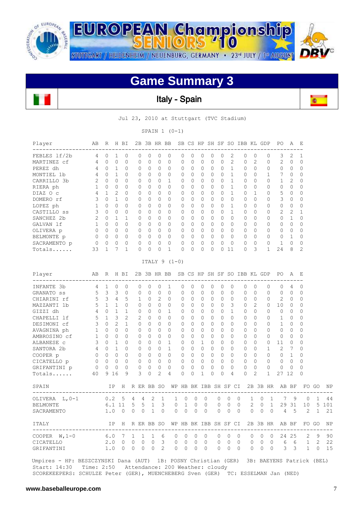



## **Game Summary 3**



iB)  $\overline{\phantom{a}}$ 

Jul 23, 2010 at Stuttgart (TVC Stadium)

SPAIN 1 (0-1)

| Player<br>---------------------      | AВ           | R              |                | H BI     |              |                | 2B 3B HR BB    |                |                                          |                       |              |              |                |             |                | SB CS HP SH SF SO IBB KL GDP |              |                |              | PO.            | Α                       | Е<br>$\equiv$  |              |       |
|--------------------------------------|--------------|----------------|----------------|----------|--------------|----------------|----------------|----------------|------------------------------------------|-----------------------|--------------|--------------|----------------|-------------|----------------|------------------------------|--------------|----------------|--------------|----------------|-------------------------|----------------|--------------|-------|
| FEBLES 1f/2b                         | 4            | $\Omega$       | 1              | $\Omega$ |              | $\Omega$       | $\Omega$       | $\Omega$       | $\Omega$                                 | $\Omega$              | $\Omega$     | $\Omega$     | $\Omega$       | $\Omega$    | 2              |                              | $\Omega$     | $\Omega$       | 0            | 3              | 2                       | $\mathbf{1}$   |              |       |
| MARTINEZ cf                          | 4            | $\circ$        | 0              | 0        |              | $\mathbf{0}$   | 0              | $\mathbf{0}$   | 0                                        | 0                     | $\circ$      | 0            | 0              | 0           | $\overline{c}$ |                              | $\mathbf{0}$ | 2              | 0            | 2              | 0                       | $\mathbf 0$    |              |       |
| PEREZ dh                             | 4            | $\Omega$       | $\mathbf{1}$   | $\Omega$ |              | 0              | $\Omega$       | 0              | 0                                        | 0                     | 0            | $\Omega$     | $\Omega$       | $\Omega$    | $\mathbf 1$    |                              | $\Omega$     | $\Omega$       | $\Omega$     | $\Omega$       | 0                       | $\Omega$       |              |       |
| MONTIEL 1b                           | 4            | $\Omega$       | $\mathbf{1}$   | $\Omega$ |              | $\mathbf{0}$   | $\Omega$       | $\Omega$       | $\Omega$                                 | 0                     | $\circ$      | $\Omega$     | $\Omega$       | $\Omega$    | 1              |                              | $\Omega$     | $\Omega$       | 1            | 7              | 0                       | $\Omega$       |              |       |
| CARRILLO 3b                          | 2            | $\Omega$       | $\Omega$       | $\Omega$ |              | $\Omega$       | $\Omega$       | $\Omega$       | $\mathbf{1}$                             | $\Omega$              | $\Omega$     | $\Omega$     | $\Omega$       | $\bigcap$   | $\mathbf{1}$   |                              | $\Omega$     | $\Omega$       | $\Omega$     | 1              | 2                       | $\Omega$       |              |       |
| RIERA ph                             | $\mathbf{1}$ | $\Omega$       | $\Omega$       | $\Omega$ |              | $\Omega$       | $\Omega$       | $\Omega$       | $\Omega$                                 | $\Omega$              | $\Omega$     | $\Omega$     | $\Omega$       | $\Omega$    | $\mathbf{1}$   |                              | $\Omega$     | $\Omega$       | 0            | $\Omega$       | $\Omega$                | 0              |              |       |
| DIAZ O c                             | 4            | $\mathbf{1}$   | $\overline{c}$ | $\Omega$ |              | $\Omega$       | $\Omega$       | $\Omega$       | 0                                        | $\Omega$              | 0            | $\Omega$     | $\Omega$       | $\Omega$    | $\mathbf{1}$   |                              | $\Omega$     | $\mathbf{1}$   | 0            | 5              | $\Omega$                | 0              |              |       |
| DOMERO rf                            | 3            | $\Omega$       | $\mathbf{1}$   | $\Omega$ |              | $\Omega$       | $\Omega$       | $\Omega$       | 0                                        | 0                     | $\Omega$     | $\Omega$     | $\Omega$       | $\Omega$    | $\Omega$       |                              | $\Omega$     | $\Omega$       | 0            | 3              | $\Omega$                | $\Omega$       |              |       |
| LOPEZ ph                             | $\mathbf{1}$ | $\mathbf{0}$   | 0              | 0        |              | $\mathbf{0}$   | 0              | $\circ$        | 0                                        | 0                     | $\circ$      | 0            | 0              | 0           | $\mathbf{1}$   |                              | $\mathbf{0}$ | $\Omega$       | 0            | $\circ$        | $\circ$                 | 0              |              |       |
| CASTILLO ss                          | 3            | $\Omega$       | $\Omega$       | $\Omega$ |              | $\Omega$       | $\Omega$       | $\Omega$       | $\Omega$                                 | $\Omega$              | $\Omega$     | $\Omega$     | $\Omega$       | $\Omega$    | $\mathbf{1}$   |                              | $\Omega$     | $\Omega$       | $\Omega$     | $\overline{c}$ | $\mathbf{2}$            | $\mathbf{1}$   |              |       |
| SANCHEZ 2b                           | 2            | $\mathbf{0}$   | $\mathbf{1}$   | 1        |              | $\Omega$       | $\Omega$       | $\circ$        | $\Omega$                                 | 0                     | $\Omega$     | 0            | $\Omega$       | $\Omega$    | $\Omega$       |                              | $\Omega$     | $\Omega$       | $\Omega$     | $\circ$        | $\mathbf{1}$            | $\Omega$       |              |       |
| GALVAN 1f                            | $\mathbf{1}$ | $\mathbf{0}$   | $\circ$        | $\circ$  |              | $\circ$        | 0              | $\circ$        | $\mathbf 0$                              | 0                     | $\circ$      | $\mathbf{0}$ | $\overline{0}$ | $\circ$     | 0              |                              | $\mathbf{0}$ | 0              | 0            | 0              | 0                       | $\mathbf{0}$   |              |       |
| OLIVERA p                            | 0            | $\overline{0}$ | $\circ$        | $\circ$  |              | $\circ$        | 0              | $\circ$        | $\circ$                                  | 0                     | $\circ$      | $\mathbf 0$  | $\circ$        | 0           | 0              |                              | $\mathbf{0}$ | 0              | $\mathbf 0$  | $\circ$        | $\circ$                 | $\Omega$       |              |       |
| BELMONTE p                           | 0            | $\overline{0}$ | 0              | $\circ$  |              | 0              | 0              | $\circ$        | 0                                        | 0                     | $\circ$      | $\mathbf 0$  | 0              | $\circ$     | $\circ$        |                              | $\circ$      | 0              | 0            | 0              | $\mathbf{1}$            | 0              |              |       |
| SACRAMENTO p                         | 0            | $\mathbf{0}$   | 0              | $\circ$  |              | $\circ$        | $\mathbf{0}$   | $\circ$        | $\Omega$                                 | 0                     | $\circ$      | 0            | 0              | 0           | $\circ$        |                              | $\mathbf{0}$ | $\circ$        | $\mathbf 0$  | $\mathbf{1}$   | $\circ$                 | $\Omega$       |              |       |
| Totals                               | 33           | $\mathbf{1}$   | 7              | 1        |              | $\circ$        | 0              | $\mathbf{0}$   | 1                                        | 0                     | $\circ$      | 0            | 0              |             | 011            |                              | $\mathbf{0}$ | 3              | $\mathbf{1}$ | 24             | 8                       | $\overline{c}$ |              |       |
|                                      |              |                |                |          |              |                |                |                | ITALY $9(1-0)$                           |                       |              |              |                |             |                |                              |              |                |              |                |                         |                |              |       |
| Player<br>-----------------          | AB           | R              |                | H BI     |              |                |                |                | 2B 3B HR BB SB CS HP SH SF SO IBB KL GDP |                       |              |              |                |             |                |                              |              |                |              | PO A           |                         | Е              |              |       |
| INFANTE 3b                           | 4            | 1              | $\Omega$       | $\Omega$ |              | $\mathbf{0}$   | 0              | $\circ$        | 1                                        | $\Omega$              | $\circ$      | 0            | 0              | $\Omega$    | $\circ$        |                              | $\mathbf{0}$ | $\Omega$       | $\Omega$     | 0              | 4                       | $\mathbf 0$    |              |       |
| GRANATO SS                           | 5            | 3              | 3              | $\circ$  |              | $\mathbf{0}$   | $\mathbf{0}$   | $\circ$        | $\circ$                                  | 0                     | 0            | 0            | 0              | 0           | 0              |                              | $\mathbf{0}$ | $\Omega$       | 0            | 0              | 0                       | $\mathbf{0}$   |              |       |
| CHIARINI rf                          | 5            | 3              | $\overline{4}$ | 5        |              | $\mathbf{1}$   | $\Omega$       | 2              | $\Omega$                                 | $\Omega$              | $\circ$      | $\Omega$     | $\circ$        | $\Omega$    | $\Omega$       |                              | $\mathbf{0}$ | $\Omega$       | $\Omega$     | 2              | 0                       | $\mathbf{0}$   |              |       |
| MAZZANTI 1b                          | 5            | 1              | 1              | $\circ$  |              | 0              | $\Omega$       | 0              | $\Omega$                                 | 0                     | $\mathbf{0}$ | $\mathbf 0$  | 0              | 0           | 3              |                              | 0            | 2              | 0            | 10             | 0                       | $\mathbf 0$    |              |       |
| GIZZI dh                             | 4            | $\Omega$       | $\mathbf{1}$   | 1        |              | $\Omega$       | $\Omega$       | $\Omega$       | $\mathbf{1}$                             | $\Omega$              | $\Omega$     | $\Omega$     | $\Omega$       | $\Omega$    | $\mathbf{1}$   |                              | $\Omega$     | $\Omega$       | $\Omega$     | $\Omega$       | $\Omega$                | 0              |              |       |
| CHAPELLI 1f                          | 5            | $\mathbf{1}$   | 3              | 2        |              | $\overline{c}$ | $\Omega$       | $\Omega$       | $\Omega$                                 | $\Omega$              | $\Omega$     | $\Omega$     | $\Omega$       | $\Omega$    | $\Omega$       |                              | $\Omega$     | $\Omega$       | 0            | 1              | $\Omega$                | 0              |              |       |
| DESIMONI cf                          | 3            | $\circ$        | $\overline{2}$ | 1        |              | 0              | $\Omega$       | 0              | $\Omega$                                 | 0                     | $\mathbf{0}$ | $\Omega$     | $\Omega$       | $\Omega$    | $\Omega$       |                              | $\Omega$     | $\Omega$       | 0            | 1              | $\Omega$                | 0              |              |       |
| AVAGNINA ph                          | $\mathbf{1}$ | $\Omega$       | $\Omega$       | $\Omega$ |              | $\Omega$       | $\Omega$       | $\Omega$       | $\Omega$                                 | $\Omega$              | $\Omega$     | $\Omega$     | $\Omega$       | $\Omega$    | $\Omega$       |                              | $\Omega$     | $\Omega$       | $\Omega$     | $\Omega$       | $\Omega$                | 0              |              |       |
| AMBROSINO cf                         | $\mathbf{1}$ | $\circ$        | 0              | $\circ$  |              | $\mathbf{0}$   | 0              | $\circ$        | $\circ$                                  | 0                     | $\circ$      | 0            | 0              | 0           | $\circ$        |                              | $\mathbf{0}$ | 0              | 0            | $\circ$        | 0                       | 0              |              |       |
| ALBANESE C                           | 3            | $\Omega$       | $\mathbf{1}$   | $\Omega$ |              | $\Omega$       | $\Omega$       | $\circ$        | $\mathbf{1}$                             | 0                     | $\Omega$     | $\mathbf{1}$ | $\Omega$       | $\Omega$    | $\Omega$       |                              | $\Omega$     | $\Omega$       | $\Omega$     | 11             | $\mathbf{0}$            | $\Omega$       |              |       |
| SANTORA 2b                           | 4            | $\mathbf{0}$   | $\mathbf{1}$   | $\circ$  |              | $\circ$        | 0              | $\circ$        | $\mathbf{1}$                             | 0                     | $\circ$      | $\mathbf 0$  | 0              | 0           | $\Omega$       |                              | $\mathbf{0}$ | $\Omega$       | 1            | 2              | 7                       | 0              |              |       |
| COOPER p                             | $\mathbf{0}$ | $\Omega$       | $\Omega$       | $\Omega$ |              | $\Omega$       | $\Omega$       | $\circ$        | $\Omega$                                 | $\Omega$              | $\Omega$     | $\Omega$     | $\Omega$       | $\Omega$    | $\Omega$       |                              | $\Omega$     | $\Omega$       | $\Omega$     | $\Omega$       | $\overline{1}$          | 0              |              |       |
| CICATELLO p                          | 0            | $\mathbf{0}$   | 0              | $\circ$  |              | $\circ$        | $\circ$        | $\circ$        | $\circ$                                  | 0                     | $\circ$      | 0            | 0              | 0           | 0              |                              | $\mathbf{0}$ | 0              | 0            | 0              | $\mathbf 0$             | 0              |              |       |
| GRIFANTINI p                         | 0            | 0              | 0              | $\Omega$ |              | 0              | 0              | 0              | 0                                        | 0                     | $\circ$      | 0            | 0              | 0           | $\Omega$       |                              | $\circ$      | 0              | $\Omega$     | 0              | 0                       | 0              |              |       |
| Totals                               | 40           |                | 9 16           | 9        |              | 3              | $\Omega$       | $\overline{2}$ | 4                                        | 0                     | $\Omega$     | $\mathbf{1}$ | $\Omega$       | $\Omega$    | $\overline{4}$ |                              | $\mathbf{0}$ | $\overline{2}$ | $\mathbf{1}$ | 27 12          |                         | 0              |              |       |
| SPAIN                                |              |                | IP             |          |              |                |                |                | H R ER BB SO WP HB BK IBB SH SF CI       |                       |              |              |                |             |                |                              |              |                | 2B 3B HR     | AB BF          |                         |                | FO GO        | NF    |
| OLIVERA L, 0-1                       |              | 0.2            |                | 5        | 4            | 4              | $\overline{2}$ | $\mathbf{1}$   |                                          | $\mathbf{0}$<br>1     | $\Omega$     |              | $\Omega$       | $\mathbf 0$ | $\mathbf{0}$   | $\Omega$                     | 1            | $\Omega$       | $\mathbf{1}$ | 7              | 9                       | 0              | $\mathbf{1}$ | 44    |
| <b>BELMONTE</b>                      |              |                | 6.1 11         |          | 5            | 5              | $\mathbf{1}$   | 3              |                                          | 0<br>$\mathbf{1}$     | 0            |              | $\circ$        | 0           | 0              | $\circ$                      | 2            | 0              | $\mathbf 1$  | 29             | 31                      | 10             |              | 5 101 |
| SACRAMENTO                           |              | 1.0            |                | $\Omega$ | $\Omega$     | $\Omega$       | 1              | 0              |                                          | $\Omega$<br>0         | $\Omega$     |              | $\Omega$       | $\Omega$    | $\Omega$       | $\Omega$                     | $\Omega$     | $\Omega$       | $\Omega$     | 4              | .5                      | $\overline{2}$ | $\mathbf{1}$ | 21    |
| ITALY<br>--------------------------- |              |                | IP             | H        | R ER BB SO   |                |                |                |                                          | WP HB BK IBB SH SF CI |              |              |                |             |                |                              |              |                |              | 2B 3B HR AB BF |                         |                | FO GO        | NP    |
| COOPER $W, 1-0$                      |              | 6.0            |                | 7        | 1            | 1              | 1              | 6              |                                          | 0<br>0                | 0            |              | 0              | 0           | 0              | 0                            | 0            | 0              | 0            | 24             | 25                      | 2              | 9            | 90    |
| CICATELLO                            |              | 2.0            |                | 0        | $\mathbf{0}$ | $\mathbf{0}$   | 0              | 3              |                                          | 0<br>0                | $\Omega$     |              | $\Omega$       | 0           | $\Omega$       | $\Omega$                     | 0            | 0              | $\circ$      | 6              | 6                       | $\mathbf{1}$   | 2            | 22    |
| GRIFANTINI                           |              | 1.0            |                | 0        | $\circ$      | $\circ$        | $\mathbf 0$    | 2              |                                          | 0<br>$\mathbf{0}$     | $\Omega$     |              | $\Omega$       | $\Omega$    | 0              | $\Omega$                     | $\Omega$     | $\circ$        | $\circ$      | 3              | $\overline{\mathbf{3}}$ | $\mathbf{1}$   | 0            | 15    |
|                                      |              |                |                |          |              |                |                |                |                                          |                       |              |              |                |             |                |                              |              |                |              |                |                         |                |              |       |

 Umpires - HP: BESZCZYNSKI Dana (AUT) 1B: POSNY Christian (GER) 3B: BAEYENS Patrick (BEL) Start: 14:30 Time: 2:50 Attendance: 200 Weather: cloudy SCOREKEEPERS: SCHULZE Peter (GER), MUENCHEBERG Sven (GER) TC: ESSELMAN Jan (NED)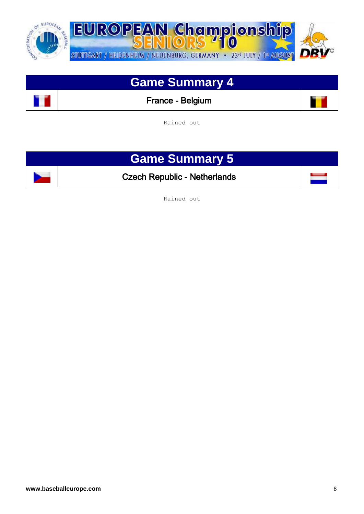

## **Game Summary 4**

France - Belgium

Rained out

# **Game Summary 5**

Czech Republic - Netherlands

Rained out

 $\parallel$ 

 $\mathbf{r}$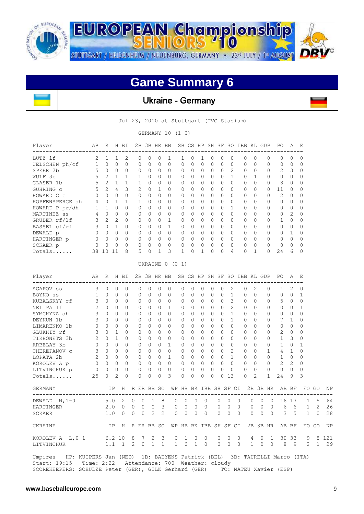

#### **Game Summary 6**

Ukraine - Germany

Jul 23, 2010 at Stuttgart (TVC Stadium)

GERMANY 10 (1-0)

| Player<br>----------------------                                                                                                              | AВ             |                | R H BI       |             |   |              |              |          | 2B 3B HR BB SB CS HP SH SF SO IBB KL GDP |              |         |          |          |   |          |              |              |              |   |              | PO                                                            | А              | Е            |       |    |
|-----------------------------------------------------------------------------------------------------------------------------------------------|----------------|----------------|--------------|-------------|---|--------------|--------------|----------|------------------------------------------|--------------|---------|----------|----------|---|----------|--------------|--------------|--------------|---|--------------|---------------------------------------------------------------|----------------|--------------|-------|----|
| LUTZ 1f                                                                                                                                       | 2              | 1              | 1            | 2           |   | 0            | 0            | 0        | 1                                        | 1            | 0       | 1        | 0        |   | 0        | 0            | 0            | 0            |   | 0            | 0                                                             | 0              | 0            |       |    |
| UELSCHEN ph/cf                                                                                                                                | $\mathbf{1}$   | 0              | 0            | 0           |   | 0            | 0            | 0        | 0                                        | 0            | 0       | 0        | 0        |   | 0        | 0            | 0            | $\Omega$     |   | 0            | 0                                                             | 0              | 0            |       |    |
| $\sim$ 5<br>SPEER 2b                                                                                                                          |                | $\overline{0}$ | $\mathbf{0}$ | 0           |   | 0            | 0            | 0        | 0                                        | 0            | 0       | 0        | 0        |   | 0        | 2            | 0            | 0            |   | 0            | 2                                                             | 3              | 0            |       |    |
| WULF 3b                                                                                                                                       | 5              | 2              | $\mathbf{1}$ | $\mathbf 1$ |   | 1            | $\Omega$     | $\Omega$ | 0                                        | 0            | 0       | 0        | 0        |   | 0        | $\mathbf{1}$ | 0            | $\mathbf{1}$ |   | $\Omega$     | $\Omega$                                                      | 0              | $\Omega$     |       |    |
| GLASER 1b                                                                                                                                     | 5              | 2              | 1            | 1           |   | $\mathbf{1}$ | 0            | 0        | $\Omega$                                 | 0            | 0       | 0        | 0        |   | 0        | 0            | 0            | $\Omega$     |   | 0            | 8                                                             | 0              | 0            |       |    |
| GUHRING C                                                                                                                                     | 5              | 2              | 4            | 3           |   | 2            | 0            | 1        | $\Omega$                                 | 0            | 0       | 0        | 0        |   | 0        | 0            | 0            | $\Omega$     |   | 0            | 11                                                            | 0              | 0            |       |    |
| HOWARD C c                                                                                                                                    | 0              | $\Omega$       | $\Omega$     | 0           |   | $\Omega$     | $\Omega$     | $\Omega$ | $\Omega$                                 | 0            | 0       | 0        | 0        |   | 0        | 0            | 0            | $\Omega$     |   | 0            | 2                                                             | 0              | $\Omega$     |       |    |
| HOPFENSPERGE dh                                                                                                                               | $\overline{4}$ | $\circ$        | 1            | 1           |   | $\mathbf{1}$ | 0            | 0        | $\Omega$                                 | 0            | 0       | 0        | 0        |   | $\Omega$ | 0            | 0            | $\Omega$     |   | 0            | 0                                                             | 0              | 0            |       |    |
| HOWARD P pr/dh                                                                                                                                | $\mathbf{1}$   | $\mathbf{1}$   | $\Omega$     | 0           |   | 0            | $\mathbf{0}$ | 0        | $\Omega$                                 | 0            | 0       | 0        | 0        |   | $\Omega$ | 1            | $\Omega$     | $\Omega$     |   | 0            | 0                                                             | 0              | $\Omega$     |       |    |
| MARTINEZ ss                                                                                                                                   | 4              | $\mathbf{0}$   | 0            | 0           |   | 0            | $\circ$      | 0        | 0                                        | 0            | 0       | 0        | 0        |   | 0        | 0            | 0            | $\Omega$     |   | 0            | 0                                                             | 2              | 0            |       |    |
| GRUBER rf/lf                                                                                                                                  |                | 3 <sub>2</sub> | 2            | 0           |   | 0            | 0            | 0        | 1                                        | 0            | 0       | 0        | $\Omega$ |   | 0        | 0            | 0            | 0            |   | 0            | 1                                                             | 0              | 0            |       |    |
| BASSEL cf/rf                                                                                                                                  | $3 \quad 0$    |                | $\mathbf{1}$ | 0           |   | 0            | $\Omega$     | 0        | 1                                        | 0            | 0       | $\Omega$ | 0        |   | 0        | 0            | $\Omega$     | $\Omega$     |   | $\Omega$     | 0                                                             | 0              | $\Omega$     |       |    |
| DEWALD p                                                                                                                                      | $0\quad 0$     |                | 0            | 0           |   | 0            | 0            | $\circ$  | $\Omega$                                 | 0            | 0       | 0        | 0        |   | 0        | 0            | 0            | $\Omega$     |   | 0            | 0                                                             | -1             | 0            |       |    |
| HARTINGER p                                                                                                                                   | $\overline{0}$ | $\bigcirc$     | $\mathbf 0$  | $\circ$     |   | $\circ$      | $\circ$      | 0        | $\Omega$                                 | $\mathbf{0}$ | $\circ$ | 0        | $\Omega$ |   | $\circ$  | $\Omega$     | $\mathbf{0}$ | $\circ$      |   | $\Omega$     | 0                                                             | $\circ$        | $\Omega$     |       |    |
| SCKAER p                                                                                                                                      | 0              | 0              | 0            | 0           |   | 0            | 0            | 0        | 0                                        | 0            | 0       | 0        | 0        |   | 0        | 0            | 0            | $\mathbf{0}$ |   | 0            | 0                                                             | 0              | 0            |       |    |
| Totals                                                                                                                                        | 38 10          |                | 11           | 8           |   | 5            | 0            | 1        | 3                                        | 1            | 0       | 1        | 0        |   | 0        | 4            | 0            | $\mathbf{1}$ |   | 0            | 24                                                            | 6              | 0            |       |    |
|                                                                                                                                               |                |                |              |             |   |              |              |          | UKRAINE $0 (0-1)$                        |              |         |          |          |   |          |              |              |              |   |              |                                                               |                |              |       |    |
| Player<br>------------------                                                                                                                  | AВ             | R              |              | H BI        |   |              |              |          | 2B 3B HR BB SB CS HP SH SF SO IBB KL GDP |              |         |          |          |   |          |              |              |              |   |              | PO.                                                           | A              | Е            |       |    |
| AGAPOV SS                                                                                                                                     | 3              | 0              | 0            | 0           |   | 0            | 0            | 0        | 0                                        | 0            | 0       | 0        | 0        |   | $\Omega$ | 2            | 0            | 2            |   | 0            | 1                                                             | 2              | 0            |       |    |
| BOYKO SS                                                                                                                                      | 1              | 0              | 0            | 0           |   | 0            | 0            | 0        | 0                                        | 0            | 0       | 0        | 0        |   | 0        | 1            | 0            | $\Omega$     |   | 0            | 0                                                             | $\mathbf{0}$   | 1            |       |    |
| KUBALSKYY cf                                                                                                                                  | 3              | $\Omega$       | 0            | 0           |   | 0            | 0            | 0        | 0                                        | 0            | 0       | 0        | 0        |   | 0        | 3            | 0            | $\Omega$     |   | 0            | 5                                                             | 0              | 0            |       |    |
| NELIPA 1f                                                                                                                                     | 2              | $\mathbf{0}$   | 0            | 0           |   | 0            | 0            | 0        | 1                                        | 0            | 0       | 0        | 0        |   | 0        | 2            | 0            | $\Omega$     |   | 0            | 0                                                             | 0              | 1            |       |    |
| SYMCHYNA dh                                                                                                                                   | $\mathbf{3}$   | 0              | 0            | 0           |   | 0            | 0            | 0        | $\Omega$                                 | 0            | 0       | 0        | 0        |   | 0        | 1            | 0            | $\Omega$     |   | 0            | 0                                                             | 0              | $\Omega$     |       |    |
| DEYKUN 1b                                                                                                                                     | 3              | $\Omega$       | $\Omega$     | $\Omega$    |   | 0            | 0            | $\Omega$ | $\Omega$                                 | 0            | 0       | 0        | 0        |   | 0        | $\mathbf{1}$ | $\Omega$     | $\Omega$     |   | 0            | 7                                                             | 1              | $\Omega$     |       |    |
| LIMARENKO 1b                                                                                                                                  | $\mathbf 0$    | $\Omega$       | 0            | $\Omega$    |   | 0            | 0            | 0        | $\Omega$                                 | 0            | 0       | 0        | $\Omega$ |   | 0        | 0            | 0            | $\Omega$     |   | 0            | 0                                                             | 0              | 0            |       |    |
| GLUKHIY rf                                                                                                                                    | 3              | $\Omega$       | 1            | 0           |   | 0            | $\Omega$     | 0        | $\Omega$                                 | 0            | 0       | 0        | 0        |   | 0        | 0            | 0            | $\Omega$     |   | 0            | 2                                                             | 0              | $\Omega$     |       |    |
| TIKHONETS 3b                                                                                                                                  | $\overline{2}$ | $\mathbf{0}$   | $\mathbf{1}$ | 0           |   | 0            | 0            | 0        | 0                                        | 0            | 0       | 0        | 0        |   | 0        | 0            | 0            | $\Omega$     |   | 0            | 1                                                             | 3              | 0            |       |    |
| ARBELAY 3b                                                                                                                                    | $\overline{0}$ | $\mathbf{0}$   | 0            | 0           |   | 0            | 0            | 0        | $\mathbf{1}$                             | 0            | 0       | 0        | 0        |   | 0        | 0            | 0            | 0            |   | 0            | $\mathbf 1$                                                   | 0              | $\mathbf{1}$ |       |    |
| CHEREPANOV C                                                                                                                                  | 3              | $\Omega$       | $\Omega$     | 0           |   | 0            | $\Omega$     | 0        | $\Omega$                                 | 0            | 0       | $\Omega$ | 0        |   | 0        | 2            | $\Omega$     | $\Omega$     |   | 1            | 4                                                             | 1              | $\Omega$     |       |    |
| LOPATA 2b                                                                                                                                     | 2              | $\overline{0}$ | 0            | 0           |   | 0            | 0            | 0        | 1                                        | 0            | 0       | 0        | 0        |   | 0        | 1            | 0            | $\Omega$     |   | $\Omega$     | 1                                                             | $\overline{0}$ | 0            |       |    |
| KOROLEV A p                                                                                                                                   | $\mathbf 0$    | $\circ$        | 0            | $\circ$     |   | 0            | $\circ$      | 0        | $\mathbf{0}$                             | 0            | $\circ$ | 0        | 0        |   | 0        | $\circ$      | $\mathbf{0}$ | $\circ$      |   | $\circ$      | 2                                                             | 2              | $\Omega$     |       |    |
| LITVINCHUK p                                                                                                                                  | 0              | 0              | 0            | 0           |   | 0            | 0            | 0        | 0                                        | 0            | 0       | 0        | 0        |   | 0        | 0            | 0            | 0            |   | 0            | 0                                                             | 0              | 0            |       |    |
| Totals                                                                                                                                        | 25             | 0              | 2            | 0           |   | 0            | 0            | 0        | 3                                        | 0            | 0       | 0        | 0        |   | 0        | 13           | 0            | 2            |   | $\mathbf{1}$ | 24                                                            | 9              | 3            |       |    |
| GERMANY                                                                                                                                       |                |                | IP           |             |   |              |              |          |                                          |              |         |          |          |   |          |              |              |              |   |              | H R ER BB SO WP HB BK IBB SH SF CI 2B 3B HR AB BF             |                |              | FO GO | NF |
| DEWALD $W, 1-0$                                                                                                                               |                | 5.0            |              | 2           | 0 | 0            | 1            | 8        |                                          | 0            | 0       | 0        | 0        | 0 | 0        |              | 0            | 0            | 0 | 0            |                                                               | 16 17          | 1            | 5     | 64 |
| HARTINGER                                                                                                                                     |                | 2.0            |              | 0           | 0 | 0            | 0            | 3        |                                          | 0            | 0       | 0        | 0        | 0 | 0        |              | 0            | 0            | 0 | $\circ$      | 6                                                             | - 6            | $\mathbf{1}$ | 2     | 26 |
| SCKAER                                                                                                                                        |                |                | 1.0          | 0           | 0 | 0            | $\mathbf{2}$ | 2        |                                          | 0            | 0       | 0        | 0        | 0 | 0        |              | $\Omega$     | 0            | 0 | 0            | 3                                                             | 5              | 1            | 0     | 28 |
| UKRAINE                                                                                                                                       |                |                |              |             |   |              |              |          |                                          |              |         |          |          |   |          |              |              |              |   |              | IP H R ER BB SO WP HB BK IBB SH SF CI 2B 3B HR AB BF FO GO NF |                |              |       |    |
| KOROLEV A L, 0-1 6.2 10 8 7 2 3 0 1 0 0 0 0 0 4 0 1 30 33 9 8 121                                                                             |                |                |              |             |   |              |              |          |                                          |              |         |          |          |   |          |              |              |              |   |              |                                                               |                |              |       |    |
| LITVINCHUK                                                                                                                                    |                |                |              |             |   |              |              |          |                                          |              |         |          |          |   |          |              |              |              |   |              | 1.1 1 2 0 1 1 1 0 1 0 0 0 0 1 0 0 8 9 2 1 29                  |                |              |       |    |
| Umpires - HP: KUIPERS Jan (NED) 1B: BAEYENS Patrick (BEL) 3B: TAURELLI Marco (ITA)<br>Start: 19:15 Time: 2:22 Attendance: 700 Weather: cloudy |                |                |              |             |   |              |              |          |                                          |              |         |          |          |   |          |              |              |              |   |              |                                                               |                |              |       |    |

SCOREKEEPERS: SCHULZE Peter (GER), GILK Gerhard (GER) TC: MATEU Xavier (ESP)

 $\mathbf{I}$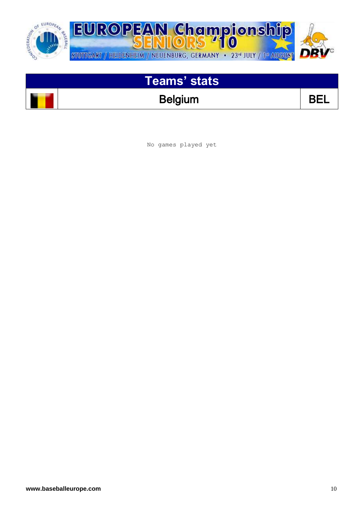

## Belgium BEL

No games played yet

 $\overline{\phantom{a}}$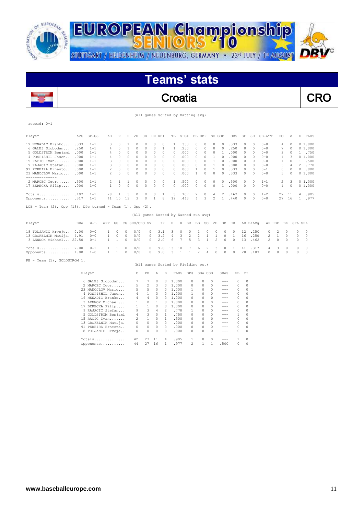





| (All games Sorted by Batting avg) |  |
|-----------------------------------|--|
|-----------------------------------|--|

| Player                                                                                                                                                                              | AVG                                                          | $GP - GS$                                                                                        | AB                                                          | R                                                                      | Η                                                                             | 2B                                                            | 3B                                                                         | HR RBI                                                                        |                                                                             | TВ                                                                      | SLG%                                                         |                                                               | BB HBP                                                                 |                                                   | SO GDP                                                         | OB <sub>8</sub>                                              | SF                                                        | SH                                                                   | SB-ATT                                                                               | PO                                          | Α                                                                       | E                                  | FLD%                                                                 |
|-------------------------------------------------------------------------------------------------------------------------------------------------------------------------------------|--------------------------------------------------------------|--------------------------------------------------------------------------------------------------|-------------------------------------------------------------|------------------------------------------------------------------------|-------------------------------------------------------------------------------|---------------------------------------------------------------|----------------------------------------------------------------------------|-------------------------------------------------------------------------------|-----------------------------------------------------------------------------|-------------------------------------------------------------------------|--------------------------------------------------------------|---------------------------------------------------------------|------------------------------------------------------------------------|---------------------------------------------------|----------------------------------------------------------------|--------------------------------------------------------------|-----------------------------------------------------------|----------------------------------------------------------------------|--------------------------------------------------------------------------------------|---------------------------------------------|-------------------------------------------------------------------------|------------------------------------|----------------------------------------------------------------------|
| 19 NENADIC Branko<br>6 GALES Slobodan<br>5 GOLDSTROM Benjami<br>4 POSPISHIL Jason<br>15 RACIC Ivan<br>9 RAJACIC Stefan<br>91 PEREIRA Ernesto<br>23 MANOJLOV Mario<br>-------------- | .333<br>.250<br>.000<br>.000<br>.000<br>.000<br>.000<br>.000 | $1 - 1$<br>$1 - 1$<br>$1 - 1$<br>$1 - 1$<br>$1 - 1$<br>$1 - 1$<br>$1 - 1$<br>$1 - 1$             | 3<br>4<br>4<br>4<br>3<br>3<br>2<br>$\overline{\mathcal{L}}$ | 0<br>0<br>$\circ$<br>$\Omega$<br>$\Omega$<br>0<br>$\Omega$<br>$\Omega$ | 1<br>1<br>$\circ$<br>$\Omega$<br>$\Omega$<br>$\Omega$<br>$\Omega$<br>$\Omega$ | 0<br>0<br>0<br>$\circ$<br>$\circ$<br>$\circ$<br>0<br>$\Omega$ | 0<br>$\circ$<br>$\circ$<br>$\circ$<br>0<br>$\circ$<br>$\Omega$<br>$\Omega$ | 0<br>0<br>$\circ$<br>$\Omega$<br>$\Omega$<br>$\Omega$<br>$\Omega$<br>$\Omega$ | 0<br>1<br>$\circ$<br>$\circ$<br>$\Omega$<br>$\circ$<br>$\Omega$<br>$\Omega$ | 1<br>1<br>0<br>$\Omega$<br>$\Omega$<br>$\Omega$<br>$\Omega$<br>$\Omega$ | .333<br>.250<br>.000<br>.000<br>.000<br>.000<br>.000<br>.000 | 0<br>0<br>0<br>0<br>$\Omega$<br>$\Omega$<br>$\mathbf{1}$<br>1 | 0<br>0<br>0<br>$\Omega$<br>$\Omega$<br>$\circ$<br>$\Omega$<br>$\Omega$ | 0<br>0<br>$\circ$<br>1<br>1<br>1<br>1<br>$\Omega$ | 0<br>0<br>1<br>$\circ$<br>0<br>0<br>$\Omega$<br>$\Omega$       | .333<br>.250<br>.000<br>.000<br>.000<br>.000<br>.333<br>.333 | 0<br>0<br>0<br>0<br>$\Omega$<br>0<br>$\Omega$<br>$\Omega$ | 0<br>0<br>0<br>$\circ$<br>$\circ$<br>$\circ$<br>$\Omega$<br>$\Omega$ | $0 - 0$<br>$0 - 0$<br>$0 - 0$<br>$0 - 0$<br>$0 - 0$<br>$0 - 0$<br>$0 - 1$<br>$0 - 0$ | 4<br>7<br>3<br>1<br>1<br>3<br>$\Omega$<br>5 | $\Omega$<br>$\Omega$<br>0<br>3<br>$\Omega$<br>4<br>$\Omega$<br>$\Omega$ | 1<br>$\mathbf{1}$<br>2<br>$\Omega$ | 01.000<br>01.000<br>.750<br>01.000<br>.500<br>.778<br>.000<br>01.000 |
| 2 MARCEC Igor<br>17 BERECKA Filip                                                                                                                                                   | .500<br>.000                                                 | $1 - 1$<br>$1 - 0$                                                                               | 2<br>1                                                      | 1<br>0                                                                 | $\mathbf{1}$<br>0                                                             | 0<br>$\Omega$                                                 | 0<br>$\Omega$                                                              | $\circ$<br>$\Omega$                                                           | 0<br>$\Omega$                                                               | $\mathbf{1}$<br>$\Omega$                                                | .500<br>.000                                                 | 0<br>$\Omega$                                                 | $\circ$<br>$\circ$                                                     | $\circ$<br>$\Omega$                               | $\Omega$<br>1                                                  | .500<br>.000                                                 | 0<br>$\Omega$                                             | $\circ$<br>$\Omega$                                                  | $1 - 1$<br>$0 - 0$                                                                   | 2<br>1                                      | 3<br>$\Omega$                                                           |                                    | 01.000<br>01.000                                                     |
| Totals<br>Opponents                                                                                                                                                                 | .107<br>.317                                                 | $1 - 1$<br>$1 - 1$                                                                               | 28<br>41                                                    | 1<br>10                                                                | 3<br>13                                                                       | 0<br>3                                                        | 0<br>0                                                                     | 0<br>$\mathbf{1}$                                                             | 1<br>8                                                                      | 3<br>19                                                                 | .107<br>.463                                                 | 2<br>6                                                        | 0<br>3                                                                 | 4<br>2                                            | 2                                                              | .167<br>.440                                                 | 0<br>0                                                    | 0<br>$\circ$                                                         | $1 - 2$<br>$0 - 0$                                                                   | 27<br>27                                    | 11<br>16                                                                | 4<br>$\mathbf{1}$                  | .905<br>.977                                                         |
| LOB - Team $(2)$ , Opp $(13)$ . DPs turned - Team $(1)$ , Opp $(2)$ .                                                                                                               |                                                              |                                                                                                  |                                                             |                                                                        |                                                                               |                                                               |                                                                            |                                                                               |                                                                             |                                                                         |                                                              |                                                               |                                                                        |                                                   |                                                                |                                                              |                                                           |                                                                      |                                                                                      |                                             |                                                                         |                                    |                                                                      |
|                                                                                                                                                                                     |                                                              |                                                                                                  |                                                             |                                                                        |                                                                               |                                                               |                                                                            |                                                                               |                                                                             |                                                                         | (All games Sorted by Earned run avg)                         |                                                               |                                                                        |                                                   |                                                                |                                                              |                                                           |                                                                      |                                                                                      |                                             |                                                                         |                                    |                                                                      |
| Player                                                                                                                                                                              | ERA                                                          | $W-L$                                                                                            | APP                                                         | GS                                                                     |                                                                               | CG SHO/CBO SV                                                 |                                                                            |                                                                               | ΙP                                                                          | Η                                                                       | R                                                            | ER                                                            | BB                                                                     | so                                                | 2B<br>3B                                                       | HR                                                           |                                                           | AB B/Avq                                                             | WP HBP                                                                               |                                             | BК                                                                      | SFA SHA                            |                                                                      |
| 18 TOLJANIC Hrvoje<br>13 GROFELNIK Matija. 4.91<br>3 LENNOX Michael 22.50                                                                                                           | 0.00                                                         | $0 - 0$<br>$0 - 0$<br>$0 - 1$                                                                    | 1<br>1<br>1                                                 | 0<br>$\circ$<br>$\mathbf{1}$                                           | 0<br>0<br>0                                                                   | 0/0<br>0/0<br>0/0                                             |                                                                            | $\circ$<br>$\circ$<br>$\Omega$                                                | 3.1<br>3.2<br>2.0                                                           | 3<br>4<br>6                                                             | 0<br>3<br>7                                                  | 0<br>$\overline{c}$<br>5                                      | 1<br>$\overline{c}$<br>3                                               | 0<br>$\mathbf{1}$<br>$\mathbf{1}$                 | $\circ$<br>0<br>$\mathbf{1}$<br>0<br>$\overline{c}$<br>$\circ$ | $^{\circ}$<br>1<br>$\Omega$                                  | 12<br>16<br>13                                            | .250<br>.250<br>.462                                                 | 0<br>2<br>2                                                                          | 2<br>$\mathbf{1}$<br>$\circ$                | 0<br>0<br>$\circ$                                                       | 0<br>0<br>$\circ$                  | 0<br>0<br>$\circ$                                                    |
| Totals<br>Opponents 1.00                                                                                                                                                            | 7.00                                                         | $0 - 1$<br>$1 - 0$                                                                               | 1<br>$\mathbf{1}$                                           | 1<br>$\mathbf{1}$                                                      | 0<br>0                                                                        | 0/0<br>0/0                                                    |                                                                            | $\circ$<br>$\circ$                                                            | 9.0<br>9.0                                                                  | 13<br>3                                                                 | 10<br>$\overline{1}$                                         | 7<br>1                                                        | 6<br>$\mathfrak{D}$                                                    | 2<br>4                                            | 3<br>0<br>$\Omega$<br>$\Omega$                                 | 1<br>$\Omega$                                                | 41<br>28                                                  | .317<br>.107                                                         | 4<br>$\Omega$                                                                        | 3<br>$\Omega$                               | $\circ$<br>$\Omega$                                                     | $\circ$<br>$\Omega$                | $\circ$<br>$\Omega$                                                  |
| PB - Team (1), GOLDSTROM 1.                                                                                                                                                         |                                                              |                                                                                                  |                                                             |                                                                        |                                                                               |                                                               |                                                                            |                                                                               |                                                                             |                                                                         | (All games Sorted by Fielding pct)                           |                                                               |                                                                        |                                                   |                                                                |                                                              |                                                           |                                                                      |                                                                                      |                                             |                                                                         |                                    |                                                                      |
|                                                                                                                                                                                     |                                                              |                                                                                                  |                                                             |                                                                        |                                                                               |                                                               |                                                                            |                                                                               |                                                                             |                                                                         |                                                              |                                                               |                                                                        |                                                   |                                                                |                                                              |                                                           |                                                                      |                                                                                      |                                             |                                                                         |                                    |                                                                      |
|                                                                                                                                                                                     |                                                              | Player                                                                                           |                                                             |                                                                        |                                                                               | C                                                             | PO                                                                         | Α                                                                             | E                                                                           | FLD%                                                                    |                                                              | DPs                                                           | SBA CSB                                                                |                                                   | SBA%                                                           | PB.                                                          | СI                                                        |                                                                      |                                                                                      |                                             |                                                                         |                                    |                                                                      |
|                                                                                                                                                                                     |                                                              | 6 GALES Slobodan<br>2 MARCEC Igor<br>23 MANOJLOV Mario<br>4 POSPISHIL Jason<br>19 NENADIC Branko |                                                             |                                                                        |                                                                               | 7<br>5<br>5<br>4<br>4                                         | 7<br>2<br>5<br>1<br>$\overline{4}$                                         | 0<br>3<br>$\circ$<br>3<br>$\Omega$                                            | 0<br>0<br>0<br>$\Omega$<br>$\Omega$                                         | 1,000<br>1,000<br>1,000<br>1,000<br>1.000                               |                                                              | 0<br>0<br>1<br>1<br>$\Omega$                                  | 0<br>$\circ$<br>$\circ$<br>0<br>$\Omega$                               | 0<br>$\Omega$<br>$\Omega$<br>$\Omega$<br>$\cap$   | $- - -$<br>$- - -$<br>$- - -$<br>$- - -$<br>$- - -$            | 0<br>0<br>0<br>0<br>$\Omega$                                 | 0<br>$\Omega$<br>$\Omega$<br>$\Omega$<br>$\Omega$         |                                                                      |                                                                                      |                                             |                                                                         |                                    |                                                                      |

|  | 23 MANOJLOV Mario    | 5. | 5. | $\Omega$ | 0.       | 1,000 |   |   | 0            |         |    | $\Omega$ |
|--|----------------------|----|----|----------|----------|-------|---|---|--------------|---------|----|----------|
|  | 4 POSPISHIL Jason    | 4  | 1. | 3        | $\Omega$ | 1,000 |   | 0 | 0            | ---     |    | $\Omega$ |
|  | 19 NENADIC Branko    | 4  | 4  | 0        | 0.       | 1,000 | 0 | 0 | 0            | ---     |    | $\Omega$ |
|  | 3 LENNOX Michael     |    | 0  |          | 0        | 1,000 | 0 |   | 0            | $- - -$ |    | $\Omega$ |
|  | 17 BERECKA Filip     |    |    | $\Omega$ | 0        | 1,000 | 0 | n | 0            | $- - -$ |    | $\Omega$ |
|  | 9 RAJACIC Stefan     | 9  | 3  | 4        | 2        | .778  |   | 0 | 0            | ---     |    | $\Omega$ |
|  | 5 GOLDSTROM Benjami  | 4  | 3  | 0        |          | .750  | 0 |   | 0            | $- - -$ |    | $\Omega$ |
|  | 15 RACIC Ivan        | 2  |    | $\Omega$ |          | .500  | n | 0 | 0            | $- - -$ |    | $\Omega$ |
|  | 13 GROFELNIK Matija. |    | 0  | $\Omega$ | $\Omega$ | .000  |   | n | 0            | $- - -$ |    | $\Omega$ |
|  | 91 PEREIRA Ernesto   |    | 0  | $\Omega$ | $\Omega$ | .000  | 0 | n | 0            | $- - -$ |    | $\Omega$ |
|  | 18 TOLJANIC Hrvoje   |    | 0  | 0        | 0        | .000  | n |   | <sup>0</sup> | ---     |    | $\Omega$ |
|  | Totals               | 42 | 27 | - 11     | 4        | .905  |   | 0 | $\bigcap$    |         |    | $\Omega$ |
|  | Opponents            | 44 | 27 | 16       |          | .977  | 2 |   |              | .500    | O. | $\Omega$ |
|  |                      |    |    |          |          |       |   |   |              |         |    |          |
|  |                      |    |    |          |          |       |   |   |              |         |    |          |

 $\overline{\phantom{a}}$ 

record: 0-1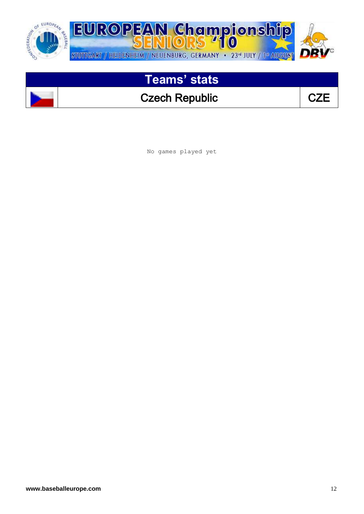

#### Czech Republic **CZE**

No games played yet

 $\overline{\phantom{a}}$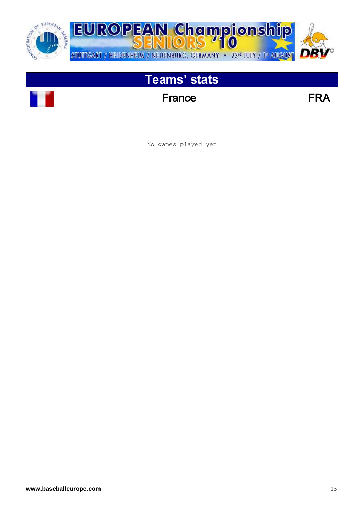

France FRA

No games played yet

 $\overline{\phantom{a}}$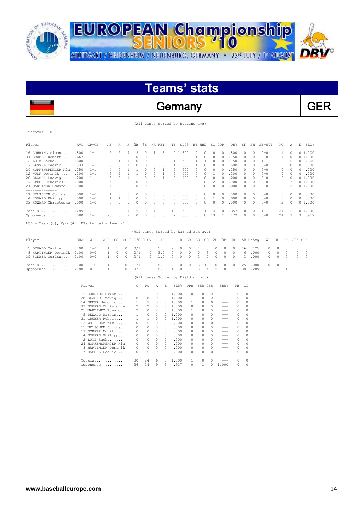

### Germany GER

(All games Sorted by Batting avg)

#### record: 1-0

 $\overline{a}$ 

| Player                                                     | AVG  | $GP - GS$ | AB | R        | Н        | 2B       | 3B       | HR. | RBI      | TB       | SLG%    | BB       | HBP      | SO.      | GDP       | OB%  | SF            | SH       | SB-ATT  | PO.            | Α        | E<br>FLD%             |
|------------------------------------------------------------|------|-----------|----|----------|----------|----------|----------|-----|----------|----------|---------|----------|----------|----------|-----------|------|---------------|----------|---------|----------------|----------|-----------------------|
| 16 GUHRING Simon                                           | .800 | $1 - 1$   | 5. |          |          |          |          |     |          |          | 9 1.800 |          |          |          | 0         | .800 | 0             | 0        | $0 - 0$ | 11             |          | 01.000                |
| 31 GRUBER Robert                                           | .667 | $1 - 1$   | 3. | 2        |          | $\Omega$ |          |     |          | 2.       | .667    |          |          |          | $\bigcap$ | .750 | $\Omega$      | 0        | $0 - 0$ | $\mathbf{1}$   | 0        | 01.000                |
| 2 LUTZ Sacha                                               | .500 | $1 - 1$   |    |          |          |          | $\Omega$ | 0   |          |          | .500    |          |          |          |           | .750 | $\Omega$      | $\cap$   | $1 - 1$ | 0              | $\Omega$ | .000<br>0             |
| 17 BASSEL Cedric                                           | .333 | $1 - 1$   | 3. |          |          |          |          | 0   | $\Omega$ |          | .333    |          | $\Omega$ | $\Omega$ | $\bigcap$ | .500 | $\Omega$      | 0        | $0 - 0$ | 0              | 0        | .000<br>$\mathcal{O}$ |
| 24 HOPFENSPERGER Kla                                       | .250 | $1 - 1$   | 4  |          |          |          | $\cap$   | 0   |          | 2        | .500    | $\Omega$ | $\Omega$ | $\Omega$ | $\Box$    | .250 | $\mathcal{O}$ | $\Omega$ | $0 - 0$ | 0              | $\Omega$ | .000<br>$\mathcal{O}$ |
| 12 WULF Dominik.                                           | .200 | $1 - 1$   | 5. |          |          |          |          |     |          |          | .400    | 0        |          |          | 0         | .200 | 0             | 0        | $0 - 0$ | 0              | 0        | .000<br>0             |
| 28 GLASER Ludwig                                           | .200 | $1 - 1$   |    |          |          |          |          |     |          |          | .400    |          |          |          |           | .200 | 0             | n        | $0 - 0$ | 8              | $\Omega$ | 01.000                |
| 14 SPEER Jendrick                                          | .000 | $1 - 1$   | 5. |          | $\Omega$ |          | $\Omega$ | 0   | 0        | $\Omega$ | .000    | 0        |          | 2        | $\bigcap$ | .000 | $\Omega$      | 0        | $0 - 0$ | $\mathfrak{D}$ | 3        | 01.000                |
| 21 MARTINEZ Edward                                         | .000 | $1 - 1$   | 4  |          |          |          |          |     | $\Omega$ | 0        | .000    |          |          | 0        |           | .000 | 0             | $\cap$   | $0 - 0$ | 0              |          | 01.000                |
| . <u>.</u> .<br>11 UELSCHEN Julius                         | .000 | $1 - 0$   |    | 0        |          |          | 0        | 0   | 0        | $\Omega$ | .000    | 0.       | $\Omega$ | $\Omega$ | $\Box$    | .000 | $\mathcal{O}$ | $\Omega$ | $0 - 0$ | 0              | $\Omega$ | .000<br>$\mathcal{O}$ |
| 4 HOWARD Philipp                                           | .000 | $1 - 0$   |    |          | $\Omega$ | 0        | 0        | 0   | 0        | 0        | .000    | 0.       | 0        |          | $\circ$   | .000 | $\Omega$      | 0        | $0 - 0$ | 0              | 0        | .000<br>0             |
| 33 HOWARD Christophe                                       | .000 | $1 - 0$   | 0. | $\Omega$ | $\cap$   |          |          | 0   | $\Omega$ | $\Omega$ | .000    | O.       |          |          | $\bigcap$ | .000 | $\mathcal{O}$ | $\Omega$ | $0 - 0$ | 2              | $\Omega$ | 01.000                |
| Totals                                                     | .289 | $1 - 1$   | 38 | 10       | 11       | 'n       |          |     | 8        | 19       | .500    | 3.       |          | 4        | $\Box$    | .357 | $\mathcal{O}$ | $\Omega$ | $1 - 1$ | 24             | 6        | 01.000                |
| Opponents                                                  | .080 | $1 - 1$   | 25 | $\Omega$ | 2        | $\Omega$ |          | 0   | 0        | 2        | .080    | ₹        | $\Omega$ | 13       |           | .179 | $\mathcal{O}$ | 0        | $0 - 0$ | 24             | 9        | .917<br>3             |
| $LOB$ - Team $(8)$ , Opp $(4)$ . DPs turned - Team $(1)$ . |      |           |    |          |          |          |          |     |          |          |         |          |          |          |           |      |               |          |         |                |          |                       |

#### (All games Sorted by Earned run avg)

| Player                                                                                                                                                                                                                                    |  |  | ERA W-L APP GS CG SHO/CBO SV IP H R ER BB SO 2B 3B HR AB B/Avq WP HBP BK SFA SHA |  |  |  |  |  |  |  |  |  |
|-------------------------------------------------------------------------------------------------------------------------------------------------------------------------------------------------------------------------------------------|--|--|----------------------------------------------------------------------------------|--|--|--|--|--|--|--|--|--|
| 5 DEWALD Martin 0.00 1-0 1 1 0 0/1 0 5.0 2 0 0 1 8 0 0 0 16 .125 0 0 0 0 0<br>8 HARTINGER Dominik 0.00 0-0 1 0 0 0/1 0 2.0 0 0 0 0 3 0 0 0 6 .000 0 0 0 0 0<br>19 SCKAER Moritz 0.00 0-0 1 0 0 0/1 0 1.0 0 0 0 2 2 0 0 0 3 .000 0 0 0 0 0 |  |  |                                                                                  |  |  |  |  |  |  |  |  |  |
| Totals 0.00 1-0 1 1 0 1/1 0 8.0 2 0 0 3 13 0 0 0 25 .080 0 0 0 0 0<br>Opponents 7.88 0-1 1 1 0 0/0 0 8.0 11 10 7 3 4 5 0 1 38 .289 1 1 1 0 0                                                                                              |  |  |                                                                                  |  |  |  |  |  |  |  |  |  |

#### (All games Sorted by Fielding pct) Player C PO A E FLD% DPs SBA CSB SBA% PB CI

| 16 GUHRING Simon     | 11       | 11             | 0        | 0        | 1,000 |   | 0        |              |       | 0            |
|----------------------|----------|----------------|----------|----------|-------|---|----------|--------------|-------|--------------|
| 28 GLASER Ludwig     | 8        | 8              | $\Omega$ | 0        | 1,000 |   | 0        | 0            | ---   | 0            |
| 14 SPEER Jendrick    | 5        | 2              | 3        | 0        | 1,000 |   | $\Omega$ | 0            |       | $\Omega$     |
| 33 HOWARD Christophe | 2        | $\mathfrak{D}$ | $\Omega$ | 0        | 1,000 | 0 | 0        | 0            | ---   | $\Omega$     |
| 21 MARTINEZ Edward   | 2        | 0              | 2        | $\Omega$ | 1,000 |   | 0        | <sup>0</sup> | ---   | $\Omega$     |
| 5 DEWALD Martin      |          | 0              |          | 0        | 1,000 | 0 | 0        | 0            | ---   | $\Omega$     |
| 31 GRUBER Robert     |          | 1.             | $\Omega$ | 0        | 1,000 | 0 | 0        | 0            | ---   | $\Omega$     |
| 12 WULF Dominik      | $\Omega$ | 0              | 0        | $\Omega$ | .000  | 0 | $\Omega$ | 0            | ---   | $\Omega$     |
| 11 UELSCHEN Julius   | 0        |                | $\Omega$ | 0        | .000  | n | 0        | 0            | ---   |              |
| 19 SCKAER Moritz     | 0        | 0              | $\Omega$ | $\Omega$ | .000  | 0 | 0        | 0            | ---   | $\Omega$     |
| 4 HOWARD Philipp     | 0        | 0              | $\Omega$ | $\Omega$ | .000  | 0 | 0        | 0            | ---   | $\Omega$     |
| 2 LUTZ Sacha         | 0        | 0              | $\Omega$ | $\Omega$ | .000  | 0 | 0        | 0            | ---   | $\Omega$     |
| 24 HOPFENSPERGER Kla | 0        | 0              | $\Omega$ | $\Omega$ | .000  | 0 | 0        | 0            | ---   | $\Omega$     |
| 8 HARTINGER Dominik  | 0        | 0              | $\cap$   | $\Omega$ | .000  | 0 | 0        | $\Omega$     | ---   | $\Omega$     |
| 17 BASSEL Cedric     | 0        | 0              | 0        | $\Omega$ | .000  | n | $\Omega$ | <sup>0</sup> |       | <sup>0</sup> |
| $Totals$             | 30       | 24             | 6        | n        | 1,000 |   | $\Omega$ |              |       |              |
| Opponents            | 36       | 24             | 9        | 3        | .917  | 0 |          |              | 1,000 | $\Omega$     |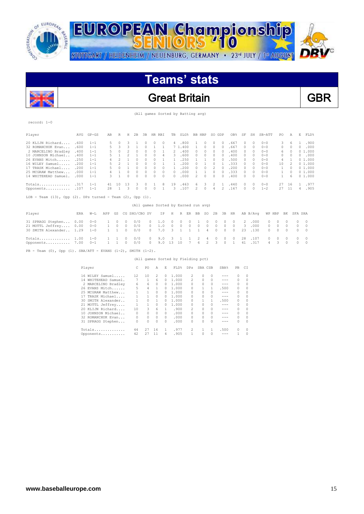

 $\overline{\phantom{a}}$ 

record: 1-0

STUTTGART / HEIDENHEIM / NEUENBURG, GERMANY · 23<sup>rd</sup> JULY / 1ª AUGUST



# **Teams' stats**

#### Great Britain **GBR**

(All games Sorted by Batting avg)

| Player                                                                | AVG  | $GP - GS$       | AB           | R              | Н            | 2B            | 3B       | HR RBI                               |              | TB           |              | SLG%           | BB HBP |                | SO GDP   |            | OB%           | SF         | SH       | SB-ATT   | PO            | Α        | E         | FLD%     |
|-----------------------------------------------------------------------|------|-----------------|--------------|----------------|--------------|---------------|----------|--------------------------------------|--------------|--------------|--------------|----------------|--------|----------------|----------|------------|---------------|------------|----------|----------|---------------|----------|-----------|----------|
| 20 KLIJN Richard                                                      | .600 | $1 - 1$         | 5            | $\Omega$       | 3            | 1             | $\Omega$ | $\Omega$                             | $\Omega$     | 4            |              | .800           | 1      | 0              | 0        | $\Omega$   | .667          | $\circ$    | 0        | $0 - 0$  | 3             | 6        |           | .900     |
| 32 ROMANCHUK Evan                                                     | .600 | $1 - 1$         |              | 3              | 3            | 1             | 0        | 1                                    | 1            |              | 7 1.400      |                | 1      | 0              | 0        | $\bigcap$  | .667          | 0          | 0        | $0 - 0$  | 0             | $\Omega$ | $\bigcap$ | .000     |
| 2 MARCELINO Bradley                                                   | .400 | $1 - 1$         | 5            | 0              | 2            | 0             | 0        | 0                                    |              | 2            |              | .400           | 0      | 0              | 0        | $^{\circ}$ | .400          | $^{\circ}$ | 0        | $0 - 0$  | 6             | 0        |           | 01.000   |
| 10 JOHNSON Michael                                                    | .400 | $1 - 1$         | 5            | 1              |              | 1             | 0        | 0                                    | 4            | 3            |              | .600           | 0      | 0              | 0        | $\Omega$   | .400          | $\Box$     | $\Omega$ | $0 - 0$  | 0             | 0        | 0         | .000     |
| 26 EVANS Mitch                                                        | .250 | $1 - 1$         |              | 2              | $\mathbf{1}$ | 0             | 0        | 0                                    |              | -1.          |              | .250           | 1      | 1              | 0        | $\Box$     | .500          | $\Box$     | 0        | $0 - 0$  | 4             |          |           | 01.000   |
| 16 WILEY Samuel                                                       | .200 | $1 - 1$         | 5            | $\mathfrak{D}$ | $\mathbf{1}$ | $\Omega$      | 0        | $\Omega$                             | 1            | $\mathbf{1}$ |              | .200           | 0      | 1              | $\Omega$ | -1.        | .333          | $\Box$     | $\Omega$ | $0 - 0$  | 10            | 2        |           | 01.000   |
| 17 TRASK Michael                                                      | .200 | $1 - 1$         | 5            | $\Omega$       | $\mathbf{1}$ | $\Omega$      | $\circ$  | $\Omega$                             | $\Omega$     | $\mathbf{1}$ |              | .200           | 0      | $\circ$        | 2        | $\Omega$   | .200          | $\Omega$   | $\circ$  | $0 - 0$  | 1             | $\Omega$ |           | 01.000   |
| 25 MCGRAW Matthew                                                     | .000 | $1 - 1$         | 4            | $\mathbf{1}$   | $\Box$       | 0             | 0        | $\circ$                              | $\Omega$     | $\Omega$     |              | .000           | 1      | 1              | 0        | $\Omega$   | .333          | $\circ$    | 0        | $0 - 0$  | 1             | $\Omega$ |           | 01.000   |
| 14 WHITEHEAD Samuel.                                                  | .000 | $1 - 1$         | 3            | $\mathbf{1}$   | $\Box$       | $\Omega$      | $\Omega$ | $\Omega$                             | $\Omega$     | $\Omega$     |              | .000           | 2      | $\circ$        | $\Omega$ | $\Omega$   | .400          | $\Omega$   | 0        | $0 - 0$  | $\mathbf{1}$  | 6        |           | 01.000   |
| Totals                                                                | .317 | $1 - 1$         | 41           | 10             | 13           | 3             | 0        |                                      | 8            | 19           |              | .463           | 6      | 3              | 2        | 1          | .440          | $^{\circ}$ | $\circ$  | $0 - 0$  | 27            | 16       |           | .977     |
| Opponents                                                             | .107 | $1 - 1$         | 28           | 1              | 3            | $\circ$       | 0        | $\circ$                              | $\mathbf{1}$ | 3            |              | .107           | 2      | $\circ$        | 4        | 2          | .167          | $\circ$    | $\circ$  | $1 - 2$  | 27            | 11       | 4         | .905     |
| LOB - Team $(13)$ , Opp $(2)$ . DPs turned - Team $(2)$ , Opp $(1)$ . |      |                 |              |                |              |               |          | (All games Sorted by Earned run avg) |              |              |              |                |        |                |          |            |               |            |          |          |               |          |           |          |
| Player                                                                | ERA  | $W-L$           | APP          | GS             |              | CG SHO/CBO SV |          |                                      | ΙP           | Η            | R            | ER             | BB     | SO             | 2B       | 3B         | HR            |            | AB B/Avq |          | WP HBP        | BK       | SFA SHA   |          |
| 31 SPRAGG Stephen                                                     | 0.00 | $0 - 0$         | 1            | 0              | 0            | 0/0           |          | 0                                    | 1.0          | 0            | 0            | 0              | 1      | $\Omega$       | 0        | 0          | 0             | 2          | .000     | 0        | 0             | $\Omega$ | 0         | 0        |
| 21 MOTTL Jeffrey                                                      | 0.00 | $0 - 0$         | 1            | 0              | 0            | 0/0           |          | 0                                    | 1.0          | $\circ$      | 0            | $\circ$        | 0      | $\circ$        | 0        | 0          | 0             | 3          | .000     | 0        | 0             | 0        | 0         | 0        |
| 30 SMITH Alexander 1.29                                               |      | $1 - 0$         | $\mathbf{1}$ | 1              | $\Omega$     | 0/0           |          | $\mathcal{O}$                        | 7.0          | 3            | $\mathbf{1}$ | $\mathbf{1}$   | 1      | 4              | 0        | $\Omega$   | $\mathcal{O}$ | 23         | .130     | 0        | 0             | $\circ$  | 0         | 0        |
| Totals 1.00                                                           |      | $1 - 0$         | 1            | 1              | $\Omega$     | 0/0           |          | $\mathcal{O}$                        | 9.0          | 3            | $\mathbf{1}$ | 1              | 2      | 4              | 0        | 0          | $\Omega$      | 28         | .107     | $\Omega$ | $\mathcal{O}$ | $\Omega$ | 0         | $\Omega$ |
| Opponents 7.00                                                        |      | $0 - 1$         | $\mathbf{1}$ | 1              | $\Omega$     | 0/0           |          | $\mathcal{O}$                        | 9.0          | 13           | 10           | $\overline{7}$ | 6      | $\mathfrak{D}$ | 3        | $\Omega$   | $\mathbf{1}$  | 41         | .317     | 4        | 3             | $\Omega$ | $\Omega$  | $\Box$   |
| $PB$ - Team (0), Opp (1). SBA/ATT - EVANS (1-2), SMITH (1-2).         |      |                 |              |                |              |               |          |                                      |              |              |              |                |        |                |          |            |               |            |          |          |               |          |           |          |
|                                                                       |      |                 |              |                |              |               |          | (All games Sorted by Fielding pct)   |              |              |              |                |        |                |          |            |               |            |          |          |               |          |           |          |
|                                                                       |      | Player          |              |                |              | C             | PO       | Α                                    | E            |              | FLD%         | <b>DPs</b>     |        | SBA CSB        |          | SBA%       | PB            | CI         |          |          |               |          |           |          |
|                                                                       |      |                 |              |                |              |               |          |                                      |              |              |              |                |        |                |          |            |               |            |          |          |               |          |           |          |
|                                                                       |      | 16 WILEY Samuel |              |                |              | 12            | 10       | 2                                    | 0            |              | 1,000        |                | 2      | $\circ$        | $\Omega$ | $-- -$     | $\Omega$      | $\Omega$   |          |          |               |          |           |          |

| 16 WILEY Samuel      | 12 | 10 | 2  | 0        | 1,000 | 2 | $\Omega$ | $\Omega$ |         | 0        | 0        |
|----------------------|----|----|----|----------|-------|---|----------|----------|---------|----------|----------|
| 14 WHITEHEAD Samuel. |    |    | 6  | 0        | 1,000 | 2 | $\Omega$ | $\Omega$ | $- - -$ | 0        | 0        |
| 2 MARCELINO Bradley  | 6  | 6  | 0  | 0        | 1,000 | 0 | $\Omega$ | $\Omega$ |         | 0        | $\Omega$ |
| 26 EVANS Mitch       |    | 4  |    | 0        | 1.000 |   |          |          | .500    | $\Omega$ | $\Omega$ |
| 25 MCGRAW Matthew    |    |    | 0  | 0        | 1,000 | 0 | $\Omega$ | $\Omega$ | $- - -$ | 0        | $\Omega$ |
| 17 TRASK Michael     |    |    | 0  | 0        | 1,000 |   | 0        | $\Omega$ | $- - -$ | 0        | 0        |
| 30 SMITH Alexander   |    | 0  |    | n.       | 1,000 | 0 |          |          | .500    | $\Omega$ | $\Omega$ |
| 21 MOTTL Jeffrey     |    |    | 0  | 0        | 1,000 |   | $\cap$   | $\Omega$ | $- - -$ | 0        | $\Omega$ |
| 20 KLLJN Richard     | 10 | 3. | 6  |          | .900  | 2 | $\Omega$ | $\Omega$ | $- - -$ | 0        | $\Omega$ |
| 10 JOHNSON Michael   | 0  | 0  | 0  | $\cap$   | .000  | 0 | $\Omega$ | $\Omega$ | $- - -$ | 0        | $\Omega$ |
| 32 ROMANCHUK Evan    | 0  | 0  | 0  | $\Omega$ | .000  |   | $\Omega$ | $\Box$   | $- - -$ | 0        | $\Omega$ |
| 31 SPRAGG Stephen    | 0  | 0  | 0  | n        | .000  |   | n        | $\cap$   | $- - -$ | n        | $\Omega$ |
| Totals               | 44 | 27 | 16 |          | .977  |   |          |          | .500    | $\Omega$ | 0        |
| Opponents            | 42 | 27 |    | 4        | .905  |   |          | $\Omega$ | ---     |          | 0        |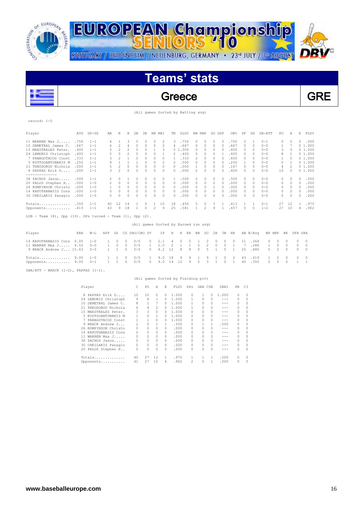

STUTTGART / HEIDENHEIM / NEUENBURG, GERMANY · 23<sup>rd</sup> JULY / 1st AUGUST



# **Teams' stats**



Greece Reserve GRE

(All games Sorted by Batting avg)

| 2000 T<br>л. |  |
|--------------|--|

| Player                                                                | AVG  | $GP - GS$ | AB             | R              | H              | 2B            | 3B       | HR RBI         |          | TB             | SLG%                                 |    | BB HBP       |                | SO GDP         |           | OB%  | SF           | SH       | SB-ATT   | PO             | A        | E.           | FLD%         |
|-----------------------------------------------------------------------|------|-----------|----------------|----------------|----------------|---------------|----------|----------------|----------|----------------|--------------------------------------|----|--------------|----------------|----------------|-----------|------|--------------|----------|----------|----------------|----------|--------------|--------------|
| 11 WARREN Max J                                                       | .750 | $1 - 1$   | 4              | 1              | 3              | $\Omega$      | $\Omega$ | $\Omega$       | 2        | 3.             | .750                                 |    | $\Omega$     | 0              | 0              | $\cap$    | .750 | 0            | 1        | $0 - 1$  | 0              | $\Omega$ | 0            | .000         |
| 10 DEMETRAL James C.                                                  | .667 | $1 - 1$   | 6              | $\overline{c}$ | 4              | $\circ$       | $\Omega$ | $\circ$        | 2        | 4              | .667                                 |    | $\Omega$     | $\Omega$       | 0              | $\cap$    | .667 | $\Omega$     | 0        | $0 - 0$  |                |          |              | 01.000       |
| 15 MAESTRALES Peter.                                                  | .400 | $1 - 1$   | 5              | $\mathfrak{D}$ | $\mathfrak{D}$ | $\Omega$      | $\Omega$ | 1              | 3        |                | 5 1.000                              |    | $\Omega$     | 0              | 0              | $\cap$    | .400 | $\Omega$     | $\Omega$ | $0 - 0$  | 3              | $\Omega$ |              | 01.000       |
| 24 LEMONIS Christoph                                                  | .400 | $1 - 1$   |                | $\cap$         | $\mathfrak{D}$ | $\circ$       | $\Omega$ | $\Omega$       |          | 2              | .400                                 |    | $\Omega$     | 0              | n              |           | .400 | $\Omega$     | $\Omega$ | $0 - 0$  | 8              |          |              | 01.000       |
| 7 PANAGOTACOS Const                                                   | .333 | $1 - 1$   | 3              | $\mathfrak{D}$ |                | $\Omega$      | $\Omega$ | $\Omega$       | $\Omega$ |                | .333                                 |    |              | 0              | 0              | $\Omega$  | .600 | $\Omega$     | $\Omega$ | $0 - 0$  |                | $\Omega$ |              | 01.000       |
| 5 KOUTSOANTONAKIS M                                                   | .250 | $1 - 1$   |                | 1              |                |               | $\cap$   | $\Omega$       | 2        | 2              | .500                                 |    | $\cap$       | <sup>0</sup>   | n              | $\cap$    | .200 | $\mathbf{1}$ | $\cap$   | $0 - 0$  | $\Omega$       |          |              | 01.000       |
| 21 THEODOROU Nichola                                                  | .000 | $1 - 1$   |                | $\overline{c}$ |                | $\Omega$      | $\Omega$ | $\Omega$       | 0        | $\Omega$       | .000                                 |    |              | 0              | 0              | n         | .167 | $\Omega$     | $\Omega$ | $0 - 0$  | 4              | 2        |              | 01.000       |
| 8 PAPPAS Erik D<br>--------------                                     | .000 | $1 - 1$   | 3              | $\mathfrak{D}$ | $\Omega$       | $\Omega$      | $\Omega$ | $\Omega$       | $\Omega$ | $\Omega$       | .000                                 |    | 2            | $\Omega$       | 0              | $\cap$    | .400 | $\Omega$     | $\Omega$ | $0 - 0$  | 10             | $\Omega$ |              | 01.000       |
| 38 ZACHOS Jason                                                       | .500 | $1 - 1$   | $\mathfrak{D}$ | $\Omega$       |                | n             | $\cap$   | $\Omega$       | $\Omega$ | 1              | .500                                 |    | $\Omega$     | 0              | <sup>0</sup>   | $\cap$    | .500 | $\Omega$     | 0        | $0 - 0$  | 0              | $\Omega$ | O.           | .000         |
| 20 PALOS Stephen H                                                    | .000 | $1 - 0$   | $\mathfrak{D}$ | $\Omega$       | $\Omega$       | $\Omega$      | $\Omega$ | $\Omega$       | $\Omega$ | $\Omega$       | .000                                 |    | $\Omega$     | $\Omega$       | $\mathfrak{D}$ | $\Omega$  | .000 | $\Omega$     | $\Omega$ | $0 - 0$  | 0              | $\Omega$ | $\Box$       | .000         |
| 26 ROMPINSON Christo                                                  | .000 | $1 - 0$   | 1.             | $\Omega$       | $\Omega$       | $\Omega$      | $\Omega$ | $\circ$        | $\Omega$ | $\Omega$       | .000                                 |    | $\Omega$     | $\Omega$       | $\mathbf{1}$   | $\bigcap$ | .000 | $\Omega$     | $\Omega$ | $0 - 0$  | 0              | $\Omega$ | $\Omega$     | .000         |
| 14 KAPOTHANASIS Cons                                                  | .000 | $1 - 0$   | 0              | $\Omega$       | $\Omega$       | $\Omega$      | $\Omega$ | $\Omega$       | $\Omega$ | $\Omega$       | .000                                 |    | $\Omega$     | $\Omega$       | $\Omega$       | $\bigcap$ | .000 | $\Omega$     | $\Omega$ | $0 - 0$  | 0              | $\Omega$ | $\Omega$     | .000         |
| 30 CHEILAKIS Panagio                                                  | .000 | $1 - 0$   | 0              | $\Omega$       | $\Omega$       | $\Omega$      | $\Omega$ | $\Omega$       | $\cap$   | $\Omega$       | .000                                 |    | $\cap$       | <sup>0</sup>   | $\Omega$       | $\cap$    | .000 | $\cap$       | 0        | $0 - 0$  | 0              | $\Omega$ | O.           | .000         |
| Totals                                                                | .350 | $1 - 1$   | 40             | 12             | 14             |               | 0        | 1              | 10       | 18             | .450                                 |    | 5            | 0              | 3              |           | .413 |              | 1        | $0 - 1$  | 27             | 12       |              | .975         |
| Opponents                                                             | .419 | $1 - 1$   | 43             | 9              | 18             | 1             | $\Omega$ | $\mathfrak{D}$ | 9        | 25             | .581                                 |    | $\mathbf{1}$ | $\mathfrak{D}$ | 9              |           | .457 | $\Box$       | $\Omega$ | $1 - 2$  | 27             | 10       | 4            | .902         |
| LOB - Team $(8)$ , Opp $(10)$ . DPs turned - Team $(1)$ , Opp $(2)$ . |      |           |                |                |                |               |          |                |          |                |                                      |    |              |                |                |           |      |              |          |          |                |          |              |              |
|                                                                       |      |           |                |                |                |               |          |                |          |                | (All games Sorted by Earned run avg) |    |              |                |                |           |      |              |          |          |                |          |              |              |
| Player                                                                | ERA  | W-L       | APP            | GS             |                | CG SHO/CBO SV |          |                | ΙP       | H              | R                                    | ER | BB           | SO.            | 2B             | 3B        | HR   |              | AB B/Avq |          | WP HBP         | BK       | SFA SHA      |              |
| 14 KAPOTHANASIS Cons                                                  | 0.00 | $1 - 0$   |                | $\Omega$       | 0              | 0/0           |          | 0              | 2.1      | $\overline{4}$ |                                      | 0  |              | 2              | 0              | 0         | 0    | 11           | .364     | $\Omega$ | 0              | n        | 0            | $\Omega$     |
| 11 WARREN Max J                                                       | 4.50 | $0 - 0$   | $\mathbf{1}$   | $\Omega$       | $\Omega$       | 0/0           |          | 1              | 2.0      | 2              | 1                                    | 1  | 0            | 2              | $\circ$        | 0         | 1    | 7            | .286     | 1        | $\circ$        | $\Omega$ | 0            | $\Omega$     |
| 9 BRACK Andrew J 15.43                                                |      | $0 - 0$   | $\mathbf{1}$   | 1              | $\Omega$       | 0/0           |          | $\mathcal{O}$  | 4.2      | 12             | 8                                    | 8  | $\Omega$     | 5              |                | $\Omega$  | 1    | 25           | .480     | $\Omega$ | $\overline{2}$ | $\Omega$ | $\Omega$     | $\Omega$     |
| Totals                                                                | 9.00 | $1 - 0$   |                |                | n              | 0/0           |          |                | 9.0      | 18             | 9                                    | 9  |              | 9              |                | $\Omega$  | 2    | 43           | .419     | 1        | 2              | 0        | 0            | $\Omega$     |
| Opponents                                                             | 9.00 | $0 - 1$   | $\mathbf{1}$   | -1             | $\Omega$       | 0/0           |          | 0              | 9.0      | 14             | 12                                   | 9  | 5            | 3              | $\mathbf{1}$   | $\circ$   | 1    | 40           | .350     | $\Omega$ | $\Omega$       | 0        | $\mathbf{1}$ | $\mathbf{1}$ |

 $SBA/ATT - BRACK (1-2)$ , PAPPAS  $(1-1)$ .

(All games Sorted by Fielding pct)

| Player |                      | C  | PO. | A            | Ε        | FLD%  | DPs                      | SBA CSB |   | SBA%  | PB       | C1       |
|--------|----------------------|----|-----|--------------|----------|-------|--------------------------|---------|---|-------|----------|----------|
| 8      | PAPPAS Erik D        | 10 | 10  | $\Omega$     | $\Omega$ | 1,000 | 0                        |         | 0 | 1,000 | $\Omega$ | 0        |
|        | 24 LEMONIS Christoph | 9  | 8   |              | 0        | 1,000 |                          | 0       | 0 | ---   | $\Omega$ | $\Omega$ |
| 10     | DEMETRAL James C.    | 8  |     | 7            | 0        | 1,000 |                          | 0       | 0 | ---   | 0        | $\Omega$ |
|        | 21 THEODOROU Nichola | 6  | 4   | 2            | 0        | 1,000 |                          |         | 0 | ---   | $\Omega$ | 0        |
|        | 15 MAESTRALES Peter. | 3  | 3   | $\Omega$     | 0        | 1,000 | 0                        | 0       | 0 | ---   | $\Omega$ | 0        |
|        | 5 KOUTSOANTONAKIS M  |    | 0   |              | 0        | 1,000 | 0                        |         | 0 | ---   | $\Omega$ | 0        |
| 7.     | PANAGOTACOS Const    |    |     | $\Omega$     | 0        | 1,000 | 0                        |         | 0 | ---   | $\Omega$ | $\Omega$ |
| 9      | BRACK Andrew J       | 2  | 0   |              |          | .500  | 0                        |         |   | .500  | $\Omega$ | 0        |
|        | 26 ROMPINSON Christo | 0  | 0   | $\Omega$     | 0        | .000  | 0                        | 0       | 0 | ---   | $\Omega$ | 0        |
|        | 14 KAPOTHANASIS Cons |    | 0   | $\Omega$     | 0        | .000  |                          |         |   | ---   | $\Omega$ | $\Omega$ |
| 11     | WARREN Max J         | 0  | 0   | $\Omega$     | 0        | .000  | n                        | 0       | 0 |       | $\Omega$ | $\Omega$ |
| 38.    | ZACHOS Jason         | 0  | 0   | <sup>0</sup> | 0        | .000  | 0                        |         | 0 | ---   | $\Omega$ | $\Omega$ |
|        | 30 CHEILAKIS Panagio | 0  | 0   | $\Omega$     | 0        | .000  | 0                        | n       | 0 | ---   | $\Omega$ | $\Omega$ |
|        | 20 PALOS Stephen H   | 0  | 0   | $\Omega$     | 0        | .000  | 0                        | n       | 0 |       | 0        | $\Omega$ |
|        | Totals               | 40 | 27  | 12           | 1        | .975  |                          |         | 1 | .500  | $\Omega$ | $\Omega$ |
|        | Opponents            | 41 | 27  | 10           | 4        | .902  | $\overline{\mathcal{L}}$ | 0       |   | .000  | $\Omega$ | 0        |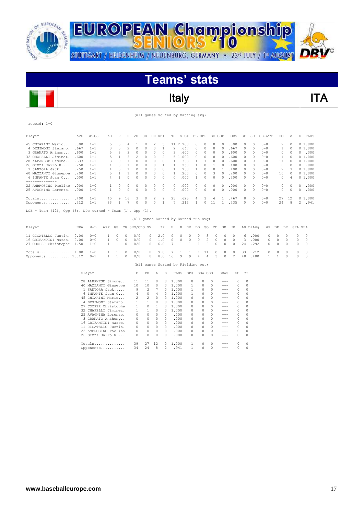

 $\overline{\phantom{a}}$ 

STUTTGART / HEIDENHEIM / NEUENBURG, GERMANY · 23<sup>rd</sup> JULY / 1ª AUGUST



## **Teams' stats**

Italy **ITA** 

| (All games Sorted by Batting avg) |  |
|-----------------------------------|--|

| record: 1-0                                                           |              |                                           |              |                          |                              |                    |                |                    |                                      |                              |              |              |                   |                    |                     |                                                                                                                                                                                                                                                                                                                                                                                                                                                                                                                                                                                                                                                                                                                                                                                              |                    |                     |                    |                    |                      |                |          |                  |
|-----------------------------------------------------------------------|--------------|-------------------------------------------|--------------|--------------------------|------------------------------|--------------------|----------------|--------------------|--------------------------------------|------------------------------|--------------|--------------|-------------------|--------------------|---------------------|----------------------------------------------------------------------------------------------------------------------------------------------------------------------------------------------------------------------------------------------------------------------------------------------------------------------------------------------------------------------------------------------------------------------------------------------------------------------------------------------------------------------------------------------------------------------------------------------------------------------------------------------------------------------------------------------------------------------------------------------------------------------------------------------|--------------------|---------------------|--------------------|--------------------|----------------------|----------------|----------|------------------|
| Player                                                                | AVG          | $GP - GS$                                 | AB           | R                        | Н                            | 2B                 | 3B             | HR RBI             |                                      | TB                           | SLG%         |              | BB HBP            |                    | SO GDP              |                                                                                                                                                                                                                                                                                                                                                                                                                                                                                                                                                                                                                                                                                                                                                                                              | OB%                | SF                  | SH                 | SB-ATT             | PO                   | Α              | E        | FLD%             |
| 45 CHIARINI Mario                                                     | .800         | $1 - 1$                                   | 5            | 3                        | 4                            | 1                  | 0              | 2                  | 5                                    |                              | 11 2.200     |              | 0                 | 0                  | 0                   | $\circ$                                                                                                                                                                                                                                                                                                                                                                                                                                                                                                                                                                                                                                                                                                                                                                                      | .800               | 0                   | 0                  | $0 - 0$            | 2                    | 0              |          | 01.000           |
| 4 DESIMONI Stefano.                                                   | .667         | $1 - 1$                                   | 3            | $\circ$                  | $\overline{2}$               | $\circ$            | 0              | $\circ$            | 1                                    | 2                            | .667         |              | 0                 | $\circ$            | $\circ$             | $\circ$                                                                                                                                                                                                                                                                                                                                                                                                                                                                                                                                                                                                                                                                                                                                                                                      | .667               | $\Omega$            | $\circ$            | $0 - 0$            | 1                    | $\Omega$       |          | 01.000           |
| 3 GRANATO Anthony                                                     | .600         | $1 - 1$                                   | 5            | 3                        | 3                            | $\circ$            | $\Omega$       | $\Omega$           | $\Omega$                             | 3                            | .600         |              | 0                 | $\circ$            | $\Omega$            | $\bigcap$                                                                                                                                                                                                                                                                                                                                                                                                                                                                                                                                                                                                                                                                                                                                                                                    | .600               | $\Omega$            | $\Omega$           | $0 - 0$            | $\Omega$             | $\Omega$       | $\Box$   | .000             |
| 32 CHAPELLI Jiminez.                                                  | .600         | $1 - 1$                                   | 5            | 1                        | 3                            | 2                  | 0              | 0                  | 2                                    |                              | 5 1.000      |              | 0                 | $\circ$            | $\circ$             | $\circ$                                                                                                                                                                                                                                                                                                                                                                                                                                                                                                                                                                                                                                                                                                                                                                                      | .600               | $\circ$             | $\circ$            | $0 - 0$            | $\mathbf{1}$         | $\circ$        |          | 01.000           |
| 28 ALBANESE Simone                                                    | .333         | $1 - 1$                                   | 3            | $\circ$                  | $\mathbf{1}$                 | $\circ$            | 0              | $\circ$            | 0                                    | $\mathbf{1}$                 | .333         |              | 1                 | $\mathbf{1}$       | $\circ$             | $\circ$                                                                                                                                                                                                                                                                                                                                                                                                                                                                                                                                                                                                                                                                                                                                                                                      | .600               | $\circ$             | $\circ$            | $0 - 0$            | 11                   | $\circ$        |          | 01.000           |
| 26 GIZZI Jairo R                                                      | .250         | $1 - 1$                                   | 4            | $\circ$                  | $\mathbf{1}$                 | $\circ$            | 0              | 0                  | 1                                    | $\mathbf{1}$                 | .250         |              | 1                 | $\circ$            | 1                   | $\circ$                                                                                                                                                                                                                                                                                                                                                                                                                                                                                                                                                                                                                                                                                                                                                                                      | .400               | 0                   | $\circ$            | $0 - 0$            | $\circ$              | $\circ$<br>7   | $\circ$  | .000             |
| 1 SANTORA Jack                                                        | .250         | $1 - 1$<br>$1 - 1$                        | 4<br>5       | $\Omega$<br>$\mathbf{1}$ | $\mathbf{1}$<br>$\mathbf{1}$ | $\circ$<br>$\circ$ | 0<br>0         | 0<br>0             | $\circ$<br>$\circ$                   | $\mathbf{1}$<br>$\mathbf{1}$ | .250         |              | $\mathbf{1}$<br>0 | $\circ$<br>$\circ$ | $\circ$<br>3        | $\mathbf{1}$<br>$\circ$                                                                                                                                                                                                                                                                                                                                                                                                                                                                                                                                                                                                                                                                                                                                                                      | .400               | $\circ$<br>$\circ$  | $\circ$<br>$\circ$ | $0 - 0$<br>$0 - 0$ | $\overline{2}$<br>10 | $\circ$        |          | 01.000<br>01.000 |
| 40 MAZZANTI Giuseppe<br>6 INFANTE Juan C                              | .200<br>.000 | $1 - 1$                                   | 4            | $\mathbf{1}$             | $\Omega$                     | $\Omega$           | $\Omega$       | $\Omega$           | $\Omega$                             | $\Omega$                     | .200<br>.000 |              | $\mathbf{1}$      | $\circ$            | $\circ$             | $\Omega$                                                                                                                                                                                                                                                                                                                                                                                                                                                                                                                                                                                                                                                                                                                                                                                     | .200<br>.200       | $\Omega$            | $\Omega$           | $0 - 0$            | $\Omega$             | $\overline{4}$ |          | 01.000           |
| --------------                                                        |              |                                           |              |                          |                              |                    |                |                    |                                      |                              |              |              |                   |                    |                     |                                                                                                                                                                                                                                                                                                                                                                                                                                                                                                                                                                                                                                                                                                                                                                                              |                    |                     |                    |                    |                      |                |          |                  |
| 22 AMBROSINO Paolino                                                  | .000         | $1 - 0$                                   | 1            | $\circ$                  | $\circ$                      | $\circ$            | 0              | $\circ$            | 0                                    | 0                            | .000         |              | $\circ$           | $\circ$            | $\circ$             | $\circ$                                                                                                                                                                                                                                                                                                                                                                                                                                                                                                                                                                                                                                                                                                                                                                                      | .000               | $\circ$             | $\circ$            | $0 - 0$            | 0                    | $\circ$        | $\circ$  | .000             |
| 25 AVAGNINA Lorenzo.                                                  | .000         | $1 - 0$                                   | 1            | $\circ$                  | $\circ$                      | $\circ$            | 0              | 0                  | $\circ$                              | 0                            | .000         |              | $\circ$           | $\circ$            | 0                   | $\circ$                                                                                                                                                                                                                                                                                                                                                                                                                                                                                                                                                                                                                                                                                                                                                                                      | .000               | 0                   | $\circ$            | $0 - 0$            | 0                    | $\circ$        | 0        | .000             |
|                                                                       |              |                                           |              |                          |                              |                    |                |                    |                                      |                              |              |              |                   |                    |                     |                                                                                                                                                                                                                                                                                                                                                                                                                                                                                                                                                                                                                                                                                                                                                                                              |                    |                     |                    |                    |                      |                |          |                  |
| Totals                                                                | .400         | $1 - 1$                                   | 40           | 9                        | 16                           | 3                  | $\circ$        | $\overline{c}$     | 9                                    | 25                           | .625         |              | 4                 | 1                  | 4                   | 1                                                                                                                                                                                                                                                                                                                                                                                                                                                                                                                                                                                                                                                                                                                                                                                            | .467               | $\Omega$            | $\Omega$           | $0 - 0$            | 27                   | 12             |          | 01.000           |
| Opponents                                                             | .212         | $1 - 1$                                   | 33           | $\mathbf{1}$             | 7                            | $\circ$            | 0              | $\circ$            | $\mathbf{1}$                         | 7                            | .212         |              | 1                 | $\circ$            | 11                  | $\mathbf{1}$                                                                                                                                                                                                                                                                                                                                                                                                                                                                                                                                                                                                                                                                                                                                                                                 | .235               | $\circ$             | $\circ$            | $0 - 0$            | 24                   | 8              | 2        | .941             |
| LOB - Team $(12)$ , Opp $(6)$ . DPs turned - Team $(1)$ , Opp $(1)$ . |              |                                           |              |                          |                              |                    |                |                    |                                      |                              |              |              |                   |                    |                     |                                                                                                                                                                                                                                                                                                                                                                                                                                                                                                                                                                                                                                                                                                                                                                                              |                    |                     |                    |                    |                      |                |          |                  |
|                                                                       |              |                                           |              |                          |                              |                    |                |                    |                                      |                              |              |              |                   |                    |                     |                                                                                                                                                                                                                                                                                                                                                                                                                                                                                                                                                                                                                                                                                                                                                                                              |                    |                     |                    |                    |                      |                |          |                  |
|                                                                       |              |                                           |              |                          |                              |                    |                |                    | (All games Sorted by Earned run avg) |                              |              |              |                   |                    |                     |                                                                                                                                                                                                                                                                                                                                                                                                                                                                                                                                                                                                                                                                                                                                                                                              |                    |                     |                    |                    |                      |                |          |                  |
| Player                                                                | ERA          | $W-L$                                     | APP          | GS                       |                              | CG SHO/CBO SV      |                |                    | ΙP                                   | Η                            | R            | ER           | BB                | SO                 | 2B                  | 3B                                                                                                                                                                                                                                                                                                                                                                                                                                                                                                                                                                                                                                                                                                                                                                                           | HR                 |                     | AB B/Avq           | WP HBP             |                      | ΒK             | SFA SHA  |                  |
| 11 CICATELLO Justin.                                                  | 0.00         | $0 - 0$                                   | 1            | $\circ$                  | $\circ$                      | 0/0                |                | 0                  | 2.0                                  | $\circ$                      | 0            | $\circ$      | 0                 | 3                  | $\circ$             | $\circ$                                                                                                                                                                                                                                                                                                                                                                                                                                                                                                                                                                                                                                                                                                                                                                                      | $\circ$            | 6                   | .000               | $\circ$            | $\circ$              | 0              | 0        | $\circ$          |
| 16 GRIFANTINI Marco.                                                  | 0.00         | $0 - 0$                                   | $\mathbf{1}$ | $\circ$                  | $\circ$                      | 0/0                |                | 0                  | 1.0                                  | $\circ$                      | 0            | $\circ$      | 0                 | 2                  | 0                   | 0                                                                                                                                                                                                                                                                                                                                                                                                                                                                                                                                                                                                                                                                                                                                                                                            | 0                  | 3                   | .000               | 0                  | $\circ$              | 0              | 0        | $\circ$          |
| 27 COOPER Christophe                                                  | 1.50         | $1 - 0$                                   | 1            | $\mathbf{1}$             | 0                            | 0/0                |                | 0                  | 6.0                                  | 7                            | 1            | $\mathbf{1}$ | 1                 | 6                  | 0                   | $\Omega$                                                                                                                                                                                                                                                                                                                                                                                                                                                                                                                                                                                                                                                                                                                                                                                     | $\circ$            | 24                  | .292               | 0                  | 0                    | 0              | 0        | $\circ$          |
|                                                                       |              |                                           |              |                          |                              |                    |                |                    |                                      |                              |              |              |                   |                    |                     |                                                                                                                                                                                                                                                                                                                                                                                                                                                                                                                                                                                                                                                                                                                                                                                              |                    |                     |                    |                    |                      |                |          |                  |
| Totals                                                                | 1.00         | $1 - 0$                                   | 1            | 1                        | 0                            | 0/0                |                | 0                  | 9.0                                  | 7                            | 1            | 1            | 1                 | 11                 | 0                   | 0                                                                                                                                                                                                                                                                                                                                                                                                                                                                                                                                                                                                                                                                                                                                                                                            | 0                  | 33                  | .212               | 0                  | 0                    | 0              | 0        | 0                |
| Opponents 10.12                                                       |              | $0 - 1$                                   | 1            | 1                        | $\Omega$                     | 0/0                |                | 0                  | 8.0                                  | 16                           | 9            | 9            | 4                 | $\overline{4}$     | 3                   | $\Omega$                                                                                                                                                                                                                                                                                                                                                                                                                                                                                                                                                                                                                                                                                                                                                                                     | $\mathfrak{D}$     | 40                  | .400               | 1                  | 1                    | $\Omega$       | $\Omega$ | $\Omega$         |
|                                                                       |              |                                           |              |                          |                              |                    |                |                    |                                      |                              |              |              |                   |                    |                     |                                                                                                                                                                                                                                                                                                                                                                                                                                                                                                                                                                                                                                                                                                                                                                                              |                    |                     |                    |                    |                      |                |          |                  |
|                                                                       |              |                                           |              |                          |                              | (All               |                |                    | games Sorted by Fielding pct)        |                              |              |              |                   |                    |                     |                                                                                                                                                                                                                                                                                                                                                                                                                                                                                                                                                                                                                                                                                                                                                                                              |                    |                     |                    |                    |                      |                |          |                  |
|                                                                       |              | Player                                    |              |                          |                              | С                  | PO             | Α                  | Ε                                    |                              | FLD%         | DPs          |                   | SBA CSB            |                     | SBA%                                                                                                                                                                                                                                                                                                                                                                                                                                                                                                                                                                                                                                                                                                                                                                                         | PB                 | C1                  |                    |                    |                      |                |          |                  |
|                                                                       |              | 28 ALBANESE Simone                        |              |                          |                              | 11                 | 11             | 0                  | 0                                    |                              | 1,000        | 0            |                   | 0                  | $\Omega$            | $\frac{1}{2} \frac{1}{2} \frac{1}{2} \frac{1}{2} \frac{1}{2} \frac{1}{2} \frac{1}{2} \frac{1}{2} \frac{1}{2} \frac{1}{2} \frac{1}{2} \frac{1}{2} \frac{1}{2} \frac{1}{2} \frac{1}{2} \frac{1}{2} \frac{1}{2} \frac{1}{2} \frac{1}{2} \frac{1}{2} \frac{1}{2} \frac{1}{2} \frac{1}{2} \frac{1}{2} \frac{1}{2} \frac{1}{2} \frac{1}{2} \frac{1}{2} \frac{1}{2} \frac{1}{2} \frac{1}{2} \frac{$                                                                                                                                                                                                                                                                                                                                                                                                 | $\circ$            | $\Omega$            |                    |                    |                      |                |          |                  |
|                                                                       |              | 40 MAZZANTI Giuseppe                      |              |                          |                              | 10                 | 10             | $\circ$            | $\Omega$                             |                              | 1,000        | 1            |                   | 0                  | $\Omega$            | $- - -$                                                                                                                                                                                                                                                                                                                                                                                                                                                                                                                                                                                                                                                                                                                                                                                      | $\circ$            | $\Omega$            |                    |                    |                      |                |          |                  |
|                                                                       |              | 1 SANTORA Jack                            |              |                          |                              | 9                  | $\overline{c}$ | 7                  | $\Omega$                             |                              | 1,000        | $\mathbf{1}$ |                   | $\Omega$           | $\Omega$            | $\frac{1}{2} \frac{1}{2} \frac{1}{2} \frac{1}{2} \frac{1}{2} \frac{1}{2} \frac{1}{2} \frac{1}{2} \frac{1}{2} \frac{1}{2} \frac{1}{2} \frac{1}{2} \frac{1}{2} \frac{1}{2} \frac{1}{2} \frac{1}{2} \frac{1}{2} \frac{1}{2} \frac{1}{2} \frac{1}{2} \frac{1}{2} \frac{1}{2} \frac{1}{2} \frac{1}{2} \frac{1}{2} \frac{1}{2} \frac{1}{2} \frac{1}{2} \frac{1}{2} \frac{1}{2} \frac{1}{2} \frac{$                                                                                                                                                                                                                                                                                                                                                                                                 | $\Omega$           | $\Omega$            |                    |                    |                      |                |          |                  |
|                                                                       |              | 6 INFANTE Juan C                          |              |                          |                              | 4                  | $\circ$        | 4                  | $\Omega$                             |                              | 1,000        | 1            |                   | 0                  | $\Omega$            | $\qquad \qquad - -$                                                                                                                                                                                                                                                                                                                                                                                                                                                                                                                                                                                                                                                                                                                                                                          | $\circ$            | $\Omega$            |                    |                    |                      |                |          |                  |
|                                                                       |              | 45 CHIARINI Mario                         |              |                          |                              | 2                  | $\overline{c}$ | $\circ$            | 0                                    |                              | 1,000        | 0            |                   | 0                  | $\Omega$            | $\qquad \qquad - -$                                                                                                                                                                                                                                                                                                                                                                                                                                                                                                                                                                                                                                                                                                                                                                          | $\circ$            | $\Omega$            |                    |                    |                      |                |          |                  |
|                                                                       |              | 4 DESIMONI Stefano.                       |              |                          |                              | $\mathbf{1}$       | $\mathbf{1}$   | $\circ$            | 0                                    |                              | 1.000        | 0            |                   | 0                  | $\Omega$            | $- - -$                                                                                                                                                                                                                                                                                                                                                                                                                                                                                                                                                                                                                                                                                                                                                                                      | $\circ$            | $\Omega$            |                    |                    |                      |                |          |                  |
|                                                                       |              | 27 COOPER Christophe                      |              |                          |                              | $\mathbf{1}$       | 0              | 1                  | 0                                    |                              | 1.000        | 0            |                   | $\circ$            | $\Omega$            | $- - -$                                                                                                                                                                                                                                                                                                                                                                                                                                                                                                                                                                                                                                                                                                                                                                                      | $\circ$            | $\Omega$            |                    |                    |                      |                |          |                  |
|                                                                       |              | 32 CHAPELLI Jiminez.                      |              |                          |                              | $\mathbf{1}$       | $\mathbf{1}$   | $\Omega$           | 0                                    |                              | 1,000        |              | $\Omega$          | $\circ$            | $\Omega$            | $\qquad \qquad - -$                                                                                                                                                                                                                                                                                                                                                                                                                                                                                                                                                                                                                                                                                                                                                                          | $\circ$            | $\Omega$            |                    |                    |                      |                |          |                  |
|                                                                       |              | 25 AVAGNINA Lorenzo.                      |              |                          |                              | 0                  | 0              | $\circ$            | 0                                    |                              | .000         |              | 0                 | $\circ$            | $\circ$             | $\frac{1}{2} \frac{1}{2} \frac{1}{2} \frac{1}{2} \frac{1}{2} \frac{1}{2} \frac{1}{2} \frac{1}{2} \frac{1}{2} \frac{1}{2} \frac{1}{2} \frac{1}{2} \frac{1}{2} \frac{1}{2} \frac{1}{2} \frac{1}{2} \frac{1}{2} \frac{1}{2} \frac{1}{2} \frac{1}{2} \frac{1}{2} \frac{1}{2} \frac{1}{2} \frac{1}{2} \frac{1}{2} \frac{1}{2} \frac{1}{2} \frac{1}{2} \frac{1}{2} \frac{1}{2} \frac{1}{2} \frac{$                                                                                                                                                                                                                                                                                                                                                                                                 | $\circ$            | $\circ$             |                    |                    |                      |                |          |                  |
|                                                                       |              | 3 GRANATO Anthony<br>16 GRIFANTINI Marco. |              |                          |                              | 0<br>0             | 0<br>0         | $\circ$<br>$\circ$ | $\circ$<br>$\Omega$                  |                              | .000<br>.000 |              | 0<br>0            | $\circ$<br>0       | $\circ$<br>$\Omega$ | $\frac{1}{2} \frac{1}{2} \frac{1}{2} \frac{1}{2} \frac{1}{2} \frac{1}{2} \frac{1}{2} \frac{1}{2} \frac{1}{2} \frac{1}{2} \frac{1}{2} \frac{1}{2} \frac{1}{2} \frac{1}{2} \frac{1}{2} \frac{1}{2} \frac{1}{2} \frac{1}{2} \frac{1}{2} \frac{1}{2} \frac{1}{2} \frac{1}{2} \frac{1}{2} \frac{1}{2} \frac{1}{2} \frac{1}{2} \frac{1}{2} \frac{1}{2} \frac{1}{2} \frac{1}{2} \frac{1}{2} \frac{$<br>$\frac{1}{2} \frac{1}{2} \frac{1}{2} \frac{1}{2} \frac{1}{2} \frac{1}{2} \frac{1}{2} \frac{1}{2} \frac{1}{2} \frac{1}{2} \frac{1}{2} \frac{1}{2} \frac{1}{2} \frac{1}{2} \frac{1}{2} \frac{1}{2} \frac{1}{2} \frac{1}{2} \frac{1}{2} \frac{1}{2} \frac{1}{2} \frac{1}{2} \frac{1}{2} \frac{1}{2} \frac{1}{2} \frac{1}{2} \frac{1}{2} \frac{1}{2} \frac{1}{2} \frac{1}{2} \frac{1}{2} \frac{$ | $\circ$<br>$\circ$ | $\circ$<br>$\Omega$ |                    |                    |                      |                |          |                  |
|                                                                       |              | 11 CICATELLO Justin.                      |              |                          |                              | 0                  | $\Omega$       | $\Omega$           | 0                                    |                              | .000         | 0            |                   | 0                  | $\Omega$            | $\qquad \qquad - -$                                                                                                                                                                                                                                                                                                                                                                                                                                                                                                                                                                                                                                                                                                                                                                          | 0                  | O                   |                    |                    |                      |                |          |                  |
|                                                                       |              | 22 AMBROSINO Paolino                      |              |                          |                              | 0                  | 0              | $\circ$            | $\Omega$                             |                              | .000         | 0            |                   | $\Omega$           | $\Omega$            | $\frac{1}{2} \frac{1}{2} \frac{1}{2} \frac{1}{2} \frac{1}{2} \frac{1}{2} \frac{1}{2} \frac{1}{2} \frac{1}{2} \frac{1}{2} \frac{1}{2} \frac{1}{2} \frac{1}{2} \frac{1}{2} \frac{1}{2} \frac{1}{2} \frac{1}{2} \frac{1}{2} \frac{1}{2} \frac{1}{2} \frac{1}{2} \frac{1}{2} \frac{1}{2} \frac{1}{2} \frac{1}{2} \frac{1}{2} \frac{1}{2} \frac{1}{2} \frac{1}{2} \frac{1}{2} \frac{1}{2} \frac{$                                                                                                                                                                                                                                                                                                                                                                                                 | $\circ$            | $\Omega$            |                    |                    |                      |                |          |                  |
|                                                                       |              | 26 GIZZI Jairo R                          |              |                          |                              | $\Omega$           | $\Omega$       | $\Omega$           | $\Omega$                             |                              | .000         | $\Omega$     |                   | $\cap$             | $\cap$              | $\frac{1}{2} \frac{1}{2} \frac{1}{2} \frac{1}{2} \frac{1}{2} \frac{1}{2} \frac{1}{2} \frac{1}{2} \frac{1}{2} \frac{1}{2} \frac{1}{2} \frac{1}{2} \frac{1}{2} \frac{1}{2} \frac{1}{2} \frac{1}{2} \frac{1}{2} \frac{1}{2} \frac{1}{2} \frac{1}{2} \frac{1}{2} \frac{1}{2} \frac{1}{2} \frac{1}{2} \frac{1}{2} \frac{1}{2} \frac{1}{2} \frac{1}{2} \frac{1}{2} \frac{1}{2} \frac{1}{2} \frac{$                                                                                                                                                                                                                                                                                                                                                                                                 | $\Omega$           | $\cap$              |                    |                    |                      |                |          |                  |

Totals.............. 39 27 12 0 1.000 1 0 0 --- 0 0 Opponents........... 34 24 8 2 .941 1 0 0 --- 0 0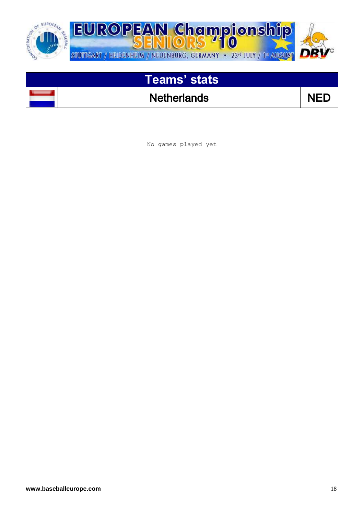

### Netherlands NED

No games played yet

 $\overline{\phantom{a}}$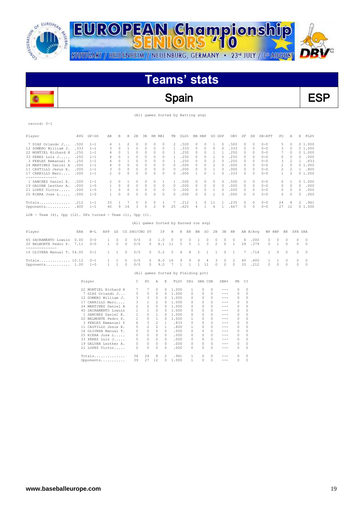

 $\overline{a}$ 

record: 0-1

価

**EUROPEAN Championship** STUTTGART / HEIDENHEIM / NEUENBURG, GERMANY . 23d JULY / 1st AUGUST



# **Teams' stats**

#### Spain ESP

|  |  |  |  |  | (All games Sorted by Batting avg) |  |
|--|--|--|--|--|-----------------------------------|--|
|--|--|--|--|--|-----------------------------------|--|

| Player                                                                | AVG  | $GP - GS$            | AВ             | R            | Η            | 2B             | 3B             | HR RBI                               |          | TB           | SLG%         |              | BB HBP       |              | SO GDP         |                                                                                                                                                                                                                                                                                                                                                                                              | OB%          | SF       | SH       | SB-ATT   | PO.     | Α        |              | E FLD <sup>§</sup> |
|-----------------------------------------------------------------------|------|----------------------|----------------|--------------|--------------|----------------|----------------|--------------------------------------|----------|--------------|--------------|--------------|--------------|--------------|----------------|----------------------------------------------------------------------------------------------------------------------------------------------------------------------------------------------------------------------------------------------------------------------------------------------------------------------------------------------------------------------------------------------|--------------|----------|----------|----------|---------|----------|--------------|--------------------|
| 7 DIAZ Orlando J                                                      | .500 | $1 - 1$              | 4              | $\mathbf{1}$ | 2            | 0              | 0              | 0                                    | $\Omega$ | 2            | .500         |              | 0            | 0            | 1              | $\Omega$                                                                                                                                                                                                                                                                                                                                                                                     | .500         | 0        | 0        | $0 - 0$  | 5       | $\Omega$ |              | 01.000             |
| 12 DOMERO William J.                                                  | .333 | $1 - 1$              | 3              | 0            | 1            | $\circ$        | $\circ$        | 0                                    | 0        | $\mathbf{1}$ | .333         |              | $\circ$      | 0            | $\circ$        | $\circ$                                                                                                                                                                                                                                                                                                                                                                                      | .333         | $\circ$  | $\circ$  | $0 - 0$  | 3       | $\circ$  |              | 01.000             |
| 22 MONTIEL Richard H                                                  | .250 | $1 - 1$              | 4              | 0            | 1            | 0              | 0              | 0                                    | 0        | 1            | .250         |              | 0            | $\circ$      | 1              | $\mathbf{1}$                                                                                                                                                                                                                                                                                                                                                                                 | .250         | 0        | 0        | $0 - 0$  | 7       | 0        |              | 01.000             |
| 33 PEREZ Luis J                                                       | .250 | $1 - 1$              | 4              | 0            | 1            | 0              | 0              | 0                                    | 0        | 1            | .250         |              | 0            | 0            | 1              | 0                                                                                                                                                                                                                                                                                                                                                                                            | .250         | 0        | 0        | $0 - 0$  | 0       | 0        | 0            | .000               |
| 3 FEBLES Emmanuel Y                                                   | .250 | $1 - 1$              | $\overline{4}$ | $\Omega$     | $\mathbf{1}$ | 0              | 0              | $\Omega$                             | $\Omega$ | 1.           | .250         |              | 0            | $\Omega$     | $\overline{c}$ | $\Omega$                                                                                                                                                                                                                                                                                                                                                                                     | .250         | $\Omega$ | $\Omega$ | $0 - 0$  | 3       | 2        | $\mathbf{1}$ | .833               |
| 24 MARTINEZ Daniel A                                                  | .000 | $1 - 1$              | 4              | 0            | $\circ$      | 0              | 0              | 0                                    | 0        | 0            | .000         |              | 0            | 0            | 2              | 0                                                                                                                                                                                                                                                                                                                                                                                            | .000         | $\circ$  | 0        | $0 - 0$  | 2       | 0        |              | 01.000             |
| 11 CASTILLO Jesus E.                                                  | .000 | $1 - 1$              | 3              | $\Omega$     | 0            | 0              | 0              | 0                                    | 0        | $\Omega$     | .000         |              | 0            | 0            | 1              | 0                                                                                                                                                                                                                                                                                                                                                                                            | .000         | 0        | 0        | $0 - 0$  | 2       | 2        |              | 1 .800             |
| 17 CARRILLO Marc                                                      | .000 | $1 - 1$              | 2              | 0            | $\circ$      | $\circ$        | 0              | 0                                    | 0        | $\Omega$     | .000         |              | 1            | 0            | 1              | $\circ$                                                                                                                                                                                                                                                                                                                                                                                      | .333         | $\circ$  | $\circ$  | $0 - 0$  | 1       | 2        |              | 01.000             |
| --------------<br>1 SANCHEZ Daniel E.                                 | .500 | $1 - 1$              | 2              | 0            | 1            | 0              | 0              | 0                                    | 1        | $\mathbf{1}$ | .500         |              | 0            | 0            | $\circ$        | 0                                                                                                                                                                                                                                                                                                                                                                                            | .500         | 0        | $\circ$  | $0 - 0$  | 0       | 1        |              | 01.000             |
| 19 GALVAN Lesther A.                                                  | .000 | $1 - 0$              | 1              | 0            | $\circ$      | $\circ$        | $\circ$        | 0                                    | $\circ$  | 0            | .000         |              | 0            | $\circ$      | 0              | $\circ$                                                                                                                                                                                                                                                                                                                                                                                      | .000         | $\circ$  | 0        | $0 - 0$  | 0       | $\circ$  | 0            | .000               |
| 21 LOPEZ Victor                                                       | .000 | $1 - 0$              | 1              | 0            | 0            | 0              | 0              | 0                                    | 0        | 0            | .000         |              | 0            | 0            | 1              | 0                                                                                                                                                                                                                                                                                                                                                                                            | .000         | $\circ$  | 0        | $0 - 0$  | 0       | 0        | $\circ$      | .000               |
| 25 RIERA Jose L . 000                                                 |      | $1 - 0$              | 1              | 0            | $\circ$      | $\circ$        | 0              | 0                                    | 0        | $\Omega$     | .000         |              | 0            | 0            | 1              | $\Omega$                                                                                                                                                                                                                                                                                                                                                                                     | .000         | $\circ$  | $\circ$  | $0 - 0$  | $\circ$ | $\circ$  | $\Omega$     | .000               |
| $Totals$ 212                                                          |      | $1 - 1$              | 33             | 1            | 7            | 0              | 0              | 0                                    | 1        | 7            | .212         |              | 1            | 0            | 11             | 1                                                                                                                                                                                                                                                                                                                                                                                            | .235         | $\circ$  | $\circ$  | $0 - 0$  | 24      | 8        | 2            | .941               |
| Opponents                                                             | .400 | $1 - 1$              | 40             | 9            | 16           | 3              | $\circ$        | 2                                    | 9        | 25           | .625         |              | 4            | $\mathbf{1}$ | 4              | $\mathbf{1}$                                                                                                                                                                                                                                                                                                                                                                                 | .467         | 0        | $\circ$  | $0 - 0$  | 27      | 12       |              | 01.000             |
| LOB - Team $(6)$ , Opp $(12)$ . DPs turned - Team $(1)$ , Opp $(1)$ . |      |                      |                |              |              |                |                |                                      |          |              |              |              |              |              |                |                                                                                                                                                                                                                                                                                                                                                                                              |              |          |          |          |         |          |              |                    |
|                                                                       |      |                      |                |              |              |                |                | (All games Sorted by Earned run avg) |          |              |              |              |              |              |                |                                                                                                                                                                                                                                                                                                                                                                                              |              |          |          |          |         |          |              |                    |
| Player                                                                | ERA  | $W-L$                | APP            | GS           |              | CG SHO/CBO SV  |                |                                      | ΙP       | Η            |              | R ER         | BB           | so           | 2В             | 3B                                                                                                                                                                                                                                                                                                                                                                                           | HR           |          | AB B/Avq | WP HBP   |         | ΒK       | SFA SHA      |                    |
| 45 SACRAMENTO Lowuin                                                  | 0.00 | $0 - 0$              | 1              | 0            | 0            | 0/0            |                | 0                                    | 1.0      | 0            | 0            | 0            | 1            | 0            | 0              | 0                                                                                                                                                                                                                                                                                                                                                                                            | 0            | 4        | .000     | 0        | 0       | 0        | $\circ$      | $\circ$            |
| 20 BELMONTE Pedro P.<br>--------------                                | 7.11 | $0 - 0$              | 1              | 0            | $\circ$      | 0/0            |                | $\Omega$                             | 6.1      | 11           | 5            | 5            | $\mathbf{1}$ | 3            | $\overline{c}$ | $\Omega$                                                                                                                                                                                                                                                                                                                                                                                     | $\mathbf{1}$ | 29       | .379     | $\Omega$ | 1       | 0        | $\Omega$     | $\Omega$           |
| 16 OLIVERA Manual T. 54.00                                            |      | $0 - 1$              | 1              | $\mathbf{1}$ | 0            | 0/0            |                | 0                                    | 0.2      | 5            | 4            | 4            | 2            | 1            | 1              | 0                                                                                                                                                                                                                                                                                                                                                                                            | $\mathbf{1}$ | 7        | .714     | 1        | 0       | 0        | 0            | 0                  |
| Totals 10.12                                                          |      | $0 - 1$              | 1              | 1            | 0            | 0/0            |                | 0                                    | 8.0      | 16           | 9            | 9            | 4            | 4            | 3              | 0                                                                                                                                                                                                                                                                                                                                                                                            | 2            | 40       | .400     | -1       | 1       | 0        | 0            | 0                  |
| Opponents 1.00                                                        |      | $1 - 0$              | 1              | $\mathbf{1}$ | $\circ$      | 0/0            |                | 0                                    | 9.0      | 7            | $\mathbf{1}$ | $\mathbf{1}$ |              | $1 \quad 11$ | $\circ$        | $\circ$                                                                                                                                                                                                                                                                                                                                                                                      | 0            | 33       | .212     | 0        | $\circ$ | 0        | $\circ$      | 0                  |
|                                                                       |      |                      |                |              |              |                |                | (All games Sorted by Fielding pct)   |          |              |              |              |              |              |                |                                                                                                                                                                                                                                                                                                                                                                                              |              |          |          |          |         |          |              |                    |
|                                                                       |      | Player               |                |              |              | С              | PO             | Α                                    | Ε        |              | FLD%         |              | DPs SBA CSB  |              |                | SBA%                                                                                                                                                                                                                                                                                                                                                                                         | PB.          | CI       |          |          |         |          |              |                    |
|                                                                       |      | 22 MONTIEL Richard H |                |              |              | 7              | 7              | $\circ$                              | $\circ$  | 1.000        |              | 1            |              | 0            | $\Box$         | $- - -$                                                                                                                                                                                                                                                                                                                                                                                      | $\circ$      | $\circ$  |          |          |         |          |              |                    |
|                                                                       |      | 7 DIAZ Orlando J     |                |              |              | 5              | 5              | $\Omega$                             | 0        | 1.000        |              | 0            |              | 0            | $\Omega$       | $- - -$                                                                                                                                                                                                                                                                                                                                                                                      | 0            | $\Omega$ |          |          |         |          |              |                    |
|                                                                       |      | 12 DOMERO William J. |                |              |              | 3              | 3              | 0                                    | 0        | 1.000        |              | 0            |              | 0            | $\Omega$       | $\frac{1}{2} \frac{1}{2} \frac{1}{2} \frac{1}{2} \frac{1}{2} \frac{1}{2} \frac{1}{2} \frac{1}{2} \frac{1}{2} \frac{1}{2} \frac{1}{2} \frac{1}{2} \frac{1}{2} \frac{1}{2} \frac{1}{2} \frac{1}{2} \frac{1}{2} \frac{1}{2} \frac{1}{2} \frac{1}{2} \frac{1}{2} \frac{1}{2} \frac{1}{2} \frac{1}{2} \frac{1}{2} \frac{1}{2} \frac{1}{2} \frac{1}{2} \frac{1}{2} \frac{1}{2} \frac{1}{2} \frac{$ | $\circ$      | $\Omega$ |          |          |         |          |              |                    |
|                                                                       |      | 17 CARRILLO Marc     |                |              |              | 3              | $\mathbf{1}$   | 2                                    | $\Omega$ | 1.000        |              | 0            |              | 0            | $\Omega$       | $\qquad \qquad - -$                                                                                                                                                                                                                                                                                                                                                                          | $\circ$      | $\Omega$ |          |          |         |          |              |                    |
|                                                                       |      | 24 MARTINEZ Daniel A |                |              |              | $\overline{c}$ | $\overline{2}$ | $\circ$                              | $\circ$  | 1.000        |              | 0            |              | 0            | $\circ$        | $- - -$                                                                                                                                                                                                                                                                                                                                                                                      | 0            | $\circ$  |          |          |         |          |              |                    |
|                                                                       |      | 45 SACRAMENTO Lowuin |                |              |              | 1              | $\mathbf{1}$   | 0                                    | $\circ$  | 1.000        |              | 0            |              | 0            | 0              | $- - -$                                                                                                                                                                                                                                                                                                                                                                                      | 0            | 0        |          |          |         |          |              |                    |
|                                                                       |      | 1 SANCHEZ Daniel E.  |                |              |              | 1              | $\circ$        | 1                                    | 0        | 1,000        |              | 0            |              | 0            | 0              | $- - -$                                                                                                                                                                                                                                                                                                                                                                                      | $\circ$      | $\circ$  |          |          |         |          |              |                    |
|                                                                       |      | 20 BELMONTE Pedro P. |                |              |              | 1              | $\Omega$       | 1                                    | 0        | 1.000        |              | 1            |              | 0            | $\Omega$       | $\frac{1}{2} \frac{1}{2} \frac{1}{2} \frac{1}{2} \frac{1}{2} \frac{1}{2} \frac{1}{2} \frac{1}{2} \frac{1}{2} \frac{1}{2} \frac{1}{2} \frac{1}{2} \frac{1}{2} \frac{1}{2} \frac{1}{2} \frac{1}{2} \frac{1}{2} \frac{1}{2} \frac{1}{2} \frac{1}{2} \frac{1}{2} \frac{1}{2} \frac{1}{2} \frac{1}{2} \frac{1}{2} \frac{1}{2} \frac{1}{2} \frac{1}{2} \frac{1}{2} \frac{1}{2} \frac{1}{2} \frac{$ | $\circ$      | $\Omega$ |          |          |         |          |              |                    |
|                                                                       |      | 3 FEBLES Emmanuel Y  |                |              |              | 6              | 3              | $\overline{2}$                       | 1        |              | .833         | 0            |              | 0            | $\Omega$       | $- - -$                                                                                                                                                                                                                                                                                                                                                                                      | 0            | $\Omega$ |          |          |         |          |              |                    |
|                                                                       |      | 11 CASTILLO Jesus E. |                |              |              | 5              | 2              | $\overline{2}$                       | 1        |              | .800         | $\mathbf{1}$ |              | 0            | $\circ$        | $- - -$                                                                                                                                                                                                                                                                                                                                                                                      | $\circ$      | $\circ$  |          |          |         |          |              |                    |
|                                                                       |      | 16 OLIVERA Manual T. |                |              |              | 0              | $\circ$        | $\circ$                              | $\Omega$ |              | .000         | 0            |              | 0            | 0              | $\qquad \qquad - -$                                                                                                                                                                                                                                                                                                                                                                          | $\circ$      | $\Omega$ |          |          |         |          |              |                    |
|                                                                       |      | 25 RIERA Jose L      |                |              |              | 0              | $\circ$        | $\circ$                              | $\Omega$ |              | .000         | 0            |              | 0            | $\circ$        | $- - -$                                                                                                                                                                                                                                                                                                                                                                                      | 0            | $\circ$  |          |          |         |          |              |                    |
|                                                                       |      | 33 PEREZ Luis J      |                |              |              | 0              | $\circ$        | $\circ$                              | $\Omega$ |              | .000         | 0            |              | 0            | $\Box$         | $\qquad \qquad - -$                                                                                                                                                                                                                                                                                                                                                                          | $\circ$      | $\circ$  |          |          |         |          |              |                    |
|                                                                       |      | 19 GALVAN Lesther A. |                |              |              | 0              | $\circ$        | $\circ$                              | 0        |              | .000         | $\circ$      |              | 0            | $\circ$        | $- - -$                                                                                                                                                                                                                                                                                                                                                                                      | 0            | 0        |          |          |         |          |              |                    |
|                                                                       |      | 21 LOPEZ Victor      |                |              |              | $\Omega$       | $\cap$         | $\cap$                               | $\cap$   |              | .000         | $\cap$       |              | $\cap$       | $\cap$         | $- - -$                                                                                                                                                                                                                                                                                                                                                                                      | 0            | $\cap$   |          |          |         |          |              |                    |

Totals.............. 34 24 8 2 .941 1 0 0 --- 0 0 Opponents........... 39 27 12 0 1.000 1 0 0 --- 0 0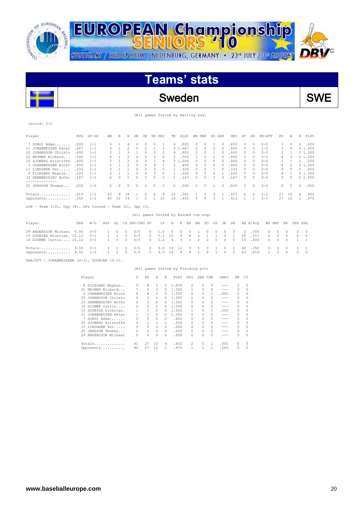



(All games Sorted by Batting avg)

| Player                                                                   | AVG  | $GP - GS$ | AB           | R              | Н              | 2B                                   | 3B       | HR RBI   |          | TB             | SLG%    |      | BB HBP       |               | SO GDP   |              | OB <sub>8</sub> | SF            | SH       | SB-ATT   | PO.            |          | Α        | E            | FLD% |
|--------------------------------------------------------------------------|------|-----------|--------------|----------------|----------------|--------------------------------------|----------|----------|----------|----------------|---------|------|--------------|---------------|----------|--------------|-----------------|---------------|----------|----------|----------------|----------|----------|--------------|------|
| 7 SORGI Adam                                                             | .800 | $1 - 1$   | 5            |                | 4              | n                                    |          | $\Omega$ |          | $\overline{4}$ | .800    |      | $\Omega$     | $\Omega$      |          | $\Omega$     | .800            | $\Omega$      | $\Omega$ | $0 - 0$  | 3              |          | $\Omega$ | 2            | .600 |
| 11 JOHANNESSEN Peter                                                     | .667 | $1 - 1$   | 3            | $\overline{c}$ | $\overline{2}$ | $\circ$                              | 0        |          |          |                | 5 1.667 |      | 0            | 2             | $\Omega$ | $\Omega$     | .800            | $\Omega$      | $\Omega$ | $1 - 2$  | 1              |          | $\Omega$ | 01.000       |      |
| 20 JOHANSSON Christo                                                     | .600 | $1 - 1$   |              |                | 3              |                                      | $\Omega$ | $\circ$  |          | 4              |         | .800 | $\Omega$     | $\Omega$      |          | $\Omega$     | .600            | $\Omega$      | $\Omega$ | $0 - 0$  | 3              |          |          | 01.000       |      |
| 22 REIMER Rickard                                                        | .500 | $1 - 1$   |              |                | $\mathcal{D}$  | $\Omega$                             | $\Omega$ | $\Omega$ | $\Omega$ | 2.             | .500    |      |              | $\mathcal{O}$ | 2        | $\Omega$     | .600            | $\mathcal{O}$ | $\Omega$ | $0 - 0$  | 4              |          | 3        | 01.000       |      |
| 24 SJOBERG Kristoffe                                                     | .400 | $1 - 1$   |              |                |                | $\Omega$                             |          |          | 4        |                | 51.000  |      | <sup>0</sup> | $\Omega$      | 0        | $\Omega$     | .400            | 0             | $\cap$   | $0 - 0$  |                |          |          | 2            | .500 |
| 5 JOHANNESSEN Bjorn                                                      | .400 | $1 - 1$   |              |                | $\mathfrak{D}$ | $\Omega$                             | $\Omega$ | $\Omega$ |          | 2              | .400    |      | $\Omega$     | $\mathcal{O}$ | $\Omega$ | $\bigcap$    | .400            | O.            | $\cap$   | $0 - 0$  | 4              |          | 2        | 01.000       |      |
| 13 LINDGREN Per                                                          | .333 | $1 - 1$   | 3            |                |                | $\Omega$                             | $\Omega$ | $\Omega$ | $\Omega$ | 1              |         | .333 | 0            | $\mathcal{O}$ |          | $\Omega$     | .333            | 0             | $\Omega$ | $0 - 0$  | 0              |          | $\Omega$ | $\Omega$     | .000 |
| 8 PILEGARD Magnus                                                        | .200 | $1 - 1$   |              |                |                | $\Omega$                             | $\Omega$ | $\Omega$ | $\Omega$ | -1             |         | .200 | $\Omega$     | 0             | $\Omega$ |              | .200            | O.            | $\cap$   | $0 - 0$  | 8              |          | 1        | 01.000       |      |
| 33 DERMENDZIEV Antho                                                     | .167 | $1 - 1$   | 6.           | $\Omega$       |                | $\Omega$                             | $\cap$   | $\Omega$ | $\Omega$ | 1              | .167    |      | $\Omega$     | $\Omega$      | ₹        | $\Omega$     | .167            | $\Omega$      | $\Omega$ | $0 - 0$  | 2              |          | $\Omega$ | 01.000       |      |
| 25 JANSSON Thomas                                                        | .000 | $1 - 0$   | 2            | 0              | 0              | 0                                    | 0        | 0        | 0        | 0              |         | .000 | $\Omega$     | 0             |          | 0            | .000            | $\Omega$      | $\Omega$ | $0 - 0$  | 0              |          | 0        | 0            | .000 |
| Totals                                                                   | .419 | $1 - 1$   | 43           | 9              | 18             |                                      | 0        | 2        | 9        | 25             |         | .581 | 1.           | 2             | 9        | 1            | .457            | 0             | $\Omega$ | $1 - 2$  | 27             | 10       |          | 4            | .902 |
| Opponents                                                                | .350 | $1 - 1$   | 40           | 12             | 14             | -1                                   | $\Omega$ | 1        | 10       | 18             |         | .450 | 5.           | $\Omega$      | 3        | $\mathbf{1}$ | .413            | 1             | 1        | $0 - 1$  | 27             | 12       |          | $\mathbf{1}$ | .975 |
| Team $(10)$ , Opp $(8)$ . DPs turned - Team $(2)$ , Opp $(1)$ .<br>LOB - |      |           |              |                |                |                                      |          |          |          |                |         |      |              |               |          |              |                 |               |          |          |                |          |          |              |      |
|                                                                          |      |           |              |                |                | (All games Sorted by Earned run avg) |          |          |          |                |         |      |              |               |          |              |                 |               |          |          |                |          |          |              |      |
| Player                                                                   | ERA  | $W-L$     | APP          | GS             |                | CG SHO/CBO SV                        |          |          | ΙP       | Н              | R       | ER   | BB           | SO            | 2B       | 3B           | HR              |               | AB B/Avq |          | WP HBP         | BK       |          | SFA SHA      |      |
| 29 ANDERSSON Michael                                                     | 0.00 | $0 - 0$   |              | 0              | $\Omega$       | 0/0                                  |          | 0        | 1.0      | $\circ$        | 0       | 0    |              | 0             | 0        | $\Omega$     | $\Omega$        | 2             | .000     | $\Omega$ | $\Omega$       | $\cap$   | 0        | $\Box$       |      |
| 15 SOUBIEA Nicholas. 10.12                                               |      | $0 - 1$   | $\mathbf{1}$ | 1              | $\Omega$       | 0/0                                  |          | 0        | 5.1      | 10             | 9       | 6    | 2            | $\mathbf{1}$  | 1        | 0            | $\mathbf{1}$    | 28            | .357     | $\Omega$ | $\circ$        | $\Omega$ | 0        | 0            |      |
| 16 DIONNE Curtis 10.12                                                   |      | $0 - 0$   | $\mathbf{1}$ | 0              | $\Omega$       | 0/0                                  |          | 0        | 2.2      | $\overline{4}$ | 3       | 3    | 2            | 2             | 0        | $\Omega$     | $\Omega$        | 10            | .400     | $\Omega$ | $\Omega$       | $\Omega$ |          | $\mathbf{1}$ |      |
| Totals                                                                   | 9.00 | $0 - 1$   |              |                |                | 0/0                                  |          | 0        | 9.0      | 14             | 12      | 9    | 5            | 3             |          | $\Omega$     |                 | 40            | .350     | $\Omega$ | $\Omega$       | $\Omega$ |          | $\mathbf{1}$ |      |
| Opponents                                                                | 9.00 | $1 - 0$   |              |                | $\Omega$       | 0/0                                  |          |          | 9.0      | 18             | 9       | 9    |              | 9             |          | $\Omega$     | 2               | 43            | .419     | 1        | $\mathfrak{D}$ | $\Omega$ | $\Omega$ | $\circ$      |      |

SBA/ATT - JOHANNESSENB (0-1), SOUBIEA (0-1).

 $\overline{\phantom{a}}$ 

record: 0-1

#### (All games Sorted by Fielding pct)

|    | Player               |                | PO | Α        | Ε        | FLD%  | DPs | SBA CSB |   | SBA%    | PB            | CI       |
|----|----------------------|----------------|----|----------|----------|-------|-----|---------|---|---------|---------------|----------|
| 8  | PILEGARD Magnus      | 9              | 8  | 1        | $\Omega$ | 1,000 | 2   | 0       | 0 |         |               | $\Omega$ |
|    | 22 REIMER Rickard    |                | 4  | 3        | 0        | 1,000 |     | n       | 0 | $- - -$ | 0             | $\Omega$ |
|    | 5 JOHANNESSEN Bjorn  | 6              | 4  | 2        | 0        | 1,000 | 0   | n       |   | .000    | $\mathcal{O}$ | 0        |
|    | 20 JOHANSSON Christo | 4              | 3  |          | 0        | 1,000 |     | n       | 0 | $- - -$ | 0             | 0        |
|    | 33 DERMENDZIEV Antho | $\mathfrak{D}$ | 2  | 0        | 0        | 1,000 | 0   | O       | 0 | $- - -$ |               | $\Omega$ |
|    | 16 DIONNE Curtis     | $\mathfrak{D}$ | 0  | 2        | 0        | 1,000 | 0   |         | 0 | $- - -$ |               | 0        |
|    | 15 SOUBIEA Nicholas. |                |    | $\Omega$ | 0        | 1,000 |     |         | 1 | .000    |               | $\Omega$ |
| 11 | JOHANNESSEN Peter    |                |    | $\Omega$ | 0        | 1,000 | 0   | 0       | 0 | $- - -$ |               | $\Omega$ |
| 7  | SORGI Adam           | 5              | 3  | $\Omega$ | 2        | .600  | 0   |         | 0 | $- - -$ |               | 0        |
|    | 24 SJOBERG Kristoffe | 4              |    |          | 2        | .500  | 0   | n       | 0 | ---     | 0             | $\Omega$ |
|    | 13 LINDGREN Per      | 0              | 0  | $\Omega$ | $\Omega$ | .000  | 0   | n       | 0 | ---     | 0             | 0        |
|    | 25 JANSSON Thomas    |                | 0  | $\Omega$ | $\Omega$ | .000  | 0   | n       | 0 | ---     |               | $\Omega$ |
|    | 29 ANDERSSON Michael | 0              | 0  | 0        | 0        | .000  | 0   | n       | 0 | ---     |               | $\Omega$ |
|    | Totals               | 41             | 27 | 10       | 4        | .902  | 2   | n       |   | .000    | $\mathcal{O}$ | 0        |
|    | Opponents            | 40             | 27 | 12       |          | .975  |     |         |   | .500    | $\Omega$      | 0        |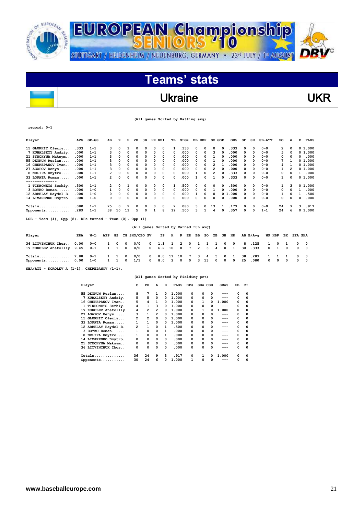

STUTTGART / HEIDENHEIM / NEUENBURG, GERMANY · 23<sup>rd</sup> JULY / 1ª AUGUST



# **Teams' stats**

## Ukraine VKR

| (All games Sorted by Batting avg) |  |
|-----------------------------------|--|
|-----------------------------------|--|

**record: 0-1**

 $\overline{\phantom{a}}$ 

| Player                                                                 | <b>AVG</b> | $GP-GS$ | AB           | $\overline{\mathbf{R}}$ | н        | 2в            | 3B           | HR RBI   |     | тв                                   | SLG <sup>8</sup> |    | <b>BB HBP</b>  |    | SO                      | GDP      | OB <sub>8</sub> | SF | SH       | $SB-ATT$ | PO           |              | A | Е              | FLD%     |
|------------------------------------------------------------------------|------------|---------|--------------|-------------------------|----------|---------------|--------------|----------|-----|--------------------------------------|------------------|----|----------------|----|-------------------------|----------|-----------------|----|----------|----------|--------------|--------------|---|----------------|----------|
| 15 GLUKHIY Olexiy                                                      | . 333      | $1 - 1$ |              | 0                       | 1        | O             | <sup>0</sup> | 0        | 0   |                                      | .333             |    | <sup>0</sup>   | 0  | 0                       | 0        | .333            | 0  | $\Omega$ | $0 - 0$  |              | 2            | 0 |                | 0 1.000  |
| 7 KUBALSKYY Andriy.                                                    | .000       | $1 - 1$ | 3            | $\Omega$                | 0        | $\Omega$      | 0            | $\Omega$ | 0   | 0                                    | .000             |    | 0              | 0  | 3                       | $\Omega$ | .000            | 0  | $\Omega$ | $0 - 0$  |              | 5            | 0 |                | 01.000   |
| 21 SYMCHYNA Maksym                                                     | .000       | $1 - 1$ |              | 0                       | $\Omega$ | $\Omega$      | 0            | 0        | 0   | 0                                    | .000             |    | 0              | 0  | 1                       | $\Omega$ | .000            | 0  | $\Omega$ | $0 - 0$  |              | 0            | n | 0              | .000     |
| 55 DEYKUN Ruslan                                                       | .000       | $1 - 1$ |              | 0                       | 0        | 0             | 0            | $\Omega$ | 0   | $\Omega$                             | .000             |    | 0              | 0  | 1                       | $\Omega$ | .000            | 0  | 0        | $0 - 0$  |              | 7            | 1 |                | 01.000   |
| 16 CHEREPANOV Ivan                                                     | .000       | $1 - 1$ |              | O                       | 0        | 0             | 0            | $\Omega$ | 0   | 0                                    | .000             |    | 0              | 0  | $\overline{2}$          | 1        | .000            | 0  | 0        | $0 - 0$  |              | 4            | 1 |                | 01.000   |
| 27 AGAPOV Denys                                                        | .000       | $1 - 1$ |              | O                       | $\Omega$ | $\Omega$      | 0            | $\Omega$ | 0   | 0                                    | .000             |    | n              | 0  | $\overline{2}$          | $\Omega$ | .000            | 0  | $\Omega$ | $0 - 0$  |              | 1            | 2 |                | 01.000   |
| 8 NELIPA Dmytro                                                        | .000       | $1 - 1$ | 2            | 0                       | 0        | 0             | 0            | 0        | 0   | $\Omega$                             | .000             |    |                | 0  | $\overline{\mathbf{2}}$ | $\Omega$ | .333            | 0  | $\Omega$ | $0 - 0$  |              | 0            | 0 | $\mathbf{1}$   | .000     |
| 33 LOPATA Roman                                                        | .000       | $1 - 1$ | 2            | O                       | O        | 0             | $\Omega$     | $\Omega$ | 0   | 0                                    | .000             |    | 1              | 0  | $\mathbf{1}$            | $\Omega$ | .333            | 0  | 0        | $0 - 0$  |              | $\mathbf{1}$ | 0 |                | 01.000   |
| 1 TIKHONETS Serhiy.                                                    | .500       | $1 - 1$ | 2            | 0                       | 1        | 0             | 0            | 0        | 0   | 1                                    | .500             |    | 0              | 0  | 0                       | 0        | .500            | 0  | $\Omega$ | $0 - 0$  |              |              | 3 |                | 0 1.000  |
| 3 BOYKO Roman                                                          | .000       | $1 - 0$ | 1            | 0                       | 0        | $\mathbf 0$   | 0            | 0        | 0   | $\Omega$                             | .000             |    | 0              | 0  | 1                       | 0        | .000            | 0  | 0        | $0 - 0$  |              | 0            | 0 | 1              | .000     |
| 12 ARBELAY Raydel B.                                                   | .000       | $1 - 0$ |              | 0                       | 0        | $\mathbf 0$   | 0            | 0        | 0   | 0                                    | .000             |    |                | 0  | 0                       |          | 01.000          | 0  | 0        | $0 - 0$  |              | 1            | 0 | 1              | .500     |
| 14 LIMARENKO Dmytro.                                                   | .000       | $1 - 0$ | 0            | 0                       | 0        | 0             | 0            | 0        | 0   | 0                                    | .000             |    | 0              | 0  | 0                       | 0        | .000            | 0  | 0        | $0 - 0$  |              | 0            | 0 | 0              | .000     |
|                                                                        | .080       | $1 - 1$ | 25           | 0                       | 2        | 0             | 0            | 0        | 0   | 2                                    | .080             |    | 3              | 0  | 13                      | 1        | .179            | 0  | 0        | $0 - 0$  | 24           |              | 9 | 3              | .917     |
| Opponents                                                              | .289       | $1 - 1$ | 38           | 10                      | 11       | 5             | 0            | 1        | 8   | 19                                   | .500             |    | 3              | 1  |                         | $\Omega$ | .357            | 0  | 0        | $1 - 1$  | 24           |              | 6 |                | 01.000   |
| $LOB$ - Team $(4)$ , Opp $(8)$ . DPs turned - Team $(0)$ , Opp $(1)$ . |            |         |              |                         |          |               |              |          |     |                                      |                  |    |                |    |                         |          |                 |    |          |          |              |              |   |                |          |
|                                                                        |            |         |              |                         |          |               |              |          |     | (All games Sorted by Earned run avg) |                  |    |                |    |                         |          |                 |    |          |          |              |              |   |                |          |
| Player                                                                 | <b>ERA</b> | W-L     | APP          | GS                      |          | CG SHO/CBO SV |              |          | IP  | н                                    | R                | ER | ВB             | so | 2в                      | ЗB       | HR              |    | AB B/Avq |          | WP HBP       | вĸ           |   | <b>SFA SHA</b> |          |
| 36 LITVINCHUK Ihor.                                                    | 0.00       | $0 - 0$ | 1            | 0                       | 0        | 0/0           |              | 0        | 1.1 | 1                                    | 2                | 0  | 1              | 1  | 1                       | 0        | 0               | 8  | .125     | 1        | 0            | 1            |   | 0              | 0        |
| 19 KOROLEV Anatolliy                                                   | 9.45       | $0 - 1$ | $\mathbf{1}$ | 1                       | $\Omega$ | 0/0           |              | 0        | 6.2 | 10                                   | 8                | 7  | $\overline{2}$ | 3  | 4                       | 0        | 1               | 30 | .333     | 0        | $\mathbf{1}$ | 0            |   | 0              | 0        |
| Totals                                                                 | 7.88       | $0 - 1$ |              | 1                       | 0        | 0/0           |              | 0        | 8.0 | 11                                   | 10               | 7  | 3              | 4  | 5                       | 0        | 1               | 38 | .289     | 1        | 1            | 1            |   | 0              | 0        |
| Opponents                                                              | 0.00       | $1 - 0$ | 1            | 1                       | 0        | 1/1           |              | 0        | 8.0 | $\overline{2}$                       | $\Omega$         | 0  | 3              | 13 | 0                       | $\Omega$ | 0               | 25 | .080     | 0        | $\Omega$     | $\Omega$     |   | 0              | $\Omega$ |

**SBA/ATT - KOROLEV A (1-1), CHEREPANOV (1-1).** 

 **(All games Sorted by Fielding pct)**

| Player               | c  | PO             | A        | Е        | FLD <sup>8</sup> | <b>DPs</b> | SBA CSB |   | SBA <sup>8</sup> | PB           | CI       |
|----------------------|----|----------------|----------|----------|------------------|------------|---------|---|------------------|--------------|----------|
| 55 DEYKUN Ruslan     | 8  | 7              | 1        | 0        | 1.000            | 0          | 0       | 0 |                  |              | 0        |
| 7 KUBALSKYY Andriy.  | 5  | 5              | $\Omega$ | 0        | 1.000            | 0          | 0       | 0 | $---$            | 0            | 0        |
| 16 CHEREPANOV Ivan   | 5  | 4              | 1        | 0        | 1.000            | 0          | 1       | 0 | 1.000            | 0            | $\Omega$ |
| 1 TIKHONETS Serhiy.  | 4  | 1              | 3        | 0        | 1.000            | 0          | 0       | 0 | $---$            | 0            | 0        |
| 19 KOROLEV Anatolliy | 4  | $\overline{2}$ | 2        | 0        | 1.000            | 0          |         | 0 | 1.000            | 0            | $\Omega$ |
| 27 AGAPOV Denys      | 3  |                | 2        | 0        | 1.000            | 0          | 0       | 0 | $---$            | 0            | 0        |
| 15 GLUKHIY Olexiy    | 2  | $\overline{2}$ | 0        | 0        | 1.000            | 0          | 0       | 0 | $---$            | 0            | 0        |
| 33 LOPATA Roman      |    | 1              | 0        | 0        | 1.000            | 0          | 0       | 0 | $---$            | $\Omega$     | 0        |
| 12 ARBELAY Raydel B. | 2  |                | 0        | 1        | .500             | 0          | 0       | 0 | ---              | 0            | 0        |
| 3 BOYKO Roman        | 1  | 0              | $\Omega$ | 1        | .000             | O          | 0       | 0 | ---              | <sup>0</sup> | 0        |
| 8 NELIPA Dmytro      | 1  | 0              | $\Omega$ | 1        | .000             | O          | 0       | 0 | ---              | 0            | 0        |
| 14 LIMARENKO Dmytro. | 0  | 0              | 0        | 0        | .000             | O          | 0       | 0 | ---              | 0            | 0        |
| 21 SYMCHYNA Maksym   | 0  | 0              | $\Omega$ | $\Omega$ | .000             | 0          | O       | 0 | ---              | 0            | 0        |
| 36 LITVINCHUK Ihor   | 0  | 0              | 0        | 0        | .000             | 0          | O       | 0 | ---              | $\Omega$     | 0        |
| Totals               | 36 | 24             | 9        | 3        | .917             | 0          |         | 0 | 1.000            | 0            | $\Omega$ |
| Opponents            | 30 | 24             | 6        | 0        | 1.000            |            | 0       | 0 |                  | 0            | 0        |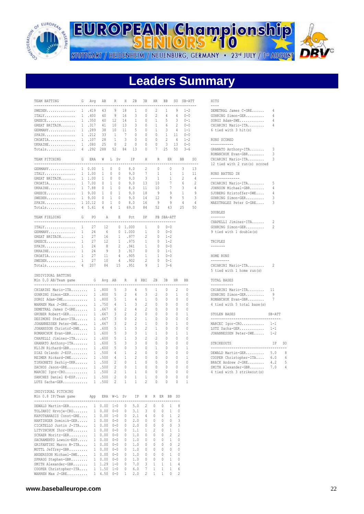

**EUROPEAN Championship** STUTTGART / HEIDENHEIM / NEUENBURG, GERMANY · 23<sup>rd</sup> JULY / 1st AUGUST

**Leaders Summary**

| TEAM BATTING                                                            | G            | Avq            | ΑB     | R                 | Η              | 2В           | 3B           | HR                               | BB             |                | SO SB-ATT    |                | HITS                                       |         |    |
|-------------------------------------------------------------------------|--------------|----------------|--------|-------------------|----------------|--------------|--------------|----------------------------------|----------------|----------------|--------------|----------------|--------------------------------------------|---------|----|
| -------------------------<br>$\texttt{SWEDEN}\dots\dots\dots\dots\dots$ |              | 1.419          | 43     | 9                 | 18             | 1            | 0            | 2                                | 1              | 9              | $1 - 2$      |                | $- - - -$<br>DEMETRAL James C-GRE          | 4       |    |
| ITALY.                                                                  |              | 1.400          | 40     | 9                 | 16             | 3            | 0            | 2                                | 4              | 4              | $0 - 0$      |                | GUHRING Simon-GER                          | 4       |    |
| $GREECE$                                                                |              | 1 .350         | 40     | 12                | 14             | 1            | 0            | 1                                | 5              | 3              | $0 - 1$      |                | SORGI Adam-SWE                             | 4       |    |
| GREAT BRITAIN                                                           |              | 1 .317         | 41     | 10                | 13             | 3            | 0            | 1                                |                | 2              | $0 - 0$      |                |                                            | 4       |    |
|                                                                         |              | 1 .289         | 38     | 10                | 11             | 5            | 0            | 1                                | 6<br>3         | 4              | $1 - 1$      |                | CHIARINI Mario-ITA<br>6 tied with 3 hit(s) |         |    |
| GERMANY<br>SPAIN.                                                       |              | 1 .212         | 33     | 1                 | 7              | 0            | 0            | 0                                | $\mathbf{1}$   | 11             | $0 - 0$      |                |                                            |         |    |
| CROATIA                                                                 |              | 1 .107         | 28     | 1                 | 3              | 0            | 0            | 0                                | $\overline{c}$ | 4              | $1 - 2$      |                |                                            |         |    |
|                                                                         |              |                |        |                   |                |              |              |                                  |                |                |              |                | RUNS SCORED<br>-----------                 |         |    |
| UKRAINE                                                                 |              | 1.080          | 25     | 0                 | 2              | 0            | 0            | 0                                | 3              | 13             | $0 - 0$      |                |                                            |         |    |
| Totals                                                                  |              | 4.292          | 288    | 52                | 84             | 13           | 0            | 7                                | 25             | 50             | $3 - 6$      |                | GRANATO Anthony-ITA                        | 3       |    |
|                                                                         |              |                |        |                   |                |              |              |                                  |                |                |              |                | ROMANCHUK Evan-GBR                         | 3       |    |
| TEAM PITCHING                                                           | G            | ERA            | W      | L Sv              |                | IP           | Η            | $\mathbb{R}$                     | ER             |                | <b>BB</b>    | SO.            | CHIARINI Mario-ITA                         | 3       |    |
| --------------------------                                              |              |                |        |                   |                |              |              |                                  |                |                |              | ----           | 12 tied with 2 run(s) scored               |         |    |
| GERMANY                                                                 |              | $1 \quad 0.00$ | 1      | 0<br>0            |                | 8.0          | 2            | 0                                |                | 0              | 3            | 13             |                                            |         |    |
| ITALY                                                                   |              | 1, 1.00        | 1      | 0<br>0            |                | 9.0          | 7            | 1                                |                | 1              | 1            | 11             | RUNS BATTED IN                             |         |    |
| GREAT BRITAIN                                                           |              | $1 \quad 1.00$ | 1      | $\mathbf 0$<br>0  |                | 9.0          | 3            | 1                                |                | 1              | 2            | $\overline{4}$ | --------------                             |         |    |
| CROATIA                                                                 |              | 1 7.00         | 0      | 1<br>0            |                | 9.0          | 13           | 10                               |                | 7              | 6            | $\overline{2}$ | CHIARINI Mario-ITA                         | 5       |    |
| UKRAINE                                                                 |              | 1 7.88         | 0      | 0<br>1            |                | 8.0          | 11           | 10                               |                | 7              | 3            | 4              | JOHNSON Michael-GBR                        | 4       |    |
| ${\tt GREECE} \dots \dots \dots \dots \dots$                            |              | 1 9.00         | 1      | 0<br>1            |                | 9.0          | 18           | 9                                |                | 9              | 1            | 9              | SJOBERG Kristoffer-SWE                     | 4       |    |
| ${\tt SWEDEN}$                                                          |              | 1 9.00         | 0      | $\mathbf{0}$<br>1 |                | 9.0          | 14           | 12                               |                | 9              | 5            | 3              | GUHRING Simon-GER                          | 3       |    |
| SPAIN.                                                                  |              | 1 10.12        | 0      | 1<br>0            |                | 8.0          | 16           | 9                                |                | 9              | 4            | 4              | MAESTRALES Peter G-GRE                     | 3       |    |
| Totals                                                                  |              | 4, 5.61        | 4      | 4<br>1            |                | 69.0         | 84           | 52                               | 43             |                | 25           | 50             |                                            |         |    |
|                                                                         |              |                |        |                   |                |              |              |                                  |                |                |              |                | <b>DOUBLES</b>                             |         |    |
| TEAM FIELDING                                                           | G            | P0             | Α      | Ε                 |                | Pct          | DP           |                                  | PB SBA-ATT     |                |              |                | -------                                    |         |    |
| -------------------------                                               |              |                |        |                   |                |              |              |                                  |                |                |              |                | CHAPELLI Jiminez-ITA                       | 2       |    |
| $ITALY$                                                                 | $\mathbf{1}$ | 27             | 12     |                   | 0 1.000        |              | 1            | $\Omega$                         | $0 - 0$        |                |              |                | GUHRING Simon-GER                          | 2       |    |
| GERMANY                                                                 | 1            | 24             | 6      | 0                 | 1.000          |              | 1            | 0                                | $0 - 0$        |                |              |                | 9 tied with 1 double(s)                    |         |    |
| GREAT BRITAIN                                                           | $\mathbf{1}$ | 27             | 16     | 1                 |                | .977         | 2            | 0                                | $1 - 2$        |                |              |                |                                            |         |    |
| $GREECE$                                                                | $\mathbf{1}$ | 27             | 12     | $\mathbf{1}$      |                | .975         | 1            | $\begin{array}{c} \n\end{array}$ | $1 - 2$        |                |              |                | TRIPLES                                    |         |    |
| SPAIN.                                                                  | 1            | 24             | 8      | 2                 |                | .941         | $\mathbf{1}$ | 0                                | $0 - 0$        |                |              |                | -------                                    |         |    |
| UKRAINE                                                                 |              |                | 9      | 3                 |                |              |              |                                  |                |                |              |                |                                            |         |    |
|                                                                         | 1            | 24             |        | 4                 |                | .917         | 0            | 0                                | $1 - 1$        |                |              |                |                                            |         |    |
| $CROATIA.$                                                              | 1            | 27             | 11     |                   |                | .905         | $\mathbf{1}$ | 1                                | $0 - 0$        |                |              |                | HOME RUNS<br>---------                     |         |    |
| ${\tt SWEDEN} \dots \dots \dots \dots \dots$                            | 1            | 27             | 10     | 4                 |                | .902         | 2            | 0                                | $0 - 1$        |                |              |                |                                            |         |    |
| Totals                                                                  | 4            | 207            | 84     | 15                |                | .951         | 9            | 1                                | $3 - 6$        |                |              |                | CHIARINI Mario-ITA                         | 2       |    |
|                                                                         |              |                |        |                   |                |              |              |                                  |                |                |              |                | 5 tied with 1 home run(s)                  |         |    |
| INDIVIDUAL BATTING<br>Min 0.0 AB/Team game                              |              | G              |        |                   | R              |              | H RBI        | 2B                               | 3B             | HR             | BB           |                | TOTAL BASES                                |         |    |
| ---------------------------                                             |              |                | Avq AB |                   |                |              |              |                                  |                |                |              |                | -----------                                |         |    |
|                                                                         |              |                |        | 5                 | 3              | 4            | 5            | 1                                | 0              | 2              | 0            |                |                                            | 11      |    |
| CHIARINI Mario-ITA                                                      |              |                | 1.800  |                   |                |              |              |                                  |                |                | $\Omega$     |                | CHIARINI Mario-ITA                         | 9       |    |
| GUHRING Simon-GER                                                       |              | 1              | .800   | 5                 | 2              | 4            | 3            | 2                                | 0              | 1              |              |                | GUHRING Simon-GER                          |         |    |
| SORGI Adam-SWE                                                          |              |                | 1.800  | 5                 | 1              | 4            | 1            | 0                                | 0              | $\mathbf 0$    | 0            |                | ROMANCHUK Evan-GBR                         | 7       |    |
| WARREN Max J-GRE                                                        |              |                | 1 .750 | 4                 | 1              | 3            | 2            | 0                                | 0              | 0              | 0            |                | 4 tied with 5 total base(s)                |         |    |
| DEMETRAL James C-GRE                                                    |              | 1              | .667   | 6                 | 2              | 4            | 2            | $\Omega$                         | 0              | $\Omega$       | $\Omega$     |                |                                            |         |    |
| GRUBER Robert-GER                                                       |              |                | 1 .667 | 3                 | $\overline{c}$ | 2            | 0            | 0                                | 0              | 0              | 1            |                | STOLEN BASES                               | SB-ATT  |    |
| DESIMONI Stefano-ITA                                                    |              |                | 1 .667 | 3                 | 0              | 2            | 1            | 0                                | 0              | 0              | 0            |                | ---------------------------------          |         |    |
| JOHANNESSEN Peter-SWE                                                   |              | 1              | .667   | 3                 | 2              | 2            | 1            | 0                                | 0              | 1              | 0            |                | MARCEC Igor-CRO                            | $1 - 1$ |    |
| JOHANSSON Christof-SWE                                                  |              |                | 1 .600 | 5                 | 1              | 3            | 2            | 1                                | 0              | 0              | 0            |                | LUTZ Sacha-GER                             | $1 - 1$ |    |
| ROMANCHUK Evan-GBR                                                      |              |                | 1 .600 | 5                 | 3              | 3            | 1            | 1                                | 0              | 1              | 1            |                | JOHANNESSEN Peter-SWE                      | $1 - 2$ |    |
| CHAPELLI Jiminez-ITA                                                    |              | 1              | .600   | 5                 | 1              | 3            | 2            | 2                                | 0              | 0              | 0            |                |                                            |         |    |
| GRANATO Anthony-ITA                                                     |              |                | 1 .600 | 5                 | 3              | 3            | 0            | $\mathbf{0}$                     | 0              | 0              | 0            |                | STRIKEOUTS                                 | ΙP      | SO |
| KLIJN Richard-GBR                                                       |              |                | 1 .600 | 5                 | 0              | 3            | 0            | 1                                | 0              | 0              | $\mathbf{1}$ |                | ----------------------------               |         |    |
| DIAZ Orlando J-ESP                                                      |              |                | 1 .500 | 4                 | 1              | 2            | 0            | 0                                | 0              | 0              | 0            |                | DEWALD Martin-GER                          | 5.0     | 8  |
| REIMER Rickard-SWE                                                      |              |                | 1 .500 | 4                 | 1              | 2            | 0            | 0                                | 0              | 0              | 1            |                | COOPER Christopher-ITA                     | 6.0     | 6  |
| TIKHONETS Serhiy-UKR                                                    |              |                | 1 .500 | 2                 | $\mathbf 0$    | 1            | $\theta$     | $\Omega$                         | 0              | $\mathbf 0$    | $\Omega$     |                | BRACK Andrew J-GRE                         | 4.2     | 5  |
| ZACHOS Jason-GRE                                                        |              |                | 1 .500 | $\overline{c}$    | 0              | 1            | 0            | 0                                | 0              | 0              | 0            |                | SMITH Alexander-GBR                        | 7.0     | 4  |
| MARCEC Igor-CRO 1 .500                                                  |              |                |        | $\overline{c}$    | $\mathbf{1}$   | $\mathbf{1}$ | $\mathbb{0}$ | $\mathbb{0}$                     | 0              | 0              | 0            |                | 4 tied with 3 strikeout (s)                |         |    |
| SANCHEZ Daniel E-ESP 1 .500                                             |              |                |        | 2                 | $\mathbf{0}$   | 1            | 1            | 0                                | 0              | 0              | 0            |                |                                            |         |    |
| LUTZ Sacha-GER $1,500$                                                  |              |                |        | $2^{\circ}$       |                | $1 \quad 1$  | $2^{1}$      | $\bigcirc$                       | $\Omega$       | $\Omega$       | $\mathbf{1}$ |                |                                            |         |    |
|                                                                         |              |                |        |                   |                |              |              |                                  |                |                |              |                |                                            |         |    |
| INDIVIDUAL PITCHING                                                     |              |                |        |                   |                |              |              |                                  |                |                |              |                |                                            |         |    |
| Min 0.8 IP/Team game App ERA W-L Sv IP H R ER BB SO                     |              |                |        |                   |                |              |              |                                  |                |                |              |                |                                            |         |    |
|                                                                         |              |                |        |                   |                |              |              |                                  |                |                |              |                |                                            |         |    |
| DEWALD Martin-GER 1 0.00 1-0                                            |              |                |        |                   |                | 0 5.0        |              | 2 0 0 1 8                        |                |                |              |                |                                            |         |    |
| TOLJANIC Hrvoje-CRO 1 0.00 0-0                                          |              |                |        |                   |                |              |              | $0$ 3.1 3 0 0 1 0                |                |                |              |                |                                            |         |    |
| KAPOTHANASIS Const-GRE 1 0.00 1-0 0 2.1 4 0 0 1 2                       |              |                |        |                   |                |              |              |                                  |                |                |              |                |                                            |         |    |
| HARTINGER Dominik-GER 1 0.00 0-0 0 2.0 0 0 0 0 3                        |              |                |        |                   |                |              |              |                                  |                |                |              |                |                                            |         |    |
| CICATELLO Justin J-ITA 1 0.00 0-0 0 2.0 0 0 0 0 3                       |              |                |        |                   |                |              |              |                                  |                |                |              |                |                                            |         |    |
| LITVINCHUK Ihor-UKR 1 0.00 0-0                                          |              |                |        |                   |                |              |              | $0$ 1.1 1 2 0 1 1                |                |                |              |                |                                            |         |    |
| SCKAER Moritz-GER 1 0.00 0-0                                            |              |                |        |                   |                |              |              | $0$ 1.0 0 0 0 2 2                |                |                |              |                |                                            |         |    |
| SACRAMENTO Lowuin-ESP 1 0.00 0-0                                        |              |                |        |                   |                |              |              | 0 1.0 0 0 0 1 0                  |                |                |              |                |                                            |         |    |
| GRIFANTINI Marco M-ITA 1 0.00 0-0                                       |              |                |        |                   |                |              |              | 0 1.0 0 0 0 0 2                  |                |                |              |                |                                            |         |    |
| MOTTL Jeffrey-GBR 1 0.00 0-0                                            |              |                |        |                   |                |              |              | 0 1.0 0 0 0 0 0                  |                |                |              |                |                                            |         |    |
|                                                                         |              |                |        |                   |                |              |              |                                  |                |                |              |                |                                            |         |    |
| ANDERSSON Michael-SWE 1 0.00 0-0                                        |              |                |        |                   |                |              |              | 0 1.0 0 0 0 1 0                  |                |                |              |                |                                            |         |    |
| SPRAGG Stephen-GBR 1 0.00 0-0                                           |              |                |        |                   |                |              |              | 0 1.0 0 0 0 1 0                  |                |                |              |                |                                            |         |    |
| SMITH Alexander-GBR 1 1.29 1-0                                          |              |                |        |                   |                |              |              | $0$ 7.0 3 1 1 1 4                |                |                |              |                |                                            |         |    |
| COOPER Christopher-ITA 1 1.50 1-0                                       |              |                |        |                   |                |              |              | $0 \t6.0 \t7 \t1 \t1 \t1$        |                | 6              |              |                |                                            |         |    |
|                                                                         |              |                |        |                   |                |              |              |                                  |                | $\overline{c}$ |              |                |                                            |         |    |
| WARREN Max J-GRE 1 4.50 0-0 1 2.0 2 1 1 0                               |              |                |        |                   |                |              |              |                                  |                |                |              |                |                                            |         |    |

| DEMETRAL James C-GRE | Δ |
|----------------------|---|
| GUHRING Simon-GER    | 4 |
| SORGI Adam-SWE       | 4 |
| CHIARINI Mario-ITA   | 4 |
| 6 tied with 3 hit(s) |   |

#### RUNS SCORED

| GRANATO Anthony-ITA          | 3 |
|------------------------------|---|
| ROMANCHUK Evan-GBR           | 3 |
| CHIARINI Mario-ITA           | 3 |
| 12 tied with 2 run(s) scored |   |
|                              |   |

#### RUNS BATTED IN

| CHIARINI Mario-ITA     | 5 |
|------------------------|---|
| JOHNSON Michael-GBR    | 4 |
| SJOBERG Kristoffer-SWE | 4 |
| GUHRING Simon-GER      | 3 |
| MAESTRALES Peter G-GRE | 3 |
|                        |   |

| CHAPELLI Jiminez-ITA    |  |  |
|-------------------------|--|--|
| GUHRING Simon-GER       |  |  |
| 9 tied with 1 double(s) |  |  |
|                         |  |  |

#### TOTAL BASES

| CHIARINI Mario-ITA          | 11 |
|-----------------------------|----|
| GUHRING Simon-GER           | 9  |
| ROMANCHUK Evan-GBR          | 7  |
| 4 tied with 5 total base(s) |    |

| STOLEN BASES          | $SB-AT$ |
|-----------------------|---------|
| MARCEC $Iqor-CRO$ 1-1 |         |
| LUTZ Sacha-GER        | $1 - 1$ |

| JOHANNESSEN Peter-SWE       | $1 - 2$        |    |
|-----------------------------|----------------|----|
| STRIKEOUTS                  | TP             | SΩ |
|                             |                |    |
| DEWALD Martin-GER           | 5.0            |    |
| COOPER Christopher-ITA      | 6.0            |    |
| BRACK Andrew J-GRE          | 4.2            | 5  |
| SMTTH Alexander-GBR         | 7 <sub>0</sub> | 4  |
| 4 tied with 3 strikeout (s) |                |    |

#### **www.baseballeurope.com** 22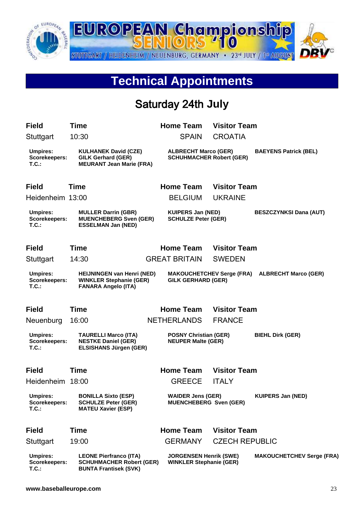

## **Technical Appointments**

#### Saturday 24th **July**

| <b>Field</b>                                     | Time                                                                                              | <b>Home Team</b>                                                | <b>Visitor Team</b>              |                                  |
|--------------------------------------------------|---------------------------------------------------------------------------------------------------|-----------------------------------------------------------------|----------------------------------|----------------------------------|
| Stuttgart                                        | 10:30                                                                                             | <b>SPAIN</b>                                                    | <b>CROATIA</b>                   |                                  |
| <b>Umpires:</b><br><b>Scorekeepers:</b><br>T.C.  | <b>KULHANEK David (CZE)</b><br><b>GILK Gerhard (GER)</b><br><b>MEURANT Jean Marie (FRA)</b>       | <b>ALBRECHT Marco (GER)</b><br><b>SCHUHMACHER Robert (GER)</b>  |                                  | <b>BAEYENS Patrick (BEL)</b>     |
| <b>Field</b>                                     | <b>Time</b>                                                                                       | <b>Home Team</b>                                                | <b>Visitor Team</b>              |                                  |
| Heidenheim 13:00                                 |                                                                                                   | <b>BELGIUM</b>                                                  | <b>UKRAINE</b>                   |                                  |
| <b>Umpires:</b><br>Scorekeepers:<br>$T.C.$ :     | <b>MULLER Darrin (GBR)</b><br><b>MUENCHEBERG Sven (GER)</b><br><b>ESSELMAN Jan (NED)</b>          | <b>KUIPERS Jan (NED)</b><br><b>SCHULZE Peter (GER)</b>          |                                  | <b>BESZCZYNKSI Dana (AUT)</b>    |
| <b>Field</b>                                     | Time                                                                                              | <b>Home Team</b>                                                | <b>Visitor Team</b>              |                                  |
| Stuttgart                                        | 14:30                                                                                             | <b>GREAT BRITAIN</b>                                            | <b>SWEDEN</b>                    |                                  |
| <b>Umpires:</b><br>Scorekeepers:<br>T.C.         | <b>HEIJNINGEN van Henri (NED)</b><br><b>WINKLER Stephanie (GER)</b><br><b>FANARA Angelo (ITA)</b> | <b>GILK GERHARD (GER)</b>                                       | <b>MAKOUCHETCHEV Serge (FRA)</b> | <b>ALBRECHT Marco (GER)</b>      |
| <b>Field</b>                                     | Time                                                                                              | <b>Home Team</b>                                                | <b>Visitor Team</b>              |                                  |
| Neuenburg                                        | 16:00                                                                                             | <b>NETHERLANDS</b>                                              | <b>FRANCE</b>                    |                                  |
| <b>Umpires:</b><br>Scorekeepers:<br>$T.C.$ :     | <b>TAURELLI Marco (ITA)</b><br><b>NESTKE Daniel (GER)</b><br><b>ELSISHANS Jürgen (GER)</b>        | <b>POSNY Christian (GER)</b><br><b>NEUPER Malte (GER)</b>       |                                  | <b>BIEHL Dirk (GER)</b>          |
| <b>Field</b>                                     | Time                                                                                              | <b>Home Team</b>                                                | <b>Visitor Team</b>              |                                  |
| Heidenheim                                       | 18:00                                                                                             | <b>GREECE</b>                                                   | <b>ITALY</b>                     |                                  |
| <b>Umpires:</b><br><b>Scorekeepers:</b><br>T.C.  | <b>BONILLA Sixto (ESP)</b><br><b>SCHULZE Peter (GER)</b><br><b>MATEU Xavier (ESP)</b>             | <b>WAIDER Jens (GER)</b><br><b>MUENCHEBERG Sven (GER)</b>       |                                  | <b>KUIPERS Jan (NED)</b>         |
| <b>Field</b>                                     | Time                                                                                              | <b>Home Team</b>                                                | <b>Visitor Team</b>              |                                  |
| Stuttgart                                        | 19:00                                                                                             | <b>GERMANY</b>                                                  | <b>CZECH REPUBLIC</b>            |                                  |
| <b>Umpires:</b><br><b>Scorekeepers:</b><br>T.C.: | <b>LEONE Pierfranco (ITA)</b><br><b>SCHUHMACHER Robert (GER)</b><br><b>BUNTA Frantisek (SVK)</b>  | <b>JORGENSEN Henrik (SWE)</b><br><b>WINKLER Stephanie (GER)</b> |                                  | <b>MAKOUCHETCHEV Serge (FRA)</b> |